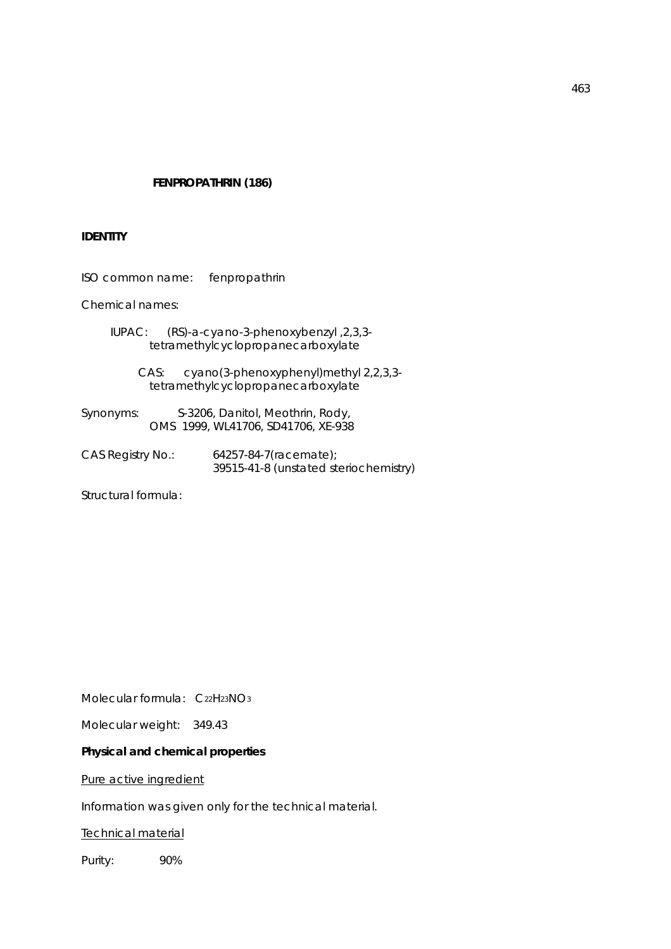## **FENPROPATHRIN (186)**

## **IDENTITY**

ISO common name: fenpropathrin

Chemical names:

 IUPAC: (RS)-a-cyano-3-phenoxybenzyl ,2,3,3 tetramethylcyclopropanecarboxylate

> CAS: cyano(3-phenoxyphenyl)methyl 2,2,3,3 tetramethylcyclopropanecarboxylate

Synonyms: S-3206, Danitol, Meothrin, Rody, OMS 1999, WL41706, SD41706, XE-938

CAS Registry No.: 64257-84-7(racemate); 39515-41-8 (unstated steriochemistry)

Structural formula:

Molecular formula: C22H23NO3

Molecular weight: 349.43

## **Physical and chemical properties**

Pure active ingredient

Information was given only for the technical material.

Technical material

Purity: 90%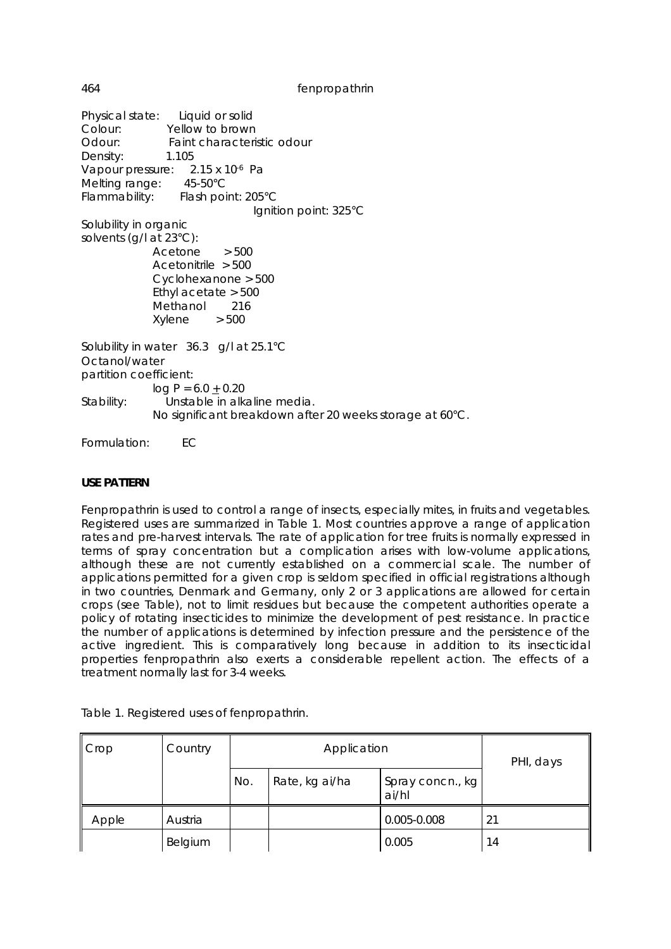Physical state: Liquid or solid Colour: Yellow to brown Odour: Faint characteristic odour Density: 1.105 Vapour pressure: 2.15 x 10<sup>-6</sup> Pa Melting range: 45-50°C Flammability: Flash point: 205°C Ignition point: 325°C Solubility in organic solvents (g/l at 23°C): Acetone > 500 Acetonitrile > 500 Cyclohexanone > 500 Ethyl acetate > 500 Methanol 216  $X$ vlene  $> 500$ Solubility in water 36.3  $\frac{1}{2}$  g/l at 25.1°C Octanol/water partition coefficient:  $log P = 6.0 + 0.20$ Stability: Unstable in alkaline media. No significant breakdown after 20 weeks storage at 60°C.

Formulation: EC

## **USE PATTERN**

Fenpropathrin is used to control a range of insects, especially mites, in fruits and vegetables. Registered uses are summarized in Table 1. Most countries approve a range of application rates and pre-harvest intervals. The rate of application for tree fruits is normally expressed in terms of spray concentration but a complication arises with low-volume applications, although these are not currently established on a commercial scale. The number of applications permitted for a given crop is seldom specified in official registrations although in two countries, Denmark and Germany, only 2 or 3 applications are allowed for certain crops (see Table), not to limit residues but because the competent authorities operate a policy of rotating insecticides to minimize the development of pest resistance. In practice the number of applications is determined by infection pressure and the persistence of the active ingredient. This is comparatively long because in addition to its insecticidal properties fenpropathrin also exerts a considerable repellent action. The effects of a treatment normally last for 3-4 weeks.

| $\mathsf{Crop}$ | Country |       | Application    | PHI, days                 |    |  |
|-----------------|---------|-------|----------------|---------------------------|----|--|
|                 |         | No.   | Rate, kg ai/ha | Spray concn., kg<br>ai/hl |    |  |
| Apple           | Austria |       |                | 0.005-0.008               | 21 |  |
|                 | Belgium | 0.005 |                | 14                        |    |  |

Table 1. Registered uses of fenpropathrin.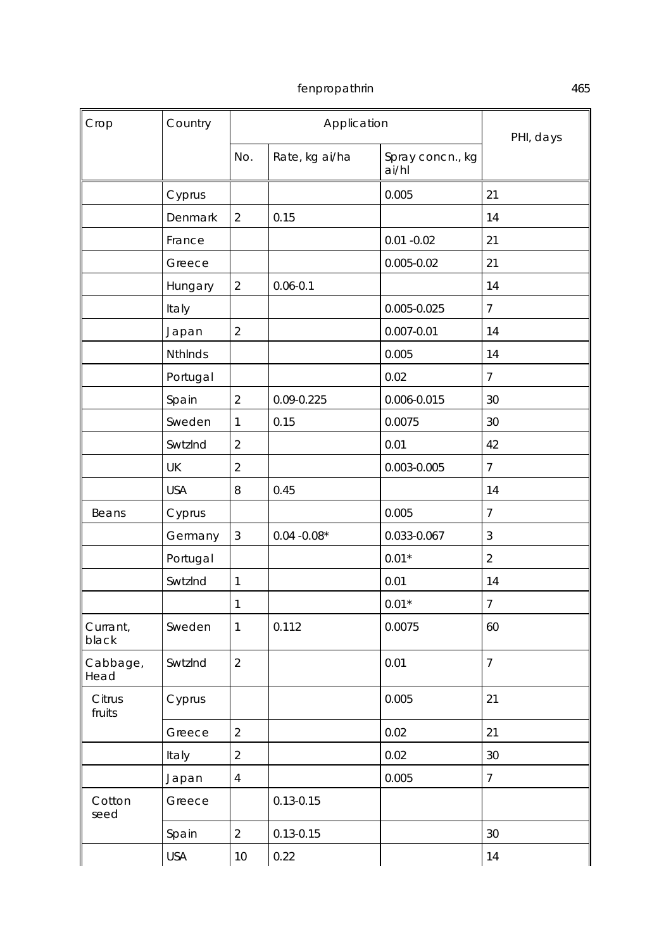| Crop              | Country        |                         | Application    |                           | PHI, days      |
|-------------------|----------------|-------------------------|----------------|---------------------------|----------------|
|                   |                | No.                     | Rate, kg ai/ha | Spray concn., kg<br>ai/hl |                |
|                   | Cyprus         |                         |                | 0.005                     | 21             |
|                   | Denmark        | $\overline{2}$          | 0.15           |                           | 14             |
|                   | France         |                         |                | $0.01 - 0.02$             | 21             |
|                   | Greece         |                         |                | $0.005 - 0.02$            | 21             |
|                   | Hungary        | $\overline{2}$          | $0.06 - 0.1$   |                           | 14             |
|                   | Italy          |                         |                | 0.005-0.025               | 7              |
|                   | Japan          | $\overline{2}$          |                | $0.007 - 0.01$            | 14             |
|                   | <b>NthInds</b> |                         |                | 0.005                     | 14             |
|                   | Portugal       |                         |                | 0.02                      | $\overline{7}$ |
|                   | Spain          | $\overline{2}$          | 0.09-0.225     | 0.006-0.015               | 30             |
|                   | Sweden         | $\mathbf{1}$            | 0.15           | 0.0075                    | 30             |
|                   | SwtzInd        | $\overline{2}$          |                | 0.01                      | 42             |
|                   | UK             | $\overline{2}$          |                | 0.003-0.005               | $\overline{7}$ |
|                   | <b>USA</b>     | 8                       | 0.45           |                           | 14             |
| Beans             | Cyprus         |                         |                | 0.005                     | $\overline{7}$ |
|                   | Germany        | 3                       | $0.04 - 0.08*$ | 0.033-0.067               | 3              |
|                   | Portugal       |                         |                | $0.01*$                   | $\overline{2}$ |
|                   | SwtzInd        | $\mathbf{1}$            |                | 0.01                      | 14             |
|                   |                | 1                       |                | $0.01*$                   | $\overline{7}$ |
| Currant,<br>black | Sweden         | 1                       | 0.112          | 0.0075                    | 60             |
| Cabbage,<br>Head  | SwtzInd        | $\overline{2}$          |                | 0.01                      | $\overline{7}$ |
| Citrus<br>fruits  | Cyprus         |                         |                | 0.005                     | 21             |
|                   | Greece         | $\overline{2}$          |                | 0.02                      | 21             |
|                   | Italy          | $\overline{2}$          |                | 0.02                      | 30             |
|                   | Japan          | $\overline{\mathbf{4}}$ |                | 0.005                     | $\overline{7}$ |
| Cotton<br>seed    | Greece         |                         | $0.13 - 0.15$  |                           |                |
|                   | Spain          | $\overline{a}$          | $0.13 - 0.15$  |                           | 30             |
|                   | <b>USA</b>     | $10$                    | 0.22           |                           | 14             |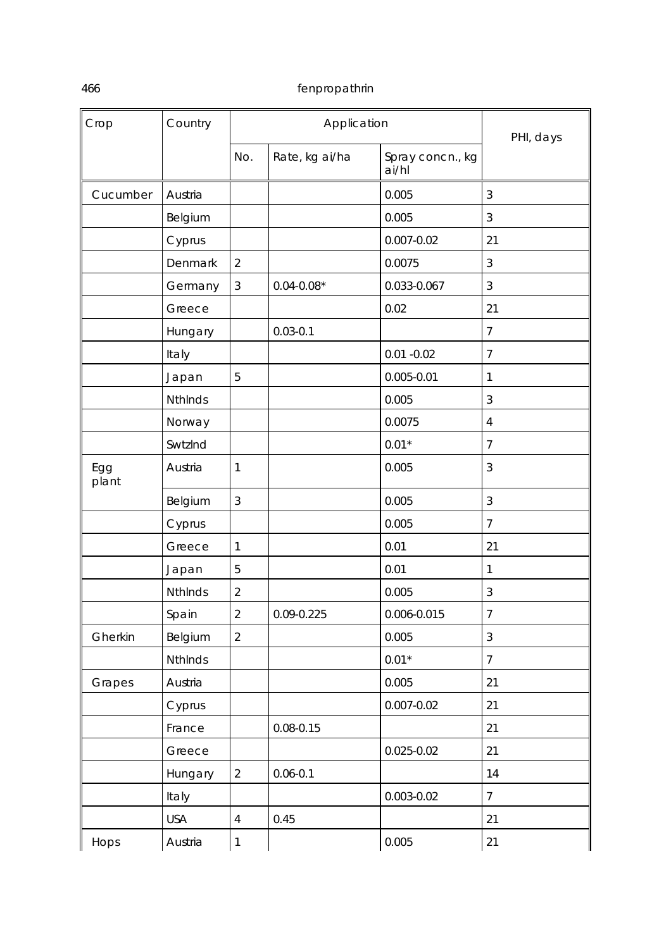| Crop         | Country        |                | Application    |                           | PHI, days      |  |
|--------------|----------------|----------------|----------------|---------------------------|----------------|--|
|              |                | No.            | Rate, kg ai/ha | Spray concn., kg<br>ai/hl |                |  |
| Cucumber     | Austria        |                |                | 0.005                     | 3              |  |
|              | Belgium        |                |                | 0.005                     | 3              |  |
|              | Cyprus         |                |                | $0.007 - 0.02$            | 21             |  |
|              | Denmark        | $\sqrt{2}$     |                | 0.0075                    | $\mathfrak{Z}$ |  |
|              | Germany        | $\mathfrak{Z}$ | $0.04 - 0.08*$ | 0.033-0.067               | 3              |  |
|              | Greece         |                |                | 0.02                      | 21             |  |
|              | Hungary        |                | $0.03 - 0.1$   |                           | $\overline{7}$ |  |
|              | Italy          |                |                | $0.01 - 0.02$             | 7              |  |
|              | Japan          | 5              |                | $0.005 - 0.01$            | 1              |  |
|              | <b>NthInds</b> |                |                | 0.005                     | $\mathfrak{Z}$ |  |
|              | Norway         |                |                | 0.0075                    | $\overline{4}$ |  |
|              | SwtzInd        |                |                | $0.01*$                   | $\overline{7}$ |  |
| Egg<br>plant | Austria        | $\mathbf{1}$   |                | 0.005                     | 3              |  |
|              | Belgium        | $\mathfrak{Z}$ |                | 0.005                     | $\sqrt{3}$     |  |
|              | Cyprus         |                |                | 0.005                     | $\overline{7}$ |  |
|              | Greece         | $\mathbf{1}$   |                | 0.01                      | 21             |  |
|              | Japan          | 5              |                | 0.01                      | 1              |  |
|              | NthInds        | $\sqrt{2}$     |                | 0.005                     | 3              |  |
|              | Spain          | $\overline{2}$ | 0.09-0.225     | 0.006-0.015               | $\overline{7}$ |  |
| Gherkin      | Belgium        | $\overline{2}$ |                | 0.005                     | 3              |  |
|              | Nthinds        |                |                | $0.01*$                   | $\overline{7}$ |  |
| Grapes       | Austria        |                |                | 0.005                     | 21             |  |
|              | Cyprus         |                |                | $0.007 - 0.02$            | 21             |  |
|              | France         |                | $0.08 - 0.15$  |                           | 21             |  |
|              | Greece         |                |                | 0.025-0.02                | 21             |  |
|              | Hungary        | $\overline{2}$ | $0.06 - 0.1$   |                           | 14             |  |
|              | Italy          |                |                | 0.003-0.02                | $\overline{7}$ |  |
|              | <b>USA</b>     | $\overline{4}$ | 0.45           |                           | 21             |  |
| Hops         | Austria        | $\mathbf{1}$   |                | 0.005                     | 21             |  |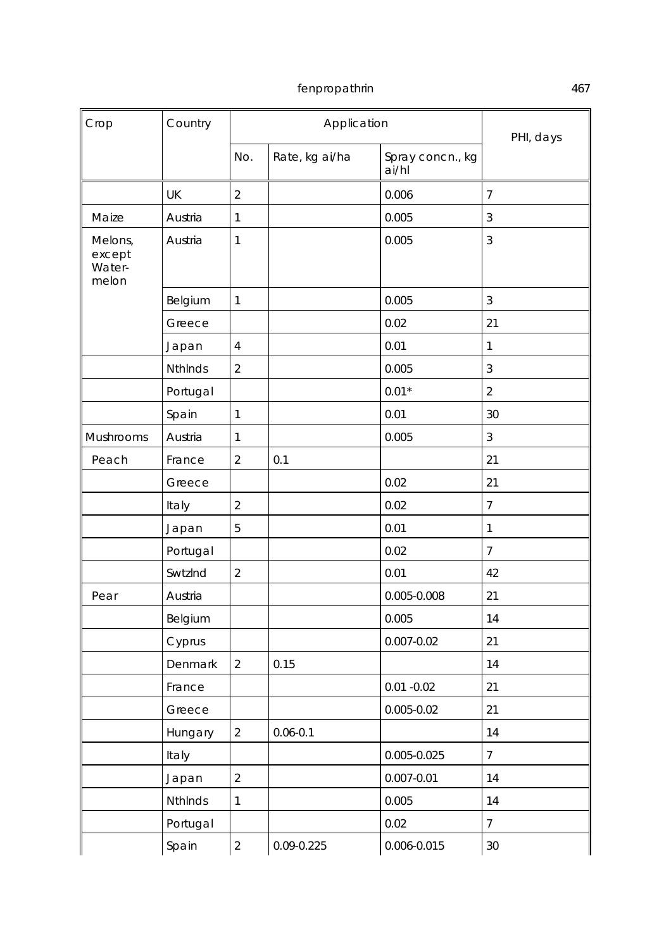| Crop                                 | Country        |                         | Application    |                           | PHI, days      |
|--------------------------------------|----------------|-------------------------|----------------|---------------------------|----------------|
|                                      |                | No.                     | Rate, kg ai/ha | Spray concn., kg<br>ai/hl |                |
|                                      | UK             | $\overline{2}$          |                | 0.006                     | $\overline{7}$ |
| Maize                                | Austria        | $\mathbf{1}$            |                | 0.005                     | 3              |
| Melons,<br>except<br>Water-<br>melon | Austria        | 1                       |                | 0.005                     | 3              |
|                                      | Belgium        | $\mathbf{1}$            |                | 0.005                     | $\mathfrak{Z}$ |
|                                      | Greece         |                         |                | 0.02                      | 21             |
|                                      | Japan          | $\overline{\mathbf{4}}$ |                | 0.01                      | $\mathbf{1}$   |
|                                      | <b>NthInds</b> | $\overline{2}$          |                | 0.005                     | 3              |
|                                      | Portugal       |                         |                | $0.01*$                   | $\overline{2}$ |
|                                      | Spain          | $\mathbf{1}$            |                | 0.01                      | 30             |
| Mushrooms                            | Austria        | 1                       |                | 0.005                     | 3              |
| Peach                                | France         | $\overline{2}$          | 0.1            |                           | 21             |
|                                      | Greece         |                         |                | 0.02                      | 21             |
|                                      | Italy          | $\overline{2}$          |                | 0.02                      | 7              |
|                                      | Japan          | 5                       |                | 0.01                      | 1              |
|                                      | Portugal       |                         |                | 0.02                      | $\overline{7}$ |
|                                      | SwtzInd        | $\overline{2}$          |                | 0.01                      | 42             |
| Pear                                 | Austria        |                         |                | 0.005-0.008               | 21             |
|                                      | Belgium        |                         |                | 0.005                     | 14             |
|                                      | Cyprus         |                         |                | 0.007-0.02                | 21             |
|                                      | Denmark        | $\overline{2}$          | 0.15           |                           | 14             |
|                                      | France         |                         |                | $0.01 - 0.02$             | 21             |
|                                      | Greece         |                         |                | 0.005-0.02                | 21             |
|                                      | Hungary        | $\overline{2}$          | $0.06 - 0.1$   |                           | 14             |
|                                      | Italy          |                         |                | 0.005-0.025               | $\overline{7}$ |
|                                      | Japan          | $\overline{2}$          |                | $0.007 - 0.01$            | 14             |
|                                      | Nthinds        | $\mathbf{1}$            |                | 0.005                     | 14             |
|                                      | Portugal       |                         |                | 0.02                      | $\overline{7}$ |
|                                      | Spain          | $\overline{a}$          | 0.09-0.225     | 0.006-0.015               | 30             |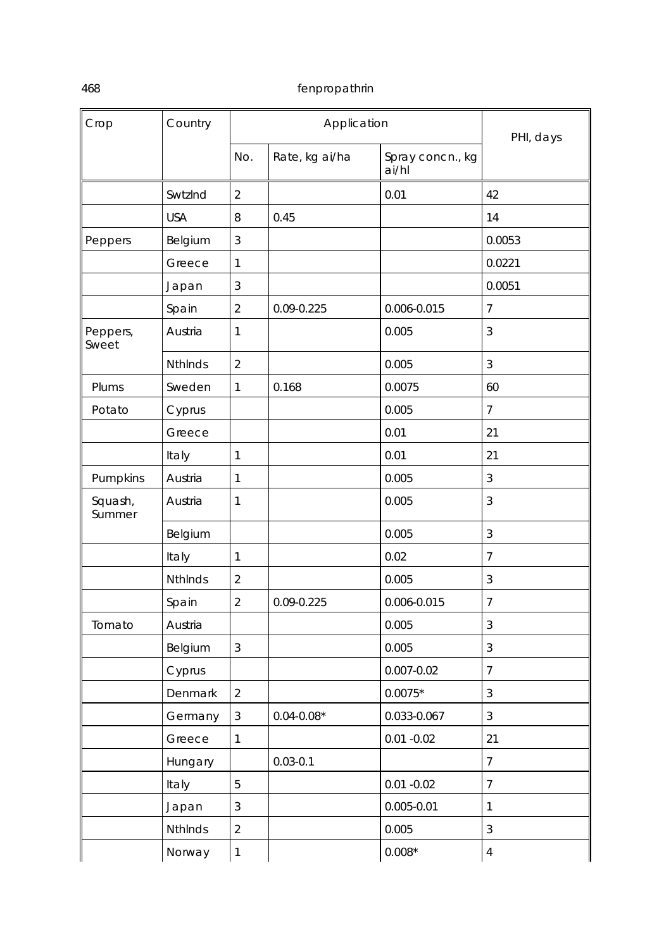| Crop              | Country        |                | Application    |                           | PHI, days      |  |
|-------------------|----------------|----------------|----------------|---------------------------|----------------|--|
|                   |                | No.            | Rate, kg ai/ha | Spray concn., kg<br>ai/hl |                |  |
|                   | SwtzInd        | $\overline{2}$ |                | 0.01                      | 42             |  |
|                   | <b>USA</b>     | 8              | 0.45           |                           | 14             |  |
| Peppers           | Belgium        | 3              |                |                           | 0.0053         |  |
|                   | Greece         | 1              |                |                           | 0.0221         |  |
|                   | Japan          | 3              |                |                           | 0.0051         |  |
|                   | Spain          | $\overline{2}$ | 0.09-0.225     | 0.006-0.015               | 7              |  |
| Peppers,<br>Sweet | Austria        | 1              |                | 0.005                     | 3              |  |
|                   | <b>NthInds</b> | $\overline{2}$ |                | 0.005                     | 3              |  |
| Plums             | Sweden         | 1              | 0.168          | 0.0075                    | 60             |  |
| Potato            | Cyprus         |                |                | 0.005                     | 7              |  |
|                   | Greece         |                |                | 0.01                      | 21             |  |
|                   | Italy          | 1              |                | 0.01                      | 21             |  |
| Pumpkins          | Austria        | 1              |                | 0.005                     | 3              |  |
| Squash,<br>Summer | Austria        | 1              |                | 0.005                     | 3              |  |
|                   | Belgium        |                |                | 0.005                     | 3              |  |
|                   | Italy          | 1              |                | 0.02                      | 7              |  |
|                   | NthInds        | $\overline{2}$ |                | 0.005                     | 3              |  |
|                   | Spain          | $\overline{2}$ | 0.09-0.225     | 0.006-0.015               | $\overline{7}$ |  |
| Tomato            | Austria        |                |                | 0.005                     | $\mathfrak{Z}$ |  |
|                   | Belgium        | $\mathfrak{Z}$ |                | 0.005                     | $\mathfrak{Z}$ |  |
|                   | Cyprus         |                |                | $0.007 - 0.02$            | $\overline{7}$ |  |
|                   | Denmark        | $\overline{2}$ |                | $0.0075*$                 | $\mathfrak{Z}$ |  |
|                   | Germany        | $\mathfrak{Z}$ | $0.04 - 0.08*$ | 0.033-0.067               | 3              |  |
|                   | Greece         | 1              |                | $0.01 - 0.02$             | 21             |  |
|                   | Hungary        |                | $0.03 - 0.1$   |                           | $\overline{7}$ |  |
|                   | Italy          | 5              |                | $0.01 - 0.02$             | $\overline{7}$ |  |
|                   | Japan          | 3              |                | $0.005 - 0.01$            | 1              |  |
|                   | Nthinds        | $\overline{2}$ |                | 0.005                     | 3              |  |
|                   | Norway         | $\mathbf{1}$   |                | $0.008*$                  | $\overline{4}$ |  |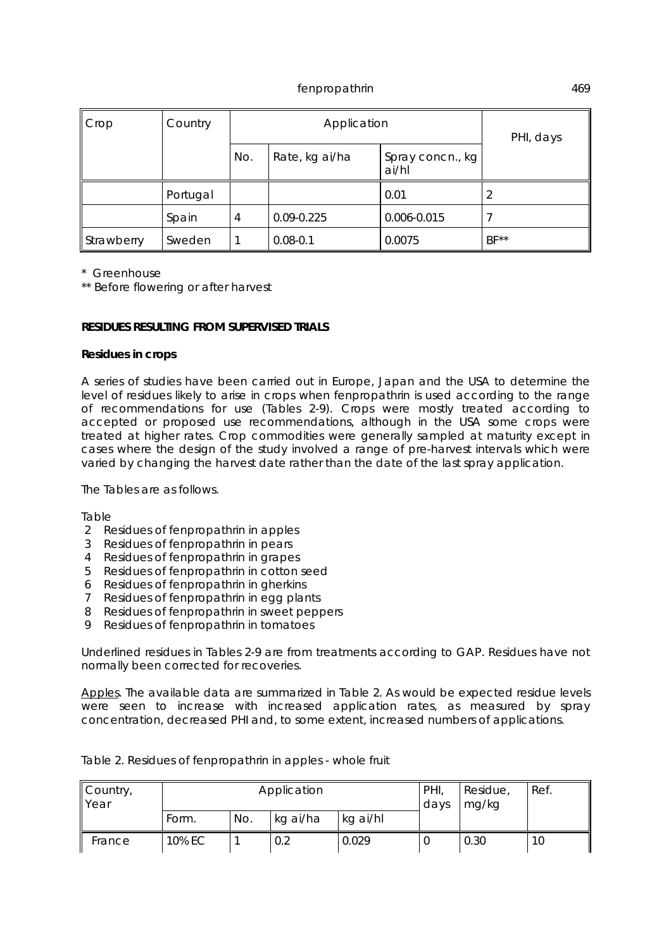| Crop       | Country  |     | Application    | PHI, days   |        |
|------------|----------|-----|----------------|-------------|--------|
|            |          | No. | Rate, kg ai/ha |             |        |
|            | Portugal |     |                | 0.01        |        |
|            | Spain    | 4   | 0.09-0.225     | 0.006-0.015 |        |
| Strawberry | Sweden   |     | $0.08 - 0.1$   | 0.0075      | $BF**$ |

\* Greenhouse

\*\* Before flowering or after harvest

## **RESIDUES RESULTING FROM SUPERVISED TRIALS**

#### **Residues in crops**

A series of studies have been carried out in Europe, Japan and the USA to determine the level of residues likely to arise in crops when fenpropathrin is used according to the range of recommendations for use (Tables 2-9). Crops were mostly treated according to accepted or proposed use recommendations, although in the USA some crops were treated at higher rates. Crop commodities were generally sampled at maturity except in cases where the design of the study involved a range of pre-harvest intervals which were varied by changing the harvest date rather than the date of the last spray application.

The Tables are as follows.

Table

- 2 Residues of fenpropathrin in apples
- 3 Residues of fenpropathrin in pears
- 4 Residues of fenpropathrin in grapes
- 5 Residues of fenpropathrin in cotton seed
- 6 Residues of fenpropathrin in gherkins
- 7 Residues of fenpropathrin in egg plants
- 8 Residues of fenpropathrin in sweet peppers
- 9 Residues of fenpropathrin in tomatoes

Underlined residues in Tables 2-9 are from treatments according to GAP. Residues have not normally been corrected for recoveries.

Apples. The available data are summarized in Table 2. As would be expected residue levels were seen to increase with increased application rates, as measured by spray concentration, decreased PHI and, to some extent, increased numbers of applications.

| Country,<br>Year | PHI,<br>Application<br>days |     |          |          |   | Residue,<br>mg/kg | Ref. |
|------------------|-----------------------------|-----|----------|----------|---|-------------------|------|
|                  | Form.                       | No. | kg ai/ha | kg ai/hl |   |                   |      |
| France           | 10% EC                      |     | 0.2      | 0.029    | U | 0.30              | 10   |

Table 2. Residues of fenpropathrin in apples - whole fruit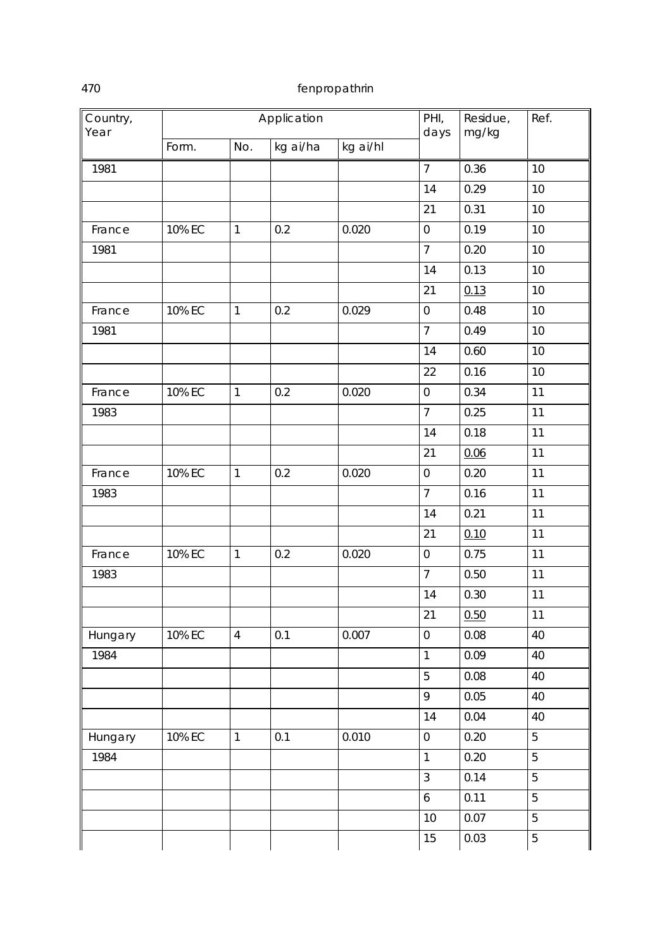| Country,<br>Year |        |                | Application | PHI,<br>days | Residue,<br>mg/kg | Ref. |                |
|------------------|--------|----------------|-------------|--------------|-------------------|------|----------------|
|                  | Form.  | No.            | kg ai/ha    | kg ai/hl     |                   |      |                |
| 1981             |        |                |             |              | $\overline{7}$    | 0.36 | 10             |
|                  |        |                |             |              | 14                | 0.29 | 10             |
|                  |        |                |             |              | 21                | 0.31 | 10             |
| France           | 10% EC | $\mathbf{1}$   | 0.2         | 0.020        | $\boldsymbol{0}$  | 0.19 | 10             |
| 1981             |        |                |             |              | $\overline{7}$    | 0.20 | 10             |
|                  |        |                |             |              | 14                | 0.13 | 10             |
|                  |        |                |             |              | 21                | 0.13 | 10             |
| France           | 10% EC | $\mathbf{1}$   | 0.2         | 0.029        | $\boldsymbol{0}$  | 0.48 | 10             |
| 1981             |        |                |             |              | $\overline{7}$    | 0.49 | 10             |
|                  |        |                |             |              | 14                | 0.60 | 10             |
|                  |        |                |             |              | 22                | 0.16 | 10             |
| France           | 10% EC | $\mathbf{1}$   | 0.2         | 0.020        | $\boldsymbol{0}$  | 0.34 | 11             |
| 1983             |        |                |             |              | $\overline{7}$    | 0.25 | 11             |
|                  |        |                |             |              | 14                | 0.18 | 11             |
|                  |        |                |             |              | 21                | 0.06 | 11             |
| France           | 10% EC | $\mathbf{1}$   | 0.2         | 0.020        | $\boldsymbol{0}$  | 0.20 | 11             |
| 1983             |        |                |             |              | $\overline{7}$    | 0.16 | 11             |
|                  |        |                |             |              | 14                | 0.21 | 11             |
|                  |        |                |             |              | 21                | 0.10 | 11             |
| France           | 10% EC | $\mathbf{1}$   | 0.2         | 0.020        | $\boldsymbol{0}$  | 0.75 | 11             |
| 1983             |        |                |             |              | $\overline{7}$    | 0.50 | 11             |
|                  |        |                |             |              | 14                | 0.30 | 11             |
|                  |        |                |             |              | 21                | 0.50 | 11             |
| Hungary          | 10% EC | $\overline{4}$ | 0.1         | 0.007        | $\boldsymbol{0}$  | 0.08 | 40             |
| 1984             |        |                |             |              | $\mathbf{1}$      | 0.09 | 40             |
|                  |        |                |             |              | 5                 | 0.08 | 40             |
|                  |        |                |             |              | 9                 | 0.05 | 40             |
|                  |        |                |             |              | 14                | 0.04 | 40             |
| Hungary          | 10% EC | $\mathbf{1}$   | 0.1         | 0.010        | $\boldsymbol{0}$  | 0.20 | 5              |
| 1984             |        |                |             |              | $\mathbf{1}$      | 0.20 | 5              |
|                  |        |                |             |              | $\mathfrak{Z}$    | 0.14 | 5              |
|                  |        |                |             |              | $\boldsymbol{6}$  | 0.11 | 5              |
|                  |        |                |             |              | 10                | 0.07 | 5              |
|                  |        |                |             |              | 15                | 0.03 | $\overline{5}$ |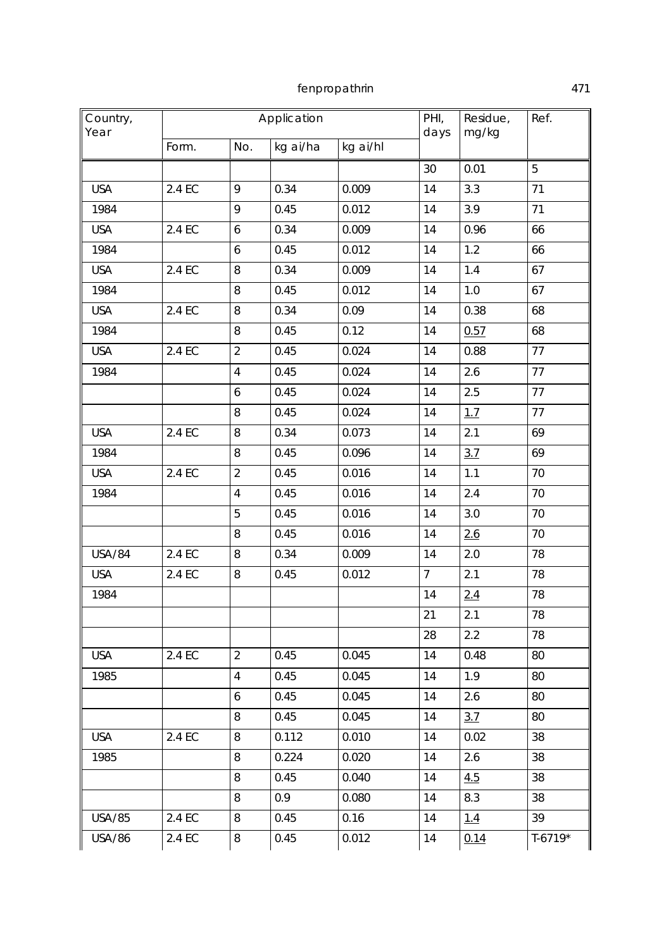| Country,<br>Year |        |                         | Application |          | PHI,<br>days    | Residue,<br>mg/kg | Ref.      |
|------------------|--------|-------------------------|-------------|----------|-----------------|-------------------|-----------|
|                  | Form.  | No.                     | kg ai/ha    | kg ai/hl |                 |                   |           |
|                  |        |                         |             |          | 30              | 0.01              | 5         |
| <b>USA</b>       | 2.4 EC | 9                       | 0.34        | 0.009    | 14              | 3.3               | 71        |
| 1984             |        | 9                       | 0.45        | 0.012    | 14              | 3.9               | 71        |
| <b>USA</b>       | 2.4 EC | 6                       | 0.34        | 0.009    | 14              | 0.96              | 66        |
| 1984             |        | 6                       | 0.45        | 0.012    | 14              | 1.2               | 66        |
| <b>USA</b>       | 2.4 EC | 8                       | 0.34        | 0.009    | 14              | 1.4               | 67        |
| 1984             |        | 8                       | 0.45        | 0.012    | 14              | 1.0               | 67        |
| <b>USA</b>       | 2.4 EC | 8                       | 0.34        | 0.09     | 14              | 0.38              | 68        |
| 1984             |        | 8                       | 0.45        | 0.12     | 14              | 0.57              | 68        |
| <b>USA</b>       | 2.4 EC | $\overline{2}$          | 0.45        | 0.024    | 14              | 0.88              | 77        |
| 1984             |        | 4                       | 0.45        | 0.024    | 14              | 2.6               | 77        |
|                  |        | 6                       | 0.45        | 0.024    | 14              | 2.5               | 77        |
|                  |        | 8                       | 0.45        | 0.024    | 14              | 1.7               | 77        |
| <b>USA</b>       | 2.4 EC | 8                       | 0.34        | 0.073    | 14              | 2.1               | 69        |
| 1984             |        | 8                       | 0.45        | 0.096    | 14              | 3.7               | 69        |
| <b>USA</b>       | 2.4 EC | $\overline{2}$          | 0.45        | 0.016    | 14              | 1.1               | 70        |
| 1984             |        | $\overline{\mathbf{4}}$ | 0.45        | 0.016    | 14              | 2.4               | 70        |
|                  |        | 5                       | 0.45        | 0.016    | 14              | 3.0               | 70        |
|                  |        | 8                       | 0.45        | 0.016    | 14              | 2.6               | 70        |
| <b>USA/84</b>    | 2.4 EC | 8                       | 0.34        | 0.009    | 14              | 2.0               | 78        |
| <b>USA</b>       | 2.4 EC | 8                       | 0.45        | 0.012    | $7\overline{ }$ | 2.1               | 78        |
| 1984             |        |                         |             |          | 14              | 2.4               | 78        |
|                  |        |                         |             |          | 21              | 2.1               | 78        |
|                  |        |                         |             |          | 28              | 2.2               | 78        |
| <b>USA</b>       | 2.4 EC | $\overline{2}$          | 0.45        | 0.045    | 14              | 0.48              | 80        |
| 1985             |        | 4                       | 0.45        | 0.045    | 14              | 1.9               | 80        |
|                  |        | 6                       | 0.45        | 0.045    | 14              | 2.6               | 80        |
|                  |        | 8                       | 0.45        | 0.045    | 14              | 3.7               | 80        |
| <b>USA</b>       | 2.4 EC | 8                       | 0.112       | 0.010    | 14              | 0.02              | 38        |
| 1985             |        | 8                       | 0.224       | 0.020    | 14              | 2.6               | 38        |
|                  |        | 8                       | 0.45        | 0.040    | 14              | 4.5               | 38        |
|                  |        | 8                       | 0.9         | 0.080    | 14              | 8.3               | 38        |
| <b>USA/85</b>    | 2.4 EC | 8                       | 0.45        | 0.16     | 14              | <u>1.4</u>        | 39        |
| <b>USA/86</b>    | 2.4 EC | 8                       | 0.45        | 0.012    | 14              | 0.14              | $T-6719*$ |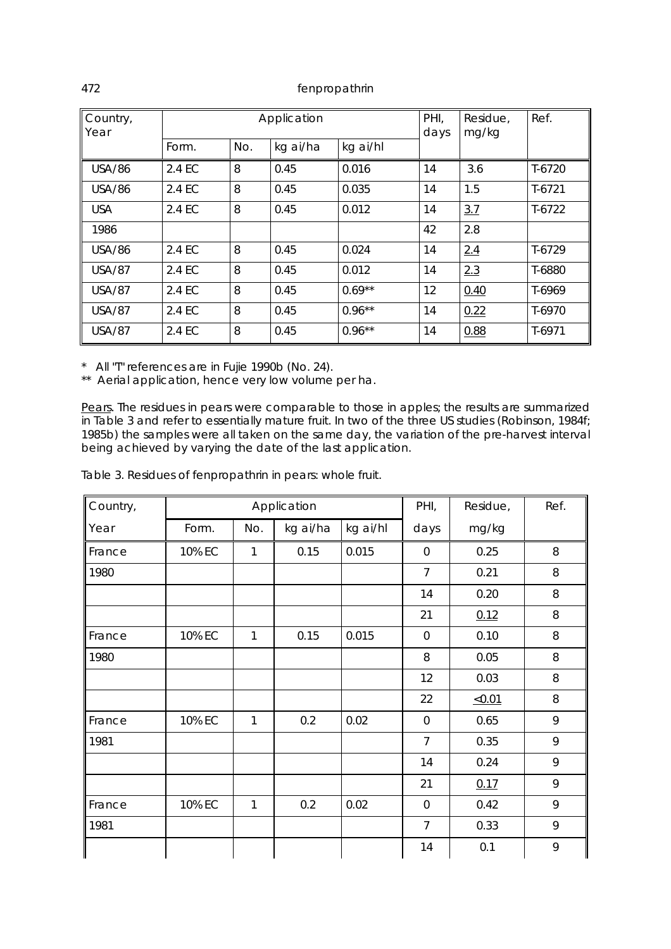| Country,<br>Year | Application |     |          |           | PHI,<br>days | Residue,<br>mg/kg | Ref.     |
|------------------|-------------|-----|----------|-----------|--------------|-------------------|----------|
|                  | Form.       | No. | kg ai/ha | kg ai/hl  |              |                   |          |
| <b>USA/86</b>    | 2.4 EC      | 8   | 0.45     | 0.016     | 14           | 3.6               | $T-6720$ |
| USA/86           | 2.4 EC      | 8   | 0.45     | 0.035     | 14           | 1.5               | $T-6721$ |
| <b>USA</b>       | 2.4 EC      | 8   | 0.45     | 0.012     | 14           | 3.7               | $T-6722$ |
| 1986             |             |     |          |           | 42           | 2.8               |          |
| USA/86           | 2.4 EC      | 8   | 0.45     | 0.024     | 14           | 2.4               | T-6729   |
| <b>USA/87</b>    | 2.4 EC      | 8   | 0.45     | 0.012     | 14           | 2.3               | T-6880   |
| <b>USA/87</b>    | 2.4 EC      | 8   | 0.45     | $0.69***$ | 12           | 0.40              | T-6969   |
| <b>USA/87</b>    | 2.4 EC      | 8   | 0.45     | $0.96**$  | 14           | 0.22              | T-6970   |
| <b>USA/87</b>    | 2.4 EC      | 8   | 0.45     | $0.96***$ | 14           | 0.88              | $T-6971$ |

\* All "T" references are in Fujie 1990b (No. 24).

\*\* Aerial application, hence very low volume per ha.

Pears. The residues in pears were comparable to those in apples; the results are summarized in Table 3 and refer to essentially mature fruit. In two of the three US studies (Robinson, 1984f; 1985b) the samples were all taken on the same day, the variation of the pre-harvest interval being achieved by varying the date of the last application.

Table 3. Residues of fenpropathrin in pears: whole fruit.

| Country, |        |              | Application |          | PHI,           | Residue, | Ref. |
|----------|--------|--------------|-------------|----------|----------------|----------|------|
| Year     | Form.  | No.          | kg ai/ha    | kg ai/hl | days           | mg/kg    |      |
| France   | 10% EC | 1            | 0.15        | 0.015    | 0              | 0.25     | 8    |
| 1980     |        |              |             |          | $\overline{7}$ | 0.21     | 8    |
|          |        |              |             |          | 14             | 0.20     | 8    |
|          |        |              |             |          | 21             | 0.12     | 8    |
| France   | 10% EC | $\mathbf{1}$ | 0.15        | 0.015    | $\Omega$       | 0.10     | 8    |
| 1980     |        |              |             |          | 8              | 0.05     | 8    |
|          |        |              |             |          | 12             | 0.03     | 8    |
|          |        |              |             |          | 22             | <0.01    | 8    |
| France   | 10% EC | $\mathbf{1}$ | 0.2         | 0.02     | $\mathbf 0$    | 0.65     | 9    |
| 1981     |        |              |             |          | $\overline{7}$ | 0.35     | 9    |
|          |        |              |             |          | 14             | 0.24     | 9    |
|          |        |              |             |          | 21             | 0.17     | 9    |
| France   | 10% EC | $\mathbf{1}$ | 0.2         | 0.02     | $\mathbf 0$    | 0.42     | 9    |
| 1981     |        |              |             |          | $\overline{7}$ | 0.33     | 9    |
|          |        |              |             |          | 14             | 0.1      | 9    |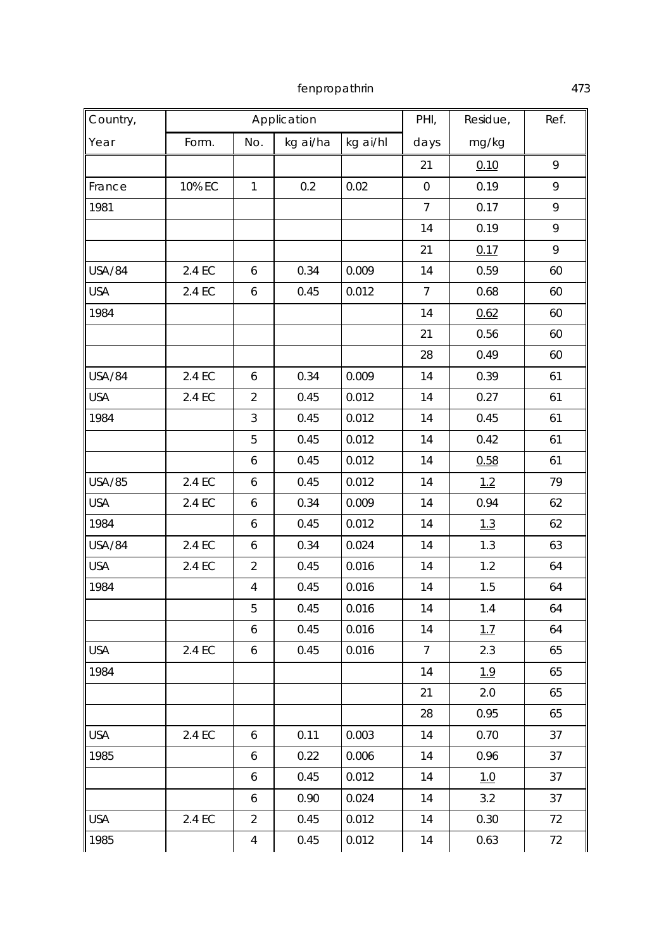| Country,      |        |                  | Application |          | PHI,             | Residue, | Ref. |
|---------------|--------|------------------|-------------|----------|------------------|----------|------|
| Year          | Form.  | No.              | kg ai/ha    | kg ai/hl | days             | mg/kg    |      |
|               |        |                  |             |          | 21               | 0.10     | 9    |
| France        | 10% EC | $\mathbf{1}$     | 0.2         | 0.02     | $\boldsymbol{0}$ | 0.19     | 9    |
| 1981          |        |                  |             |          | $\overline{7}$   | 0.17     | 9    |
|               |        |                  |             |          | 14               | 0.19     | 9    |
|               |        |                  |             |          | 21               | 0.17     | 9    |
| <b>USA/84</b> | 2.4 EC | 6                | 0.34        | 0.009    | 14               | 0.59     | 60   |
| <b>USA</b>    | 2.4 EC | 6                | 0.45        | 0.012    | $\overline{7}$   | 0.68     | 60   |
| 1984          |        |                  |             |          | 14               | 0.62     | 60   |
|               |        |                  |             |          | 21               | 0.56     | 60   |
|               |        |                  |             |          | 28               | 0.49     | 60   |
| <b>USA/84</b> | 2.4 EC | 6                | 0.34        | 0.009    | 14               | 0.39     | 61   |
| <b>USA</b>    | 2.4 EC | $\overline{2}$   | 0.45        | 0.012    | 14               | 0.27     | 61   |
| 1984          |        | 3                | 0.45        | 0.012    | 14               | 0.45     | 61   |
|               |        | 5                | 0.45        | 0.012    | 14               | 0.42     | 61   |
|               |        | 6                | 0.45        | 0.012    | 14               | 0.58     | 61   |
| <b>USA/85</b> | 2.4 EC | 6                | 0.45        | 0.012    | 14               | 1.2      | 79   |
| <b>USA</b>    | 2.4 EC | 6                | 0.34        | 0.009    | 14               | 0.94     | 62   |
| 1984          |        | 6                | 0.45        | 0.012    | 14               | 1.3      | 62   |
| <b>USA/84</b> | 2.4 EC | 6                | 0.34        | 0.024    | 14               | 1.3      | 63   |
| <b>USA</b>    | 2.4 EC | $\overline{2}$   | 0.45        | 0.016    | 14               | 1.2      | 64   |
| 1984          |        | $\overline{4}$   | 0.45        | 0.016    | 14               | 1.5      | 64   |
|               |        | 5                | 0.45        | 0.016    | 14               | 1.4      | 64   |
|               |        | 6                | 0.45        | 0.016    | 14               | 1.7      | 64   |
| <b>USA</b>    | 2.4 EC | $\boldsymbol{6}$ | 0.45        | 0.016    | $7\overline{ }$  | 2.3      | 65   |
| 1984          |        |                  |             |          | 14               | 1.9      | 65   |
|               |        |                  |             |          | 21               | 2.0      | 65   |
|               |        |                  |             |          | 28               | 0.95     | 65   |
| <b>USA</b>    | 2.4 EC | 6                | 0.11        | 0.003    | 14               | 0.70     | 37   |
| 1985          |        | 6                | 0.22        | 0.006    | 14               | 0.96     | 37   |
|               |        | 6                | 0.45        | 0.012    | 14               | 1.0      | 37   |
|               |        | 6                | 0.90        | 0.024    | 14               | 3.2      | 37   |
| <b>USA</b>    | 2.4 EC | $\overline{2}$   | 0.45        | 0.012    | 14               | 0.30     | 72   |
| 1985          |        | $\overline{4}$   | 0.45        | 0.012    | 14               | 0.63     | 72   |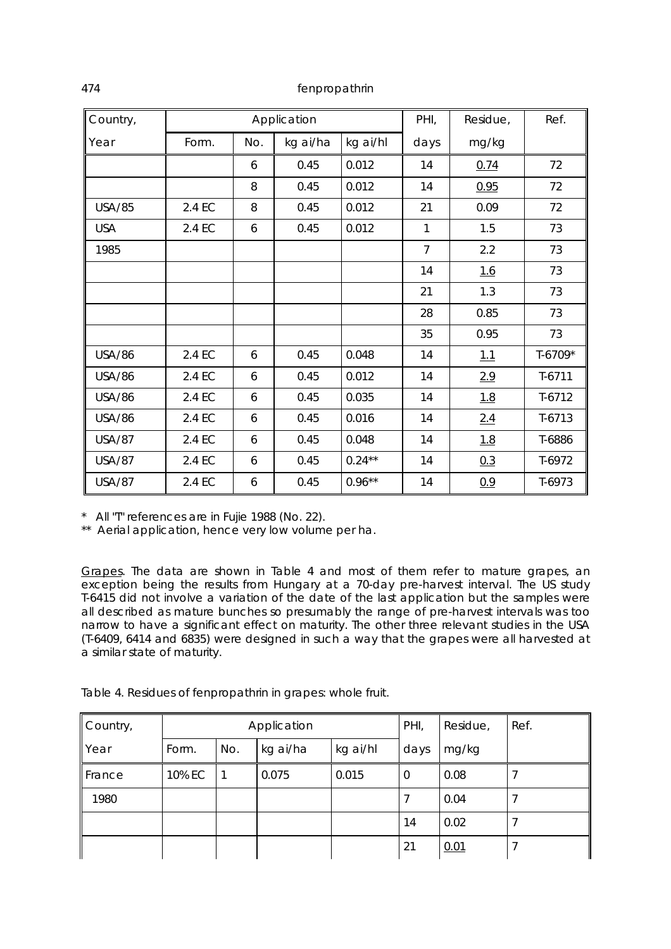| Country,      |        |     | Application |           | PHI,           | Residue, | Ref.     |
|---------------|--------|-----|-------------|-----------|----------------|----------|----------|
| Year          | Form.  | No. | kg ai/ha    | kg ai/hl  | days           | mg/kg    |          |
|               |        | 6   | 0.45        | 0.012     | 14             | 0.74     | 72       |
|               |        | 8   | 0.45        | 0.012     | 14             | 0.95     | 72       |
| <b>USA/85</b> | 2.4 EC | 8   | 0.45        | 0.012     | 21             | 0.09     | 72       |
| <b>USA</b>    | 2.4 EC | 6   | 0.45        | 0.012     | $\mathbf{1}$   | 1.5      | 73       |
| 1985          |        |     |             |           | $\overline{7}$ | 2.2      | 73       |
|               |        |     |             |           | 14             | 1.6      | 73       |
|               |        |     |             |           | 21             | 1.3      | 73       |
|               |        |     |             |           | 28             | 0.85     | 73       |
|               |        |     |             |           | 35             | 0.95     | 73       |
| <b>USA/86</b> | 2.4 EC | 6   | 0.45        | 0.048     | 14             | 1.1      | T-6709*  |
| <b>USA/86</b> | 2.4 EC | 6   | 0.45        | 0.012     | 14             | 2.9      | $T-6711$ |
| <b>USA/86</b> | 2.4 EC | 6   | 0.45        | 0.035     | 14             | 1.8      | $T-6712$ |
| <b>USA/86</b> | 2.4 EC | 6   | 0.45        | 0.016     | 14             | 2.4      | $T-6713$ |
| <b>USA/87</b> | 2.4 EC | 6   | 0.45        | 0.048     | 14             | 1.8      | T-6886   |
| <b>USA/87</b> | 2.4 EC | 6   | 0.45        | $0.24***$ | 14             | 0.3      | $T-6972$ |
| <b>USA/87</b> | 2.4 EC | 6   | 0.45        | $0.96***$ | 14             | 0.9      | $T-6973$ |

\* All "T" references are in Fujie 1988 (No. 22).

\*\* Aerial application, hence very low volume per ha.

Grapes. The data are shown in Table 4 and most of them refer to mature grapes, an exception being the results from Hungary at a 70-day pre-harvest interval. The US study T-6415 did not involve a variation of the date of the last application but the samples were all described as mature bunches so presumably the range of pre-harvest intervals was too narrow to have a significant effect on maturity. The other three relevant studies in the USA (T-6409, 6414 and 6835) were designed in such a way that the grapes were all harvested at a similar state of maturity.

| Country,              |        |     | Application |          | PHI, | Residue, | Ref. |
|-----------------------|--------|-----|-------------|----------|------|----------|------|
| Year                  | Form.  | No. | kg ai/ha    | kg ai/hl | days | mg/kg    |      |
| $\blacksquare$ France | 10% EC |     | 0.075       | 0.015    | 0    | 0.08     |      |
| 1980                  |        |     |             |          |      | 0.04     |      |
|                       |        |     |             |          | 14   | 0.02     |      |
|                       |        |     |             |          | 21   | 0.01     |      |

Table 4. Residues of fenpropathrin in grapes: whole fruit.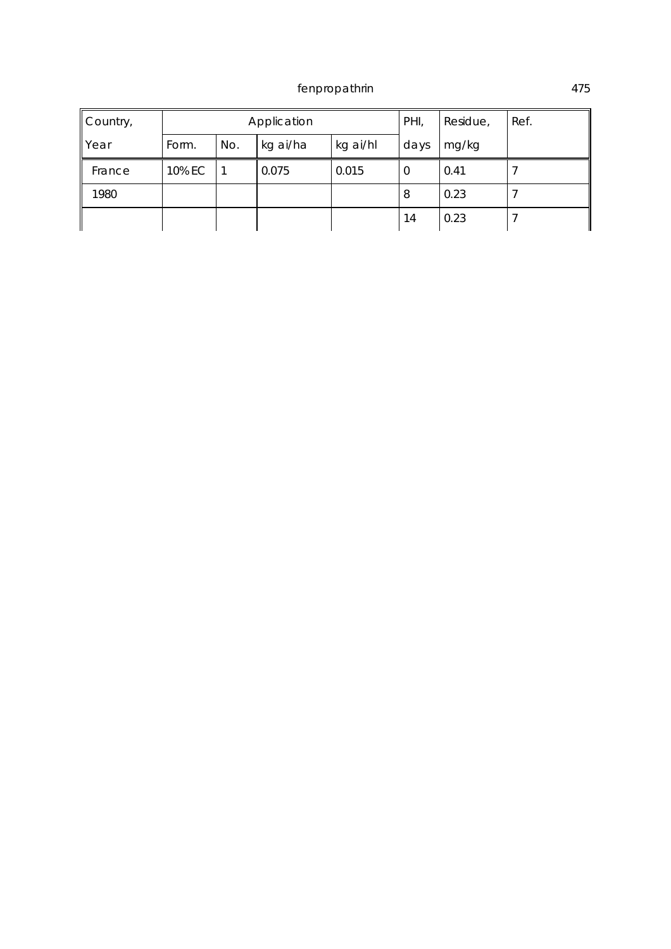| Country, |        |     | Application |          | PHI, | Residue, | Ref. |
|----------|--------|-----|-------------|----------|------|----------|------|
| Year     | Form.  | No. | kg ai/ha    | kg ai/hl | days | mg/kg    |      |
| France   | 10% EC |     | 0.075       | 0.015    | 0    | 0.41     |      |
| 1980     |        |     |             |          | 8    | 0.23     |      |
|          |        |     |             |          | 14   | 0.23     |      |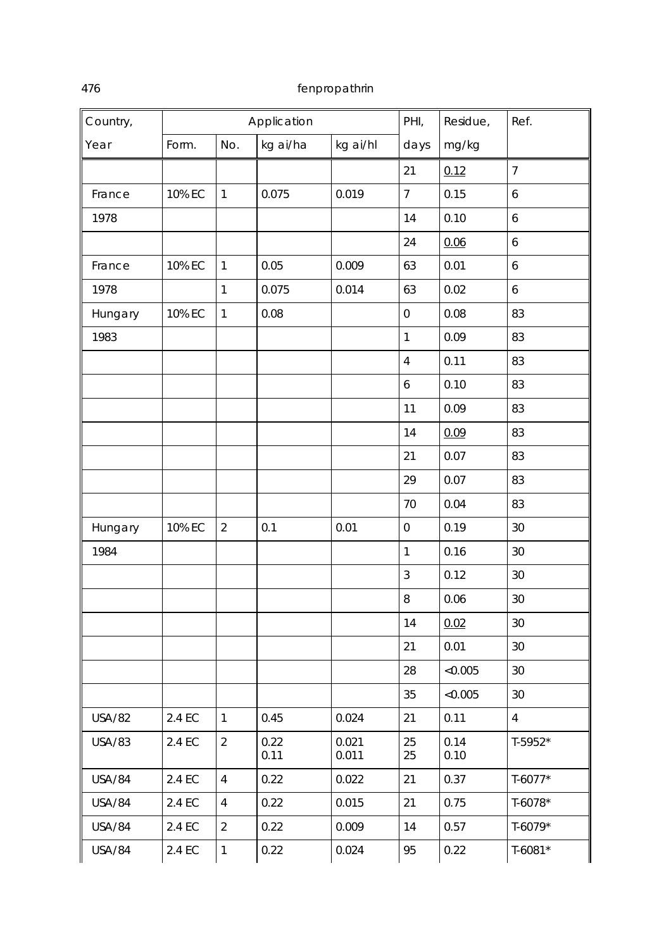| Country,      |        |                | Application  |                | PHI,             | Residue,     | Ref.             |
|---------------|--------|----------------|--------------|----------------|------------------|--------------|------------------|
| Year          | Form.  | No.            | kg ai/ha     | kg ai/hl       | days             | mg/kg        |                  |
|               |        |                |              |                | 21               | 0.12         | $\overline{7}$   |
| France        | 10% EC | 1              | 0.075        | 0.019          | $\overline{7}$   | 0.15         | $\boldsymbol{6}$ |
| 1978          |        |                |              |                | 14               | 0.10         | $\boldsymbol{6}$ |
|               |        |                |              |                | 24               | 0.06         | $\boldsymbol{6}$ |
| France        | 10% EC | $\mathbf{1}$   | 0.05         | 0.009          | 63               | 0.01         | $\boldsymbol{6}$ |
| 1978          |        | 1              | 0.075        | 0.014          | 63               | 0.02         | $\mathbf 6$      |
| Hungary       | 10% EC | $\mathbf{1}$   | 0.08         |                | $\boldsymbol{0}$ | 0.08         | 83               |
| 1983          |        |                |              |                | $\mathbf{1}$     | 0.09         | 83               |
|               |        |                |              |                | $\overline{4}$   | 0.11         | 83               |
|               |        |                |              |                | $\mathbf 6$      | 0.10         | 83               |
|               |        |                |              |                | 11               | 0.09         | 83               |
|               |        |                |              |                | 14               | 0.09         | 83               |
|               |        |                |              |                | 21               | 0.07         | 83               |
|               |        |                |              |                | 29               | 0.07         | 83               |
|               |        |                |              |                | 70               | 0.04         | 83               |
| Hungary       | 10% EC | $\overline{2}$ | 0.1          | 0.01           | $\mbox{O}$       | 0.19         | 30               |
| 1984          |        |                |              |                | $\mathbf{1}$     | 0.16         | 30               |
|               |        |                |              |                | 3                | 0.12         | 30               |
|               |        |                |              |                | $\, 8$           | 0.06         | 30               |
|               |        |                |              |                | 14               | 0.02         | 30               |
|               |        |                |              |                | 21               | 0.01         | 30               |
|               |        |                |              |                | 28               | < 0.005      | 30               |
|               |        |                |              |                | 35               | < 0.005      | 30               |
| <b>USA/82</b> | 2.4 EC | $\mathbf{1}$   | 0.45         | 0.024          | 21               | 0.11         | $\overline{4}$   |
| <b>USA/83</b> | 2.4 EC | $\overline{2}$ | 0.22<br>0.11 | 0.021<br>0.011 | 25<br>25         | 0.14<br>0.10 | $T-5952*$        |
| <b>USA/84</b> | 2.4 EC | $\overline{4}$ | 0.22         | 0.022          | 21               | 0.37         | $T-6077*$        |
| <b>USA/84</b> | 2.4 EC | $\overline{4}$ | 0.22         | 0.015          | 21               | 0.75         | $T-6078*$        |
| <b>USA/84</b> | 2.4 EC | $\overline{2}$ | 0.22         | 0.009          | 14               | 0.57         | $T-6079*$        |
| <b>USA/84</b> | 2.4 EC | $\mathbf{1}$   | 0.22         | 0.024          | 95               | 0.22         | $T-6081*$        |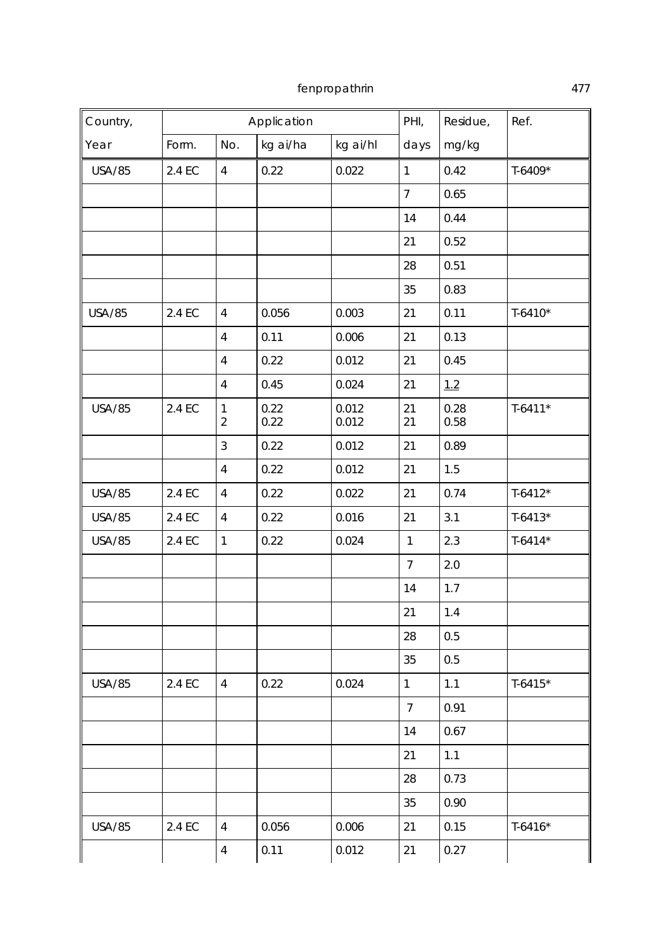| Country,      |        |                                | Application  |                | PHI,           | Residue,     | Ref.        |
|---------------|--------|--------------------------------|--------------|----------------|----------------|--------------|-------------|
| Year          | Form.  | No.                            | kg ai/ha     | kg ai/hl       | days           | mg/kg        |             |
| <b>USA/85</b> | 2.4 EC | $\overline{4}$                 | 0.22         | 0.022          | $\mathbf{1}$   | 0.42         | $T-6409*$   |
|               |        |                                |              |                | $\overline{7}$ | 0.65         |             |
|               |        |                                |              |                | 14             | 0.44         |             |
|               |        |                                |              |                | 21             | 0.52         |             |
|               |        |                                |              |                | 28             | 0.51         |             |
|               |        |                                |              |                | 35             | 0.83         |             |
| <b>USA/85</b> | 2.4 EC | $\overline{4}$                 | 0.056        | 0.003          | 21             | 0.11         | $T-6410*$   |
|               |        | $\overline{4}$                 | 0.11         | 0.006          | 21             | 0.13         |             |
|               |        | $\overline{4}$                 | 0.22         | 0.012          | 21             | 0.45         |             |
|               |        | $\overline{4}$                 | 0.45         | 0.024          | 21             | 1.2          |             |
| <b>USA/85</b> | 2.4 EC | $\mathbf{1}$<br>$\overline{2}$ | 0.22<br>0.22 | 0.012<br>0.012 | 21<br>21       | 0.28<br>0.58 | $T-6411*$   |
|               |        | 3                              | 0.22         | 0.012          | 21             | 0.89         |             |
|               |        | $\overline{4}$                 | 0.22         | 0.012          | 21             | 1.5          |             |
| <b>USA/85</b> | 2.4 EC | $\overline{4}$                 | 0.22         | 0.022          | 21             | 0.74         | $T-6412*$   |
| <b>USA/85</b> | 2.4 EC | $\overline{4}$                 | 0.22         | 0.016          | 21             | 3.1          | $T-6413*$   |
| <b>USA/85</b> | 2.4 EC | $\mathbf{1}$                   | 0.22         | 0.024          | $\mathbf{1}$   | 2.3          | $T-6414*$   |
|               |        |                                |              |                | $\overline{7}$ | 2.0          |             |
|               |        |                                |              |                | 14             | 1.7          |             |
|               |        |                                |              |                | 21             | 1.4          |             |
|               |        |                                |              |                | 28             | 0.5          |             |
|               |        |                                |              |                | 35             | 0.5          |             |
| <b>USA/85</b> | 2.4 EC | $\overline{4}$                 | 0.22         | 0.024          | $\mathbf{1}$   | 1.1          | $T-6415*$   |
|               |        |                                |              |                | $\overline{7}$ | 0.91         |             |
|               |        |                                |              |                | 14             | 0.67         |             |
|               |        |                                |              |                | 21             | 1.1          |             |
|               |        |                                |              |                | 28             | 0.73         |             |
|               |        |                                |              |                | 35             | 0.90         |             |
| <b>USA/85</b> | 2.4 EC | $\overline{4}$                 | 0.056        | 0.006          | 21             | 0.15         | $T - 6416*$ |
|               |        | $\overline{4}$                 | 0.11         | 0.012          | 21             | 0.27         |             |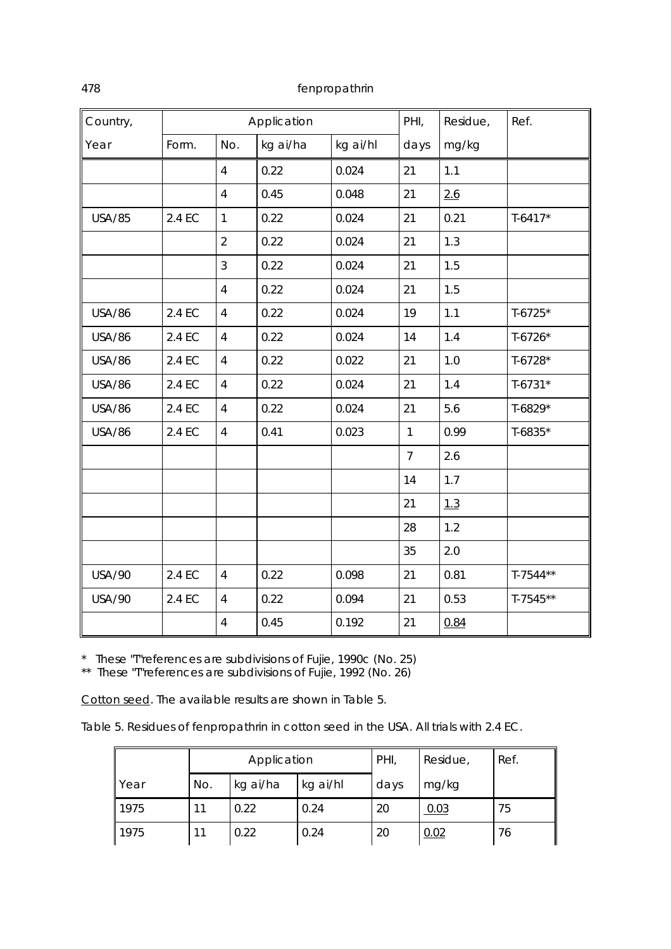| Country,      |        |                | Application |          | PHI,           | Residue, | Ref.       |
|---------------|--------|----------------|-------------|----------|----------------|----------|------------|
| Year          | Form.  | No.            | kg ai/ha    | kg ai/hl | days           | mg/kg    |            |
|               |        | $\overline{4}$ | 0.22        | 0.024    | 21             | 1.1      |            |
|               |        | $\overline{4}$ | 0.45        | 0.048    | 21             | 2.6      |            |
| <b>USA/85</b> | 2.4 EC | $\mathbf{1}$   | 0.22        | 0.024    | 21             | 0.21     | $T-6417*$  |
|               |        | $\overline{2}$ | 0.22        | 0.024    | 21             | 1.3      |            |
|               |        | $\mathfrak{Z}$ | 0.22        | 0.024    | 21             | 1.5      |            |
|               |        | $\overline{4}$ | 0.22        | 0.024    | 21             | 1.5      |            |
| <b>USA/86</b> | 2.4 EC | $\overline{4}$ | 0.22        | 0.024    | 19             | 1.1      | $T-6725*$  |
| <b>USA/86</b> | 2.4 EC | $\overline{4}$ | 0.22        | 0.024    | 14             | 1.4      | $T-6726*$  |
| <b>USA/86</b> | 2.4 EC | $\overline{4}$ | 0.22        | 0.022    | 21             | 1.0      | $T-6728*$  |
| <b>USA/86</b> | 2.4 EC | $\overline{4}$ | 0.22        | 0.024    | 21             | 1.4      | $T-6731*$  |
| <b>USA/86</b> | 2.4 EC | $\overline{4}$ | 0.22        | 0.024    | 21             | 5.6      | T-6829*    |
| <b>USA/86</b> | 2.4 EC | $\overline{4}$ | 0.41        | 0.023    | $\mathbf{1}$   | 0.99     | $T-6835*$  |
|               |        |                |             |          | $\overline{7}$ | 2.6      |            |
|               |        |                |             |          | 14             | 1.7      |            |
|               |        |                |             |          | 21             | 1.3      |            |
|               |        |                |             |          | 28             | 1.2      |            |
|               |        |                |             |          | 35             | 2.0      |            |
| <b>USA/90</b> | 2.4 EC | $\overline{4}$ | 0.22        | 0.098    | 21             | 0.81     | $T-7544**$ |
| <b>USA/90</b> | 2.4 EC | $\overline{4}$ | 0.22        | 0.094    | 21             | 0.53     | $T-7545**$ |
|               |        | $\overline{4}$ | 0.45        | 0.192    | 21             | 0.84     |            |

\* These "T"references are subdivisions of Fujie, 1990c (No. 25)

\*\* These "T"references are subdivisions of Fujie, 1992 (No. 26)

Cotton seed. The available results are shown in Table 5.

Table 5. Residues of fenpropathrin in cotton seed in the USA. All trials with 2.4 EC.

|               |     | Application |          | PHI, | Residue, | Ref. |
|---------------|-----|-------------|----------|------|----------|------|
| <b>I</b> Year | No. | kg ai/ha    | kg ai/hl | days | mg/kg    |      |
| 1975          | 11  | 0.22        | 0.24     | 20   | 0.03     | 75   |
| 1975          |     | 0.22        | 0.24     | 20   | 0.02     | 76   |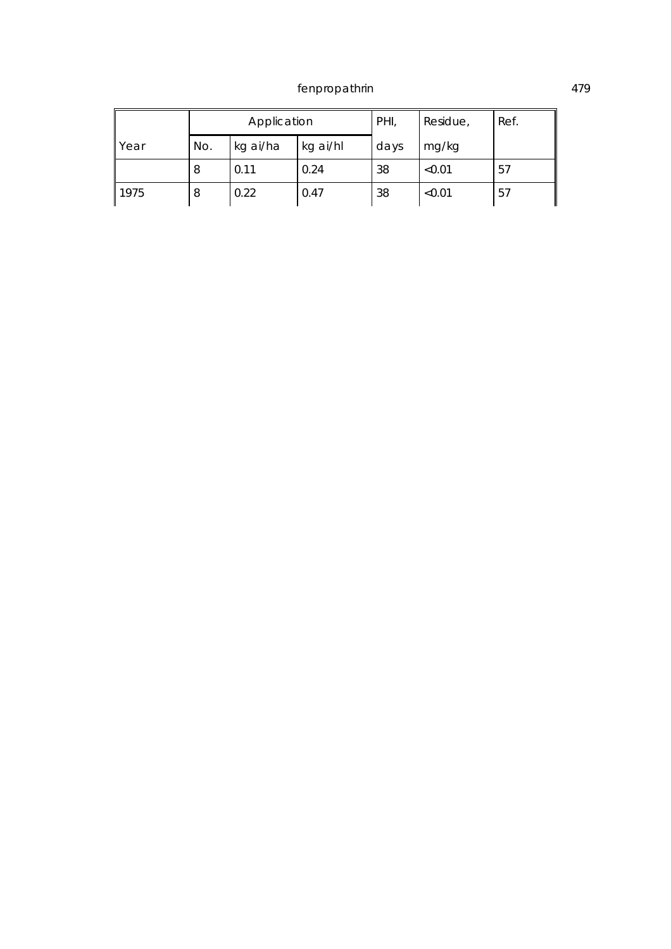|      |     | Application |          | PHI, | Residue, | Ref. |
|------|-----|-------------|----------|------|----------|------|
| Year | No. | kg ai/ha    | kg ai/hl | days | mg/kg    |      |
|      | 8   | 0.11        | 0.24     | 38   | < 0.01   | 57   |
| 1975 | 8   | 0.22        | 0.47     | 38   | < 0.01   | 57   |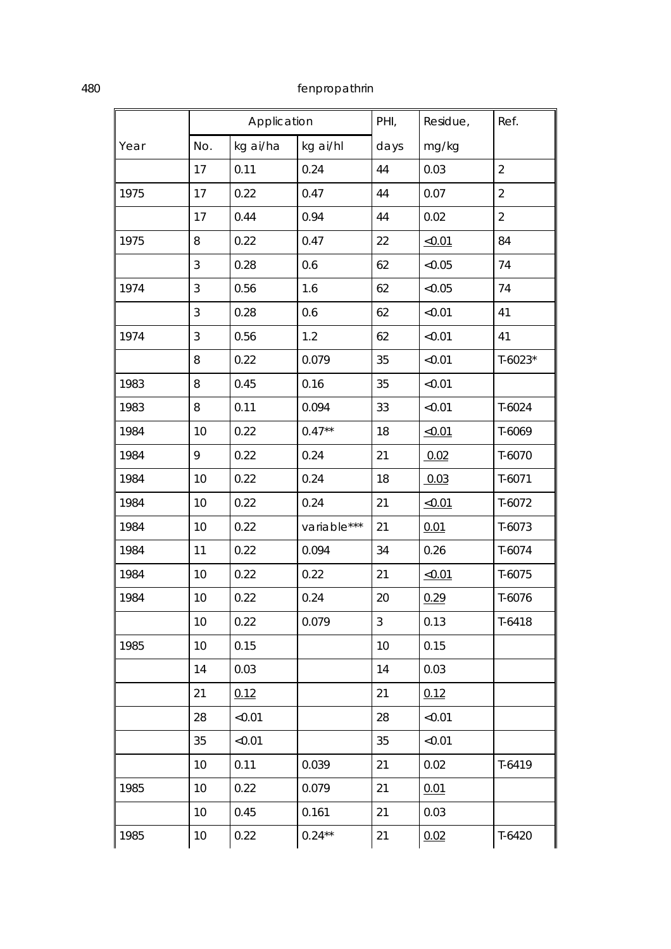|      |     | Application |             | PHI, | Residue, | Ref.           |
|------|-----|-------------|-------------|------|----------|----------------|
| Year | No. | kg ai/ha    | kg ai/hl    | days | mg/kg    |                |
|      | 17  | 0.11        | 0.24        | 44   | 0.03     | $\overline{2}$ |
| 1975 | 17  | 0.22        | 0.47        | 44   | 0.07     | $\overline{2}$ |
|      | 17  | 0.44        | 0.94        | 44   | 0.02     | $\overline{2}$ |
| 1975 | 8   | 0.22        | 0.47        | 22   | < 0.01   | 84             |
|      | 3   | 0.28        | 0.6         | 62   | < 0.05   | 74             |
| 1974 | 3   | 0.56        | 1.6         | 62   | < 0.05   | 74             |
|      | 3   | 0.28        | 0.6         | 62   | < 0.01   | 41             |
| 1974 | 3   | 0.56        | 1.2         | 62   | < 0.01   | 41             |
|      | 8   | 0.22        | 0.079       | 35   | < 0.01   | $T-6023*$      |
| 1983 | 8   | 0.45        | 0.16        | 35   | < 0.01   |                |
| 1983 | 8   | 0.11        | 0.094       | 33   | < 0.01   | $T-6024$       |
| 1984 | 10  | 0.22        | $0.47**$    | 18   | < 0.01   | T-6069         |
| 1984 | 9   | 0.22        | 0.24        | 21   | 0.02     | T-6070         |
| 1984 | 10  | 0.22        | 0.24        | 18   | 0.03     | $T-6071$       |
| 1984 | 10  | 0.22        | 0.24        | 21   | < 0.01   | $T-6072$       |
| 1984 | 10  | 0.22        | variable*** | 21   | 0.01     | $T-6073$       |
| 1984 | 11  | 0.22        | 0.094       | 34   | 0.26     | T-6074         |
| 1984 | 10  | 0.22        | 0.22        | 21   | < 0.01   | T-6075         |
| 1984 | 10  | 0.22        | 0.24        | 20   | 0.29     | T-6076         |
|      | 10  | 0.22        | 0.079       | 3    | 0.13     | T-6418         |
| 1985 | 10  | 0.15        |             | 10   | 0.15     |                |
|      | 14  | 0.03        |             | 14   | 0.03     |                |
|      | 21  | 0.12        |             | 21   | 0.12     |                |
|      | 28  | < 0.01      |             | 28   | < 0.01   |                |
|      | 35  | < 0.01      |             | 35   | < 0.01   |                |
|      | 10  | 0.11        | 0.039       | 21   | 0.02     | $T-6419$       |
| 1985 | 10  | 0.22        | 0.079       | 21   | 0.01     |                |
|      | 10  | 0.45        | 0.161       | 21   | 0.03     |                |
| 1985 | 10  | 0.22        | $0.24***$   | 21   | 0.02     | $T-6420$       |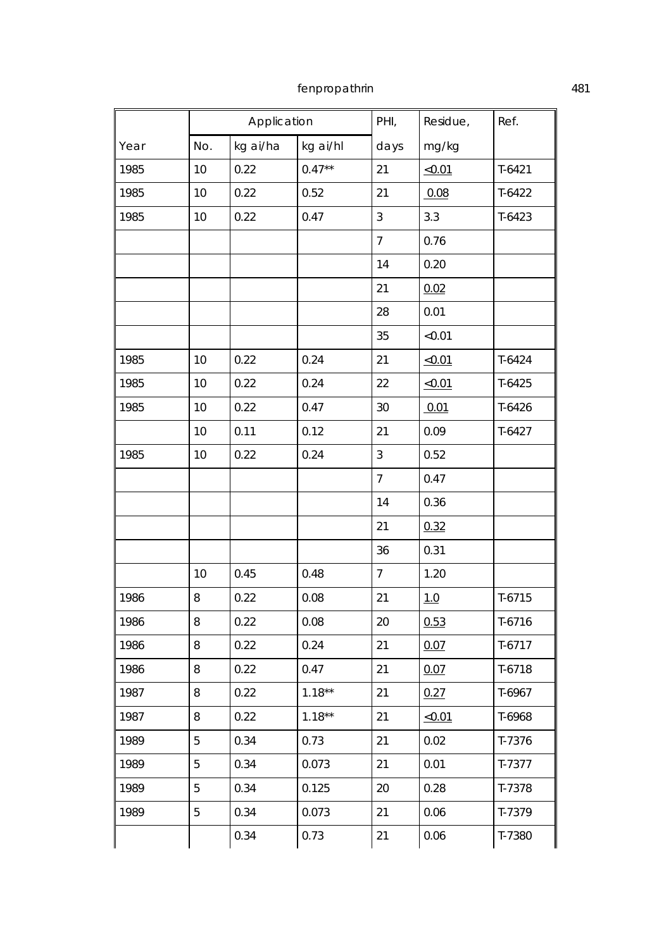|      |     | Application |           | PHI,           | Residue, | Ref.     |
|------|-----|-------------|-----------|----------------|----------|----------|
| Year | No. | kg ai/ha    | kg ai/hl  | days           | mg/kg    |          |
| 1985 | 10  | 0.22        | $0.47**$  | 21             | < 0.01   | $T-6421$ |
| 1985 | 10  | 0.22        | 0.52      | 21             | 0.08     | $T-6422$ |
| 1985 | 10  | 0.22        | 0.47      | $\mathfrak{Z}$ | 3.3      | $T-6423$ |
|      |     |             |           | $\overline{7}$ | 0.76     |          |
|      |     |             |           | 14             | 0.20     |          |
|      |     |             |           | 21             | 0.02     |          |
|      |     |             |           | 28             | 0.01     |          |
|      |     |             |           | 35             | < 0.01   |          |
| 1985 | 10  | 0.22        | 0.24      | 21             | < 0.01   | $T-6424$ |
| 1985 | 10  | 0.22        | 0.24      | 22             | <0.01    | $T-6425$ |
| 1985 | 10  | 0.22        | 0.47      | 30             | 0.01     | $T-6426$ |
|      | 10  | 0.11        | 0.12      | 21             | 0.09     | $T-6427$ |
| 1985 | 10  | 0.22        | 0.24      | $\mathfrak{Z}$ | 0.52     |          |
|      |     |             |           | $\overline{7}$ | 0.47     |          |
|      |     |             |           | 14             | 0.36     |          |
|      |     |             |           | 21             | 0.32     |          |
|      |     |             |           | 36             | 0.31     |          |
|      | 10  | 0.45        | 0.48      | $\overline{7}$ | 1.20     |          |
| 1986 | 8   | 0.22        | 0.08      | 21             | 1.0      | $T-6715$ |
| 1986 | 8   | 0.22        | 0.08      | 20             | 0.53     | $T-6716$ |
| 1986 | 8   | 0.22        | 0.24      | 21             | 0.07     | $T-6717$ |
| 1986 | 8   | 0.22        | 0.47      | 21             | 0.07     | $T-6718$ |
| 1987 | 8   | 0.22        | $1.18***$ | 21             | 0.27     | T-6967   |
| 1987 | 8   | 0.22        | $1.18***$ | 21             | < 0.01   | T-6968   |
| 1989 | 5   | 0.34        | 0.73      | 21             | 0.02     | T-7376   |
| 1989 | 5   | 0.34        | 0.073     | 21             | 0.01     | $T-7377$ |
| 1989 | 5   | 0.34        | 0.125     | 20             | 0.28     | T-7378   |
| 1989 | 5   | 0.34        | 0.073     | 21             | 0.06     | T-7379   |
|      |     | 0.34        | 0.73      | 21             | 0.06     | T-7380   |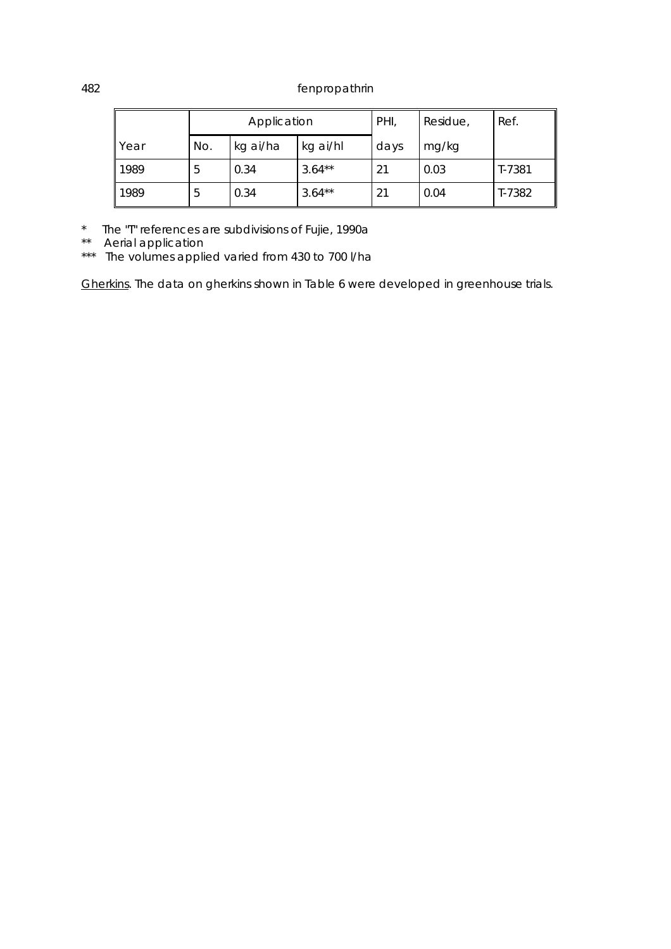|      |                             | Application |           | PHI, | Residue, | Ref.   |
|------|-----------------------------|-------------|-----------|------|----------|--------|
| Year | No.<br>kg ai/ha<br>kg ai/hl |             |           | days | mg/kg    |        |
| 1989 | 5                           | 0.34        | $3.64***$ | 21   | 0.03     | T-7381 |
| 1989 | 5                           | 0.34        | $3.64***$ | 21   | 0.04     | T-7382 |

\* The "T" references are subdivisions of Fujie, 1990a

\*\* Aerial application

\*\*\* The volumes applied varied from 430 to 700 l/ha

Gherkins. The data on gherkins shown in Table 6 were developed in greenhouse trials.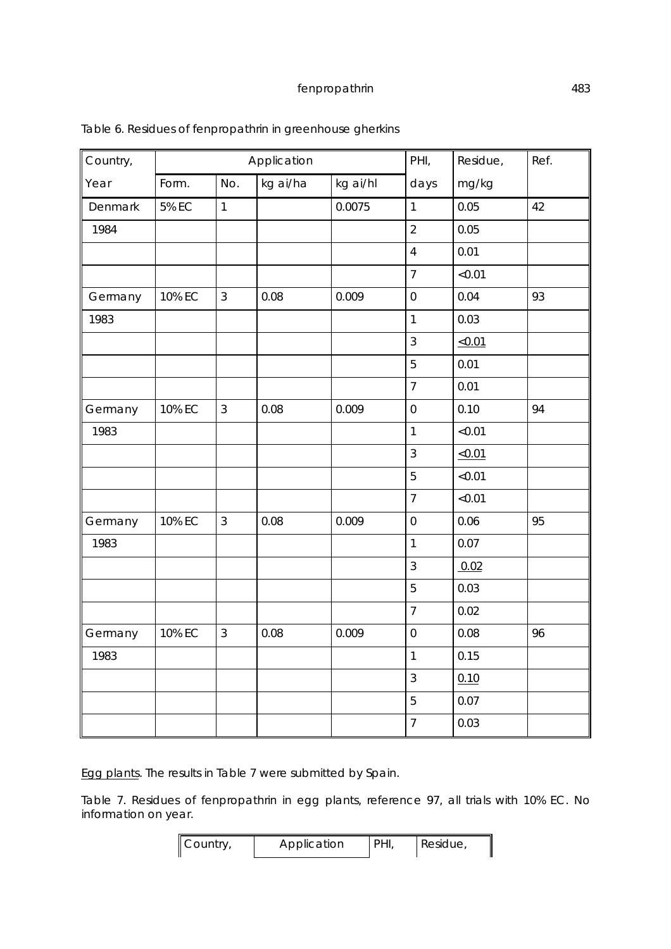| Country, |              |                | Application |          | PHI,             | Residue, | Ref. |
|----------|--------------|----------------|-------------|----------|------------------|----------|------|
| Year     | Form.        | No.            | kg ai/ha    | kg ai/hl | days             | mg/kg    |      |
| Denmark  | <b>5% EC</b> | $\mathbf{1}$   |             | 0.0075   | $\mathbf{1}$     | 0.05     | 42   |
| 1984     |              |                |             |          | $\overline{2}$   | 0.05     |      |
|          |              |                |             |          | $\overline{4}$   | 0.01     |      |
|          |              |                |             |          | $\overline{7}$   | < 0.01   |      |
| Germany  | 10% EC       | $\mathfrak{Z}$ | 0.08        | 0.009    | $\boldsymbol{0}$ | 0.04     | 93   |
| 1983     |              |                |             |          | $\mathbf{1}$     | 0.03     |      |
|          |              |                |             |          | $\overline{3}$   | < 0.01   |      |
|          |              |                |             |          | 5                | 0.01     |      |
|          |              |                |             |          | $\overline{7}$   | 0.01     |      |
| Germany  | 10% EC       | $\mathbf{3}$   | 0.08        | 0.009    | $\boldsymbol{0}$ | 0.10     | 94   |
| 1983     |              |                |             |          | $\mathbf{1}$     | < 0.01   |      |
|          |              |                |             |          | $\overline{3}$   | < 0.01   |      |
|          |              |                |             |          | 5                | < 0.01   |      |
|          |              |                |             |          | $\overline{7}$   | < 0.01   |      |
| Germany  | 10% EC       | $\mathfrak{Z}$ | 0.08        | 0.009    | $\boldsymbol{0}$ | 0.06     | 95   |
| 1983     |              |                |             |          | $\mathbf{1}$     | 0.07     |      |
|          |              |                |             |          | $\mathfrak{Z}$   | 0.02     |      |
|          |              |                |             |          | 5                | 0.03     |      |
|          |              |                |             |          | $\overline{7}$   | 0.02     |      |
| Germany  | 10% EC       | $\mathfrak{Z}$ | 0.08        | 0.009    | $\boldsymbol{0}$ | 0.08     | 96   |
| 1983     |              |                |             |          | $\mathbf{1}$     | 0.15     |      |
|          |              |                |             |          | $\overline{3}$   | 0.10     |      |
|          |              |                |             |          | 5                | 0.07     |      |
|          |              |                |             |          | $\overline{7}$   | 0.03     |      |

## Table 6. Residues of fenpropathrin in greenhouse gherkins

Egg plants. The results in Table 7 were submitted by Spain.

Table 7. Residues of fenpropathrin in egg plants, reference 97, all trials with 10% EC. No information on year.

| Country, | Application | PHI, | $\vert$ Residue, |
|----------|-------------|------|------------------|
|----------|-------------|------|------------------|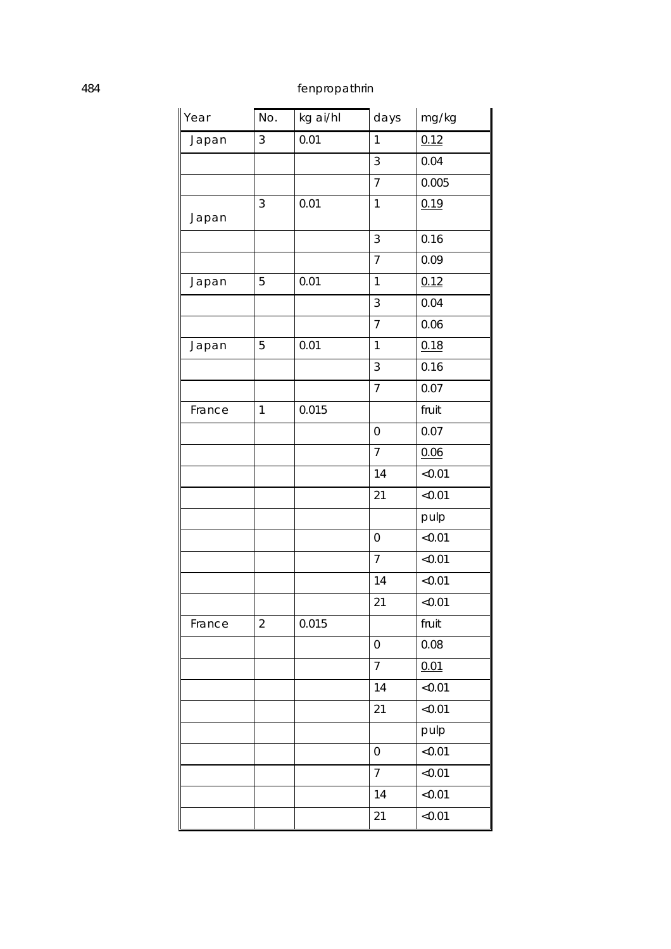| Year   | No.            | kg ai/hl | days             | mg/kg  |
|--------|----------------|----------|------------------|--------|
| Japan  | 3              | 0.01     | 1                | 0.12   |
|        |                |          | 3                | 0.04   |
|        |                |          | $\overline{7}$   | 0.005  |
| Japan  | 3              | 0.01     | 1                | 0.19   |
|        |                |          | 3                | 0.16   |
|        |                |          | $\overline{7}$   | 0.09   |
| Japan  | 5              | 0.01     | 1                | 0.12   |
|        |                |          | 3                | 0.04   |
|        |                |          | $\overline{7}$   | 0.06   |
| Japan  | 5              | 0.01     | 1                | 0.18   |
|        |                |          | 3                | 0.16   |
|        |                |          | $\overline{7}$   | 0.07   |
| France | $\mathbf{1}$   | 0.015    |                  | fruit  |
|        |                |          | 0                | 0.07   |
|        |                |          | $\overline{7}$   | 0.06   |
|        |                |          | 14               | < 0.01 |
|        |                |          | 21               | < 0.01 |
|        |                |          |                  | pulp   |
|        |                |          | $\mathbf 0$      | < 0.01 |
|        |                |          | $\overline{7}$   | < 0.01 |
|        |                |          | 14               | <0.01  |
|        |                |          | 21               | < 0.01 |
| France | $\overline{2}$ | 0.015    |                  | fruit  |
|        |                |          | 0                | 0.08   |
|        |                |          | $\overline{7}$   | 0.01   |
|        |                |          | 14               | < 0.01 |
|        |                |          | 21               | < 0.01 |
|        |                |          |                  | pulp   |
|        |                |          | $\boldsymbol{0}$ | < 0.01 |
|        |                |          | $\overline{7}$   | < 0.01 |
|        |                |          | 14               | < 0.01 |
|        |                |          | 21               | < 0.01 |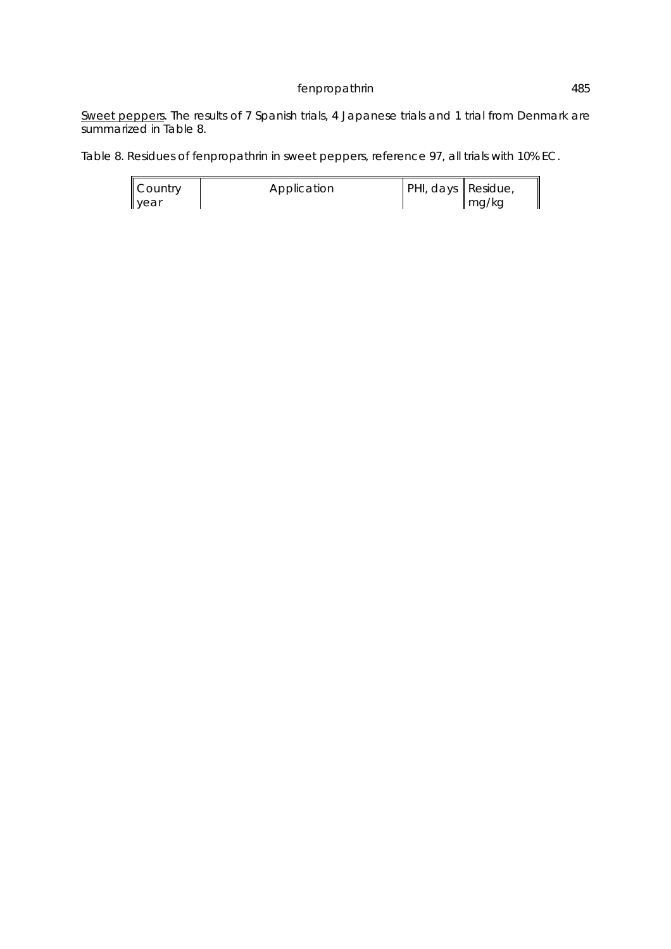Sweet peppers. The results of 7 Spanish trials, 4 Japanese trials and 1 trial from Denmark are summarized in Table 8.

Table 8. Residues of fenpropathrin in sweet peppers, reference 97, all trials with 10% EC.

| Country | Application | PHI, days Residue, |       |
|---------|-------------|--------------------|-------|
| year    |             |                    | mg/kg |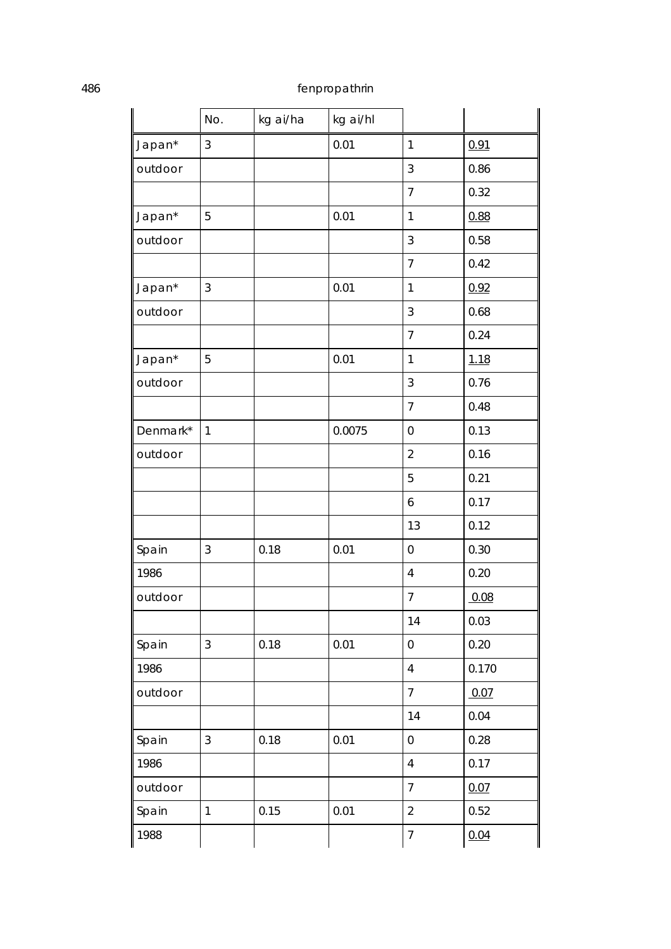|          | No.            | kg ai/ha | kg ai/hl |                  |             |
|----------|----------------|----------|----------|------------------|-------------|
| Japan*   | $\mathfrak{Z}$ |          | 0.01     | $\mathbf{1}$     | 0.91        |
| outdoor  |                |          |          | 3                | 0.86        |
|          |                |          |          | $\overline{7}$   | 0.32        |
| Japan*   | 5              |          | 0.01     | 1                | 0.88        |
| outdoor  |                |          |          | 3                | 0.58        |
|          |                |          |          | $\overline{7}$   | 0.42        |
| Japan*   | 3              |          | 0.01     | 1                | 0.92        |
| outdoor  |                |          |          | 3                | 0.68        |
|          |                |          |          | $\overline{7}$   | 0.24        |
| Japan*   | 5              |          | 0.01     | 1                | <u>1.18</u> |
| outdoor  |                |          |          | 3                | 0.76        |
|          |                |          |          | $\overline{7}$   | 0.48        |
| Denmark* | $\mathbf{1}$   |          | 0.0075   | 0                | 0.13        |
| outdoor  |                |          |          | $\overline{2}$   | 0.16        |
|          |                |          |          | 5                | 0.21        |
|          |                |          |          | 6                | 0.17        |
|          |                |          |          | 13               | 0.12        |
| Spain    | 3              | 0.18     | 0.01     | $\boldsymbol{0}$ | 0.30        |
| 1986     |                |          |          | 4                | 0.20        |
| outdoor  |                |          |          | $\overline{7}$   | 0.08        |
|          |                |          |          | 14               | 0.03        |
| Spain    | 3              | 0.18     | 0.01     | $\boldsymbol{0}$ | 0.20        |
| 1986     |                |          |          | $\overline{4}$   | 0.170       |
| outdoor  |                |          |          | $\overline{7}$   | 0.07        |
|          |                |          |          | 14               | 0.04        |
| Spain    | 3              | 0.18     | 0.01     | $\boldsymbol{0}$ | 0.28        |
| 1986     |                |          |          | $\overline{4}$   | 0.17        |
| outdoor  |                |          |          | $\overline{7}$   | 0.07        |
| Spain    | $\mathbf{1}$   | 0.15     | 0.01     | $\overline{2}$   | 0.52        |
| 1988     |                |          |          | $\overline{7}$   | 0.04        |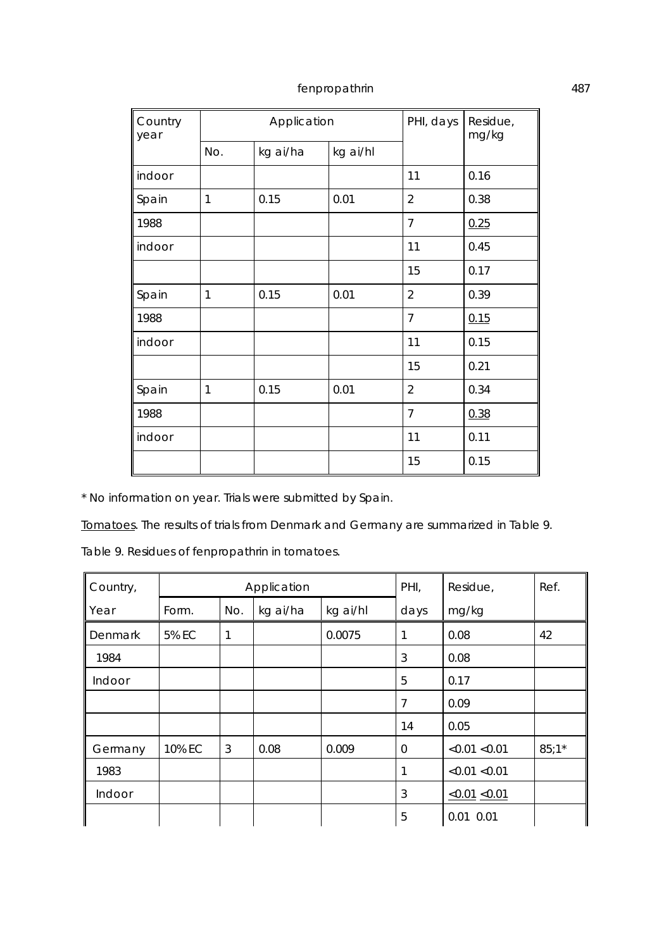| Country<br>year |              | Application |          | PHI, days      | Residue,<br>mg/kg |  |
|-----------------|--------------|-------------|----------|----------------|-------------------|--|
|                 | No.          | kg ai/ha    | kg ai/hl |                |                   |  |
| indoor          |              |             |          | 11             | 0.16              |  |
| Spain           | $\mathbf{1}$ | 0.15        | 0.01     | $\overline{2}$ | 0.38              |  |
| 1988            |              |             |          | 7              | 0.25              |  |
| indoor          |              |             |          | 11             | 0.45              |  |
|                 |              |             |          | 15             | 0.17              |  |
| Spain           | $\mathbf{1}$ | 0.15        | 0.01     | $\overline{2}$ | 0.39              |  |
| 1988            |              |             |          | $\overline{7}$ | 0.15              |  |
| indoor          |              |             |          | 11             | 0.15              |  |
|                 |              |             |          | 15             | 0.21              |  |
| Spain           | 1            | 0.15        | 0.01     | $\overline{2}$ | 0.34              |  |
| 1988            |              |             |          | $\overline{7}$ | 0.38              |  |
| indoor          |              |             |          | 11             | 0.11              |  |
|                 |              |             |          | 15             | 0.15              |  |

\* No information on year. Trials were submitted by Spain.

Tomatoes. The results of trials from Denmark and Germany are summarized in Table 9.

Table 9. Residues of fenpropathrin in tomatoes.

| Country, | Application  |     | PHI,     | Residue, | Ref. |                     |         |
|----------|--------------|-----|----------|----------|------|---------------------|---------|
| Year     | Form.        | No. | kg ai/ha | kg ai/hl | days | mg/kg               |         |
| Denmark  | <b>5% EC</b> | 1   |          | 0.0075   | 1    | 0.08                | 42      |
| 1984     |              |     |          |          | 3    | 0.08                |         |
| Indoor   |              |     |          |          | 5    | 0.17                |         |
|          |              |     |          |          | 7    | 0.09                |         |
|          |              |     |          |          | 14   | 0.05                |         |
| Germany  | 10% EC       | 3   | 0.08     | 0.009    | 0    | < 0.01 < 0.01       | $85:1*$ |
| 1983     |              |     |          |          | 1    | < 0.01 < 0.01       |         |
| Indoor   |              |     |          |          | 3    | $\le 0.01 \le 0.01$ |         |
|          |              |     |          |          | 5    | $0.01$ $0.01$       |         |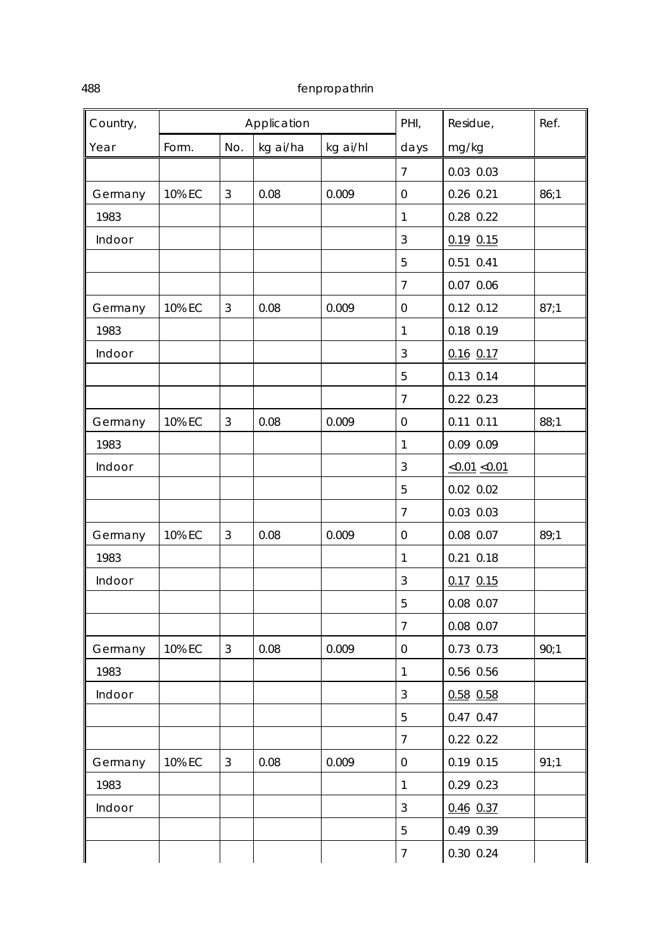| Country, |        |                | Application |          | PHI,             | Residue,<br>Ref.    |      |
|----------|--------|----------------|-------------|----------|------------------|---------------------|------|
| Year     | Form.  | No.            | kg ai/ha    | kg ai/hl | days             | mg/kg               |      |
|          |        |                |             |          | $\overline{7}$   | 0.03 0.03           |      |
| Germany  | 10% EC | $\mathfrak{Z}$ | 0.08        | 0.009    | 0                | 0.26 0.21           | 86;1 |
| 1983     |        |                |             |          | $\mathbf{1}$     | 0.28 0.22           |      |
| Indoor   |        |                |             |          | 3                | $0.19$ $0.15$       |      |
|          |        |                |             |          | 5                | 0.51 0.41           |      |
|          |        |                |             |          | $\overline{7}$   | 0.07 0.06           |      |
| Germany  | 10% EC | 3              | 0.08        | 0.009    | $\boldsymbol{0}$ | $0.12$ $0.12$       | 87;1 |
| 1983     |        |                |             |          | 1                | 0.18 0.19           |      |
| Indoor   |        |                |             |          | 3                | $0.16$ 0.17         |      |
|          |        |                |             |          | 5                | 0.13 0.14           |      |
|          |        |                |             |          | $\overline{7}$   | 0.22 0.23           |      |
| Germany  | 10% EC | 3              | 0.08        | 0.009    | 0                | $0.11$ $0.11$       | 88;1 |
| 1983     |        |                |             |          | 1                | 0.09 0.09           |      |
| Indoor   |        |                |             |          | 3                | $\le 0.01 \le 0.01$ |      |
|          |        |                |             |          | 5                | $0.02$ $0.02$       |      |
|          |        |                |             |          | $\overline{7}$   | 0.03 0.03           |      |
| Germany  | 10% EC | 3              | 0.08        | 0.009    | 0                | 0.08 0.07           | 89;1 |
| 1983     |        |                |             |          | $\mathbf{1}$     | $0.21$ $0.18$       |      |
| Indoor   |        |                |             |          | $\sqrt{3}$       | $0.17$ 0.15         |      |
|          |        |                |             |          | 5                | 0.08 0.07           |      |
|          |        |                |             |          | $\overline{7}$   | 0.08 0.07           |      |
| Germany  | 10% EC | $\mathfrak{Z}$ | 0.08        | 0.009    | $\boldsymbol{0}$ | 0.73 0.73           | 90;1 |
| 1983     |        |                |             |          | $\mathbf{1}$     | 0.56 0.56           |      |
| Indoor   |        |                |             |          | $\mathbf{3}$     | $0.58$ 0.58         |      |
|          |        |                |             |          | 5                | 0.47 0.47           |      |
|          |        |                |             |          | $\overline{7}$   | 0.22 0.22           |      |
| Germany  | 10% EC | $\mathfrak{Z}$ | 0.08        | 0.009    | $\boldsymbol{0}$ | $0.19$ $0.15$       | 91:1 |
| 1983     |        |                |             |          | $\mathbf{1}$     | 0.29 0.23           |      |
| Indoor   |        |                |             |          | 3                | $0.46$ 0.37         |      |
|          |        |                |             |          | 5                | 0.49 0.39           |      |
|          |        |                |             |          | $\overline{7}$   | 0.30 0.24           |      |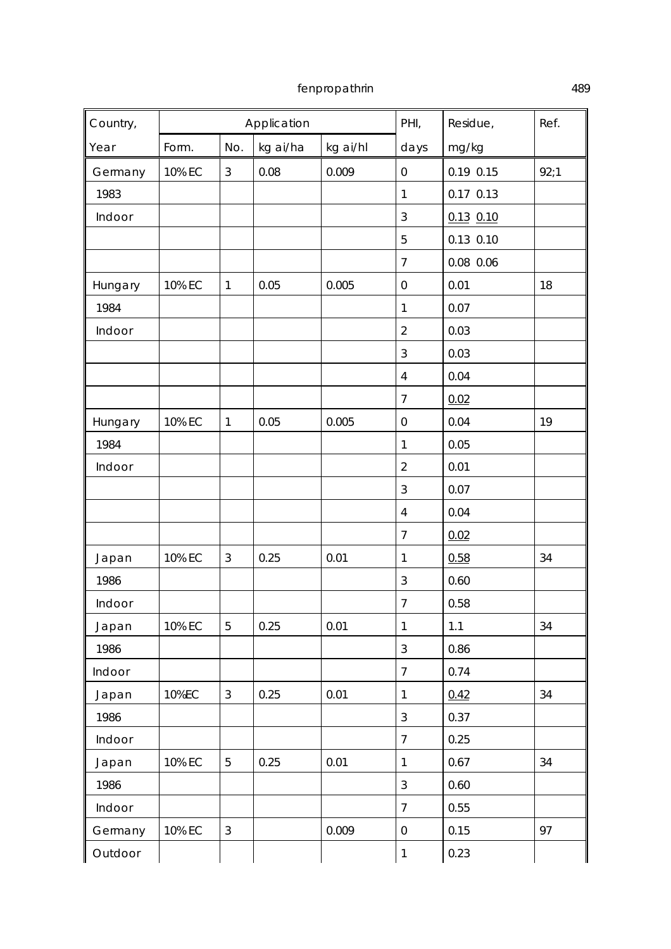| Country, |        |                | Application |          | PHI,             | Residue,      | Ref. |
|----------|--------|----------------|-------------|----------|------------------|---------------|------|
| Year     | Form.  | No.            | kg ai/ha    | kg ai/hl | days             | mg/kg         |      |
| Germany  | 10% EC | $\mathfrak{Z}$ | 0.08        | 0.009    | $\boldsymbol{0}$ | 0.19 0.15     | 92:1 |
| 1983     |        |                |             |          | $\mathbf{1}$     | $0.17$ $0.13$ |      |
| Indoor   |        |                |             |          | 3                | $0.13$ $0.10$ |      |
|          |        |                |             |          | 5                | $0.13$ $0.10$ |      |
|          |        |                |             |          | $\overline{7}$   | $0.08$ 0.06   |      |
| Hungary  | 10% EC | $\mathbf{1}$   | 0.05        | 0.005    | $\boldsymbol{0}$ | 0.01          | 18   |
| 1984     |        |                |             |          | $\mathbf{1}$     | 0.07          |      |
| Indoor   |        |                |             |          | $\overline{2}$   | 0.03          |      |
|          |        |                |             |          | 3                | 0.03          |      |
|          |        |                |             |          | $\overline{4}$   | 0.04          |      |
|          |        |                |             |          | 7                | 0.02          |      |
| Hungary  | 10% EC | $\mathbf{1}$   | 0.05        | 0.005    | $\boldsymbol{0}$ | 0.04          | 19   |
| 1984     |        |                |             |          | $\mathbf{1}$     | 0.05          |      |
| Indoor   |        |                |             |          | $\overline{2}$   | 0.01          |      |
|          |        |                |             |          | 3                | 0.07          |      |
|          |        |                |             |          | $\overline{4}$   | 0.04          |      |
|          |        |                |             |          | 7                | 0.02          |      |
| Japan    | 10% EC | $\mathfrak{Z}$ | 0.25        | 0.01     | $\mathbf{1}$     | 0.58          | 34   |
| 1986     |        |                |             |          | $\sqrt{3}$       | 0.60          |      |
| Indoor   |        |                |             |          | 7                | 0.58          |      |
| Japan    | 10% EC | 5              | 0.25        | 0.01     | $\mathbf{1}$     | $1.1$         | 34   |
| 1986     |        |                |             |          | $\overline{3}$   | 0.86          |      |
| Indoor   |        |                |             |          | $\overline{7}$   | 0.74          |      |
| Japan    | 10%EC  | $\mathfrak{Z}$ | 0.25        | 0.01     | $\mathbf{1}$     | 0.42          | 34   |
| 1986     |        |                |             |          | 3                | 0.37          |      |
| Indoor   |        |                |             |          | $\overline{7}$   | 0.25          |      |
| Japan    | 10% EC | 5              | 0.25        | 0.01     | $\mathbf{1}$     | 0.67          | 34   |
| 1986     |        |                |             |          | 3                | 0.60          |      |
| Indoor   |        |                |             |          | $\overline{7}$   | 0.55          |      |
| Germany  | 10% EC | $\mathbf{3}$   |             | 0.009    | $\boldsymbol{0}$ | 0.15          | 97   |
| Outdoor  |        |                |             |          | $\mathbf{1}$     | 0.23          |      |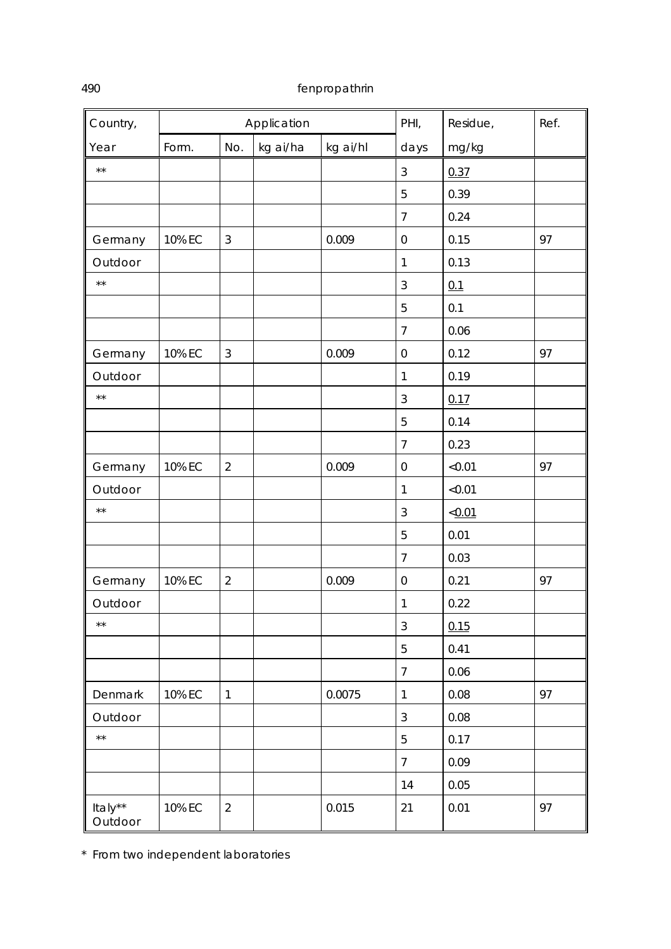| Country,           | Application |                | PHI,     | Residue,<br>Ref. |                  |        |    |
|--------------------|-------------|----------------|----------|------------------|------------------|--------|----|
| Year               | Form.       | No.            | kg ai/ha | kg ai/hl         | days             | mg/kg  |    |
| $\star \star$      |             |                |          |                  | 3                | 0.37   |    |
|                    |             |                |          |                  | 5                | 0.39   |    |
|                    |             |                |          |                  | $\overline{7}$   | 0.24   |    |
| Germany            | 10% EC      | $\sqrt{3}$     |          | 0.009            | 0                | 0.15   | 97 |
| Outdoor            |             |                |          |                  | $\mathbf{1}$     | 0.13   |    |
| $\star\star$       |             |                |          |                  | $\sqrt{3}$       | 0.1    |    |
|                    |             |                |          |                  | 5                | 0.1    |    |
|                    |             |                |          |                  | $\overline{7}$   | 0.06   |    |
| Germany            | 10% EC      | 3              |          | 0.009            | $\boldsymbol{0}$ | 0.12   | 97 |
| Outdoor            |             |                |          |                  | $\mathbf{1}$     | 0.19   |    |
| $\star\star$       |             |                |          |                  | $\sqrt{3}$       | 0.17   |    |
|                    |             |                |          |                  | 5                | 0.14   |    |
|                    |             |                |          |                  | $\overline{7}$   | 0.23   |    |
| Germany            | 10% EC      | $\overline{2}$ |          | 0.009            | 0                | < 0.01 | 97 |
| Outdoor            |             |                |          |                  | $\mathbf{1}$     | < 0.01 |    |
| $\star\star$       |             |                |          |                  | $\mathfrak{Z}$   | < 0.01 |    |
|                    |             |                |          |                  | 5                | 0.01   |    |
|                    |             |                |          |                  | $\overline{7}$   | 0.03   |    |
| Germany            | 10% EC      | $\overline{2}$ |          | 0.009            | $\mathsf 0$      | 0.21   | 97 |
| Outdoor            |             |                |          |                  | $\mathbf{1}$     | 0.22   |    |
| $\star\star$       |             |                |          |                  | $\sqrt{3}$       | 0.15   |    |
|                    |             |                |          |                  | 5                | 0.41   |    |
|                    |             |                |          |                  | 7                | 0.06   |    |
| Denmark            | 10% EC      | $\mathbf{1}$   |          | 0.0075           | $\mathbf{1}$     | 0.08   | 97 |
| Outdoor            |             |                |          |                  | $\mathfrak{Z}$   | 0.08   |    |
| $\star\star$       |             |                |          |                  | 5                | 0.17   |    |
|                    |             |                |          |                  | $\overline{7}$   | 0.09   |    |
|                    |             |                |          |                  | 14               | 0.05   |    |
| Italy**<br>Outdoor | 10% EC      | $\overline{2}$ |          | 0.015            | 21               | 0.01   | 97 |

\* From two independent laboratories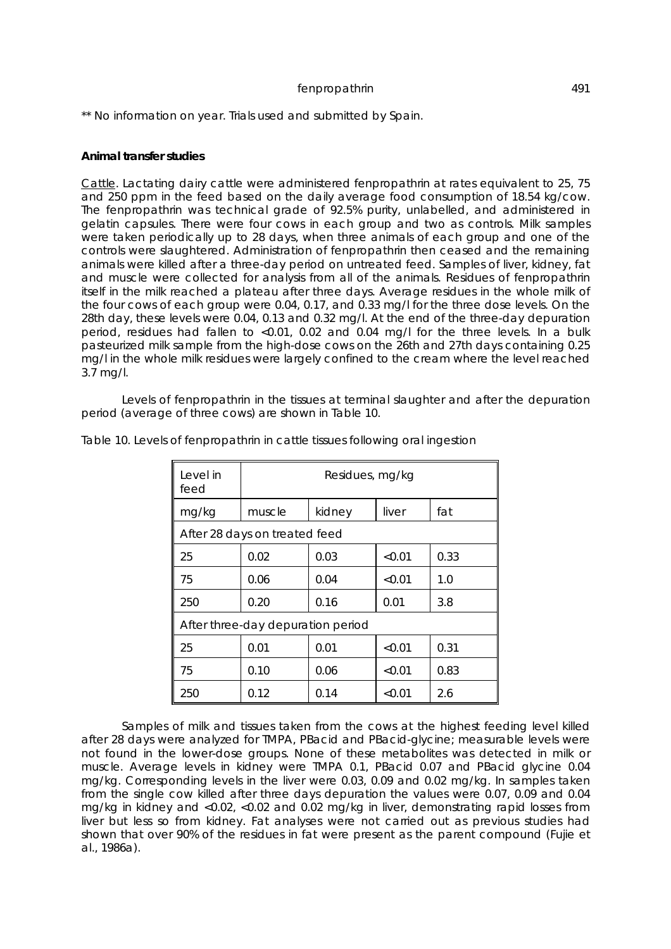\*\* No information on year. Trials used and submitted by Spain.

## **Animal transfer studies**

Cattle. Lactating dairy cattle were administered fenpropathrin at rates equivalent to 25, 75 and 250 ppm in the feed based on the daily average food consumption of 18.54 kg/cow. The fenpropathrin was technical grade of 92.5% purity, unlabelled, and administered in gelatin capsules. There were four cows in each group and two as controls. Milk samples were taken periodically up to 28 days, when three animals of each group and one of the controls were slaughtered. Administration of fenpropathrin then ceased and the remaining animals were killed after a three-day period on untreated feed. Samples of liver, kidney, fat and muscle were collected for analysis from all of the animals. Residues of fenpropathrin itself in the milk reached a plateau after three days. Average residues in the whole milk of the four cows of each group were 0.04, 0.17, and 0.33 mg/l for the three dose levels. On the 28th day, these levels were 0.04, 0.13 and 0.32 mg/l. At the end of the three-day depuration period, residues had fallen to <0.01, 0.02 and 0.04 mg/l for the three levels. In a bulk pasteurized milk sample from the high-dose cows on the 26th and 27th days containing 0.25 mg/l in the whole milk residues were largely confined to the cream where the level reached 3.7 mg/l.

Levels of fenpropathrin in the tissues at terminal slaughter and after the depuration period (average of three cows) are shown in Table 10.

| Level in<br>feed              | Residues, mg/kg                   |        |        |      |  |  |  |
|-------------------------------|-----------------------------------|--------|--------|------|--|--|--|
| mg/kg                         | muscle                            | kidney | liver  | fat  |  |  |  |
| After 28 days on treated feed |                                   |        |        |      |  |  |  |
| 25                            | 0.02                              | 0.03   | < 0.01 | 0.33 |  |  |  |
| 75                            | 0.06                              | 0.04   | < 0.01 | 1.0  |  |  |  |
| 250                           | 0.20                              | 0.16   | 0.01   | 3.8  |  |  |  |
|                               | After three-day depuration period |        |        |      |  |  |  |
| 25                            | 0.01                              | 0.01   | < 0.01 | 0.31 |  |  |  |
| 75                            | 0.10                              | 0.06   | < 0.01 | 0.83 |  |  |  |
| 250                           | 0.12                              | 0.14   | < 0.01 | 2.6  |  |  |  |

Table 10. Levels of fenpropathrin in cattle tissues following oral ingestion

Samples of milk and tissues taken from the cows at the highest feeding level killed after 28 days were analyzed for TMPA, PBacid and PBacid-glycine; measurable levels were not found in the lower-dose groups. None of these metabolites was detected in milk or muscle. Average levels in kidney were TMPA 0.1, PBacid 0.07 and PBacid glycine 0.04 mg/kg. Corresponding levels in the liver were 0.03, 0.09 and 0.02 mg/kg. In samples taken from the single cow killed after three days depuration the values were 0.07, 0.09 and 0.04 mg/kg in kidney and <0.02, <0.02 and 0.02 mg/kg in liver, demonstrating rapid losses from liver but less so from kidney. Fat analyses were not carried out as previous studies had shown that over 90% of the residues in fat were present as the parent compound (Fujie *et al*., 1986a).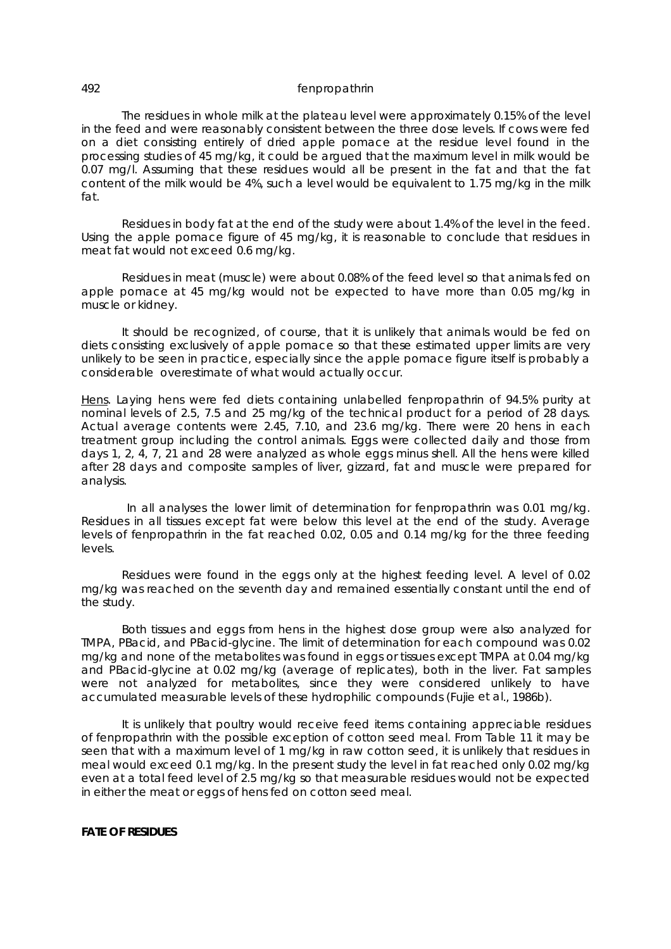The residues in whole milk at the plateau level were approximately 0.15% of the level in the feed and were reasonably consistent between the three dose levels. If cows were fed on a diet consisting entirely of dried apple pomace at the residue level found in the processing studies of 45 mg/kg, it could be argued that the maximum level in milk would be 0.07 mg/l. Assuming that these residues would all be present in the fat and that the fat content of the milk would be 4%, such a level would be equivalent to 1.75 mg/kg in the milk fat.

Residues in body fat at the end of the study were about 1.4% of the level in the feed. Using the apple pomace figure of 45 mg/kg, it is reasonable to conclude that residues in meat fat would not exceed 0.6 mg/kg.

Residues in meat (muscle) were about 0.08% of the feed level so that animals fed on apple pomace at 45 mg/kg would not be expected to have more than 0.05 mg/kg in muscle or kidney.

It should be recognized, of course, that it is unlikely that animals would be fed on diets consisting exclusively of apple pomace so that these estimated upper limits are very unlikely to be seen in practice, especially since the apple pomace figure itself is probably a considerable overestimate of what would actually occur.

Hens. Laying hens were fed diets containing unlabelled fenpropathrin of 94.5% purity at nominal levels of 2.5, 7.5 and 25 mg/kg of the technical product for a period of 28 days. Actual average contents were 2.45, 7.10, and 23.6 mg/kg. There were 20 hens in each treatment group including the control animals. Eggs were collected daily and those from days 1, 2, 4, 7, 21 and 28 were analyzed as whole eggs minus shell. All the hens were killed after 28 days and composite samples of liver, gizzard, fat and muscle were prepared for analysis.

 In all analyses the lower limit of determination for fenpropathrin was 0.01 mg/kg. Residues in all tissues except fat were below this level at the end of the study. Average levels of fenpropathrin in the fat reached 0.02, 0.05 and 0.14 mg/kg for the three feeding levels.

Residues were found in the eggs only at the highest feeding level. A level of 0.02 mg/kg was reached on the seventh day and remained essentially constant until the end of the study.

Both tissues and eggs from hens in the highest dose group were also analyzed for TMPA, PBacid, and PBacid-glycine. The limit of determination for each compound was 0.02 mg/kg and none of the metabolites was found in eggs or tissues except TMPA at 0.04 mg/kg and PBacid-glycine at 0.02 mg/kg (average of replicates), both in the liver. Fat samples were not analyzed for metabolites, since they were considered unlikely to have accumulated measurable levels of these hydrophilic compounds (Fujie *et al*., 1986b).

It is unlikely that poultry would receive feed items containing appreciable residues of fenpropathrin with the possible exception of cotton seed meal. From Table 11 it may be seen that with a maximum level of 1 mg/kg in raw cotton seed, it is unlikely that residues in meal would exceed 0.1 mg/kg. In the present study the level in fat reached only 0.02 mg/kg even at a total feed level of 2.5 mg/kg so that measurable residues would not be expected in either the meat or eggs of hens fed on cotton seed meal.

## **FATE OF RESIDUES**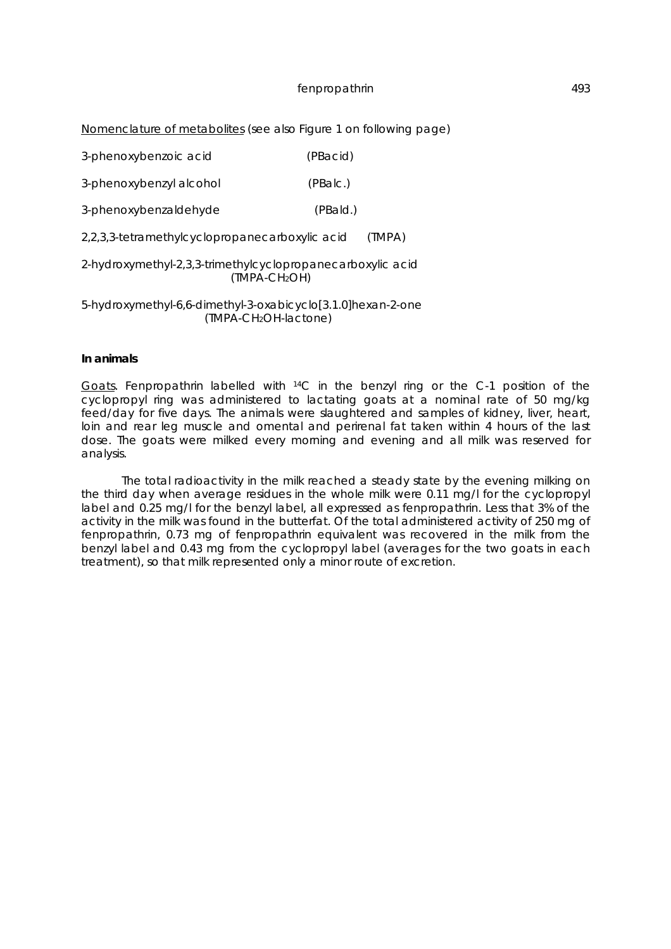#### Nomenclature of metabolites (*see also* Figure 1 on following page)

| 3-phenoxybenzoic acid | (PBacid) |  |
|-----------------------|----------|--|
|                       |          |  |

3-phenoxybenzyl alcohol (PBalc.)

3-phenoxybenzaldehyde (PBald.)

2,2,3,3-tetramethylcyclopropanecarboxylic acid (TMPA)

2-hydroxymethyl-2,3,3-trimethylcyclopropanecarboxylic acid (TMPA-CH2OH)

5-hydroxymethyl-6,6-dimethyl-3-oxabicyclo[3.1.0]hexan-2-one (TMPA-CH2OH-lactone)

### **In animals**

Goats. Fenpropathrin labelled with <sup>14</sup>C in the benzyl ring or the C-1 position of the cyclopropyl ring was administered to lactating goats at a nominal rate of 50 mg/kg feed/day for five days. The animals were slaughtered and samples of kidney, liver, heart, loin and rear leg muscle and omental and perirenal fat taken within 4 hours of the last dose. The goats were milked every morning and evening and all milk was reserved for analysis.

The total radioactivity in the milk reached a steady state by the evening milking on the third day when average residues in the whole milk were 0.11 mg/l for the cyclopropyl label and 0.25 mg/l for the benzyl label, all expressed as fenpropathrin. Less that 3% of the activity in the milk was found in the butterfat. Of the total administered activity of 250 mg of fenpropathrin, 0.73 mg of fenpropathrin equivalent was recovered in the milk from the benzyl label and 0.43 mg from the cyclopropyl label (averages for the two goats in each treatment), so that milk represented only a minor route of excretion.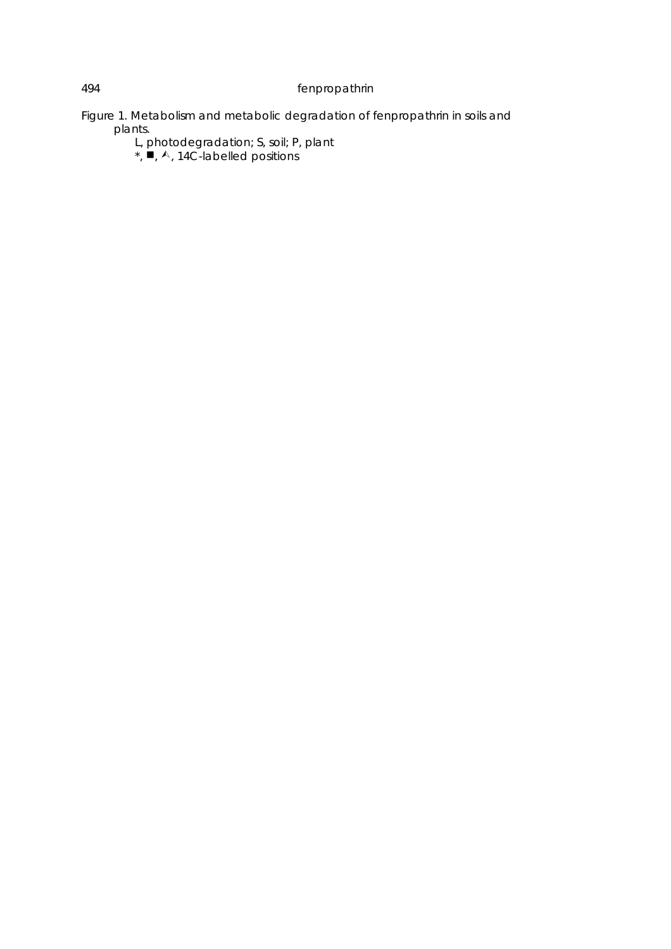Figure 1. Metabolism and metabolic degradation of fenpropathrin in soils and plants.

L, photodegradation; S, soil; P, plant

 $\star$ ,  $\blacksquare$ ,  $\wedge$ , 14C-labelled positions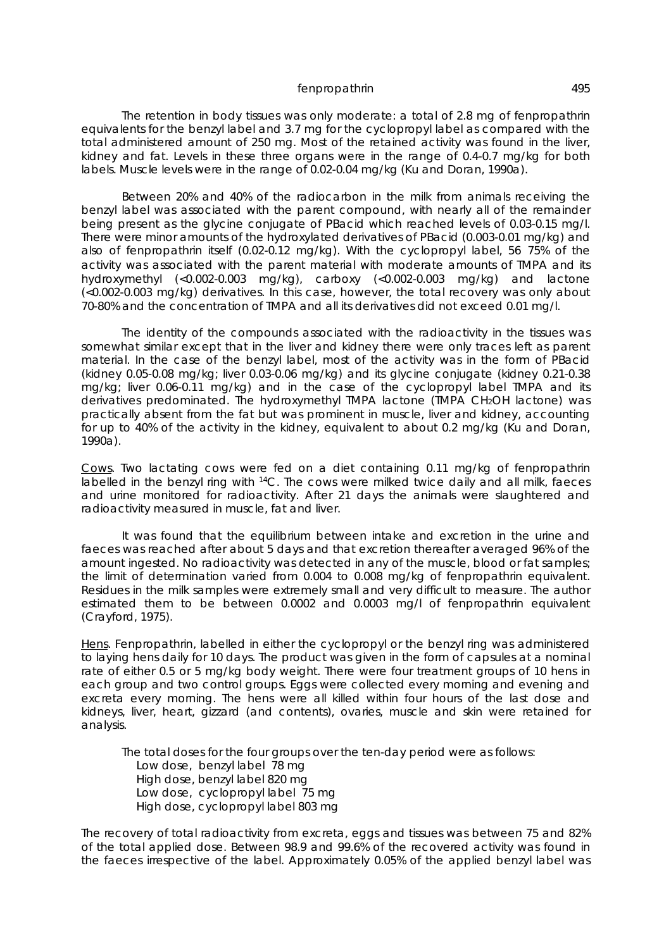The retention in body tissues was only moderate: a total of 2.8 mg of fenpropathrin equivalents for the benzyl label and 3.7 mg for the cyclopropyl label as compared with the total administered amount of 250 mg. Most of the retained activity was found in the liver, kidney and fat. Levels in these three organs were in the range of 0.4-0.7 mg/kg for both labels. Muscle levels were in the range of 0.02-0.04 mg/kg (Ku and Doran, 1990a).

Between 20% and 40% of the radiocarbon in the milk from animals receiving the benzyl label was associated with the parent compound, with nearly all of the remainder being present as the glycine conjugate of PBacid which reached levels of 0.03-0.15 mg/l. There were minor amounts of the hydroxylated derivatives of PBacid (0.003-0.01 mg/kg) and also of fenpropathrin itself (0.02-0.12 mg/kg). With the cyclopropyl label, 56 75% of the activity was associated with the parent material with moderate amounts of TMPA and its hydroxymethyl (<0.002-0.003 mg/kg), carboxy (<0.002-0.003 mg/kg) and lactone (<0.002-0.003 mg/kg) derivatives. In this case, however, the total recovery was only about 70-80% and the concentration of TMPA and all its derivatives did not exceed 0.01 mg/l.

The identity of the compounds associated with the radioactivity in the tissues was somewhat similar except that in the liver and kidney there were only traces left as parent material. In the case of the benzyl label, most of the activity was in the form of PBacid (kidney 0.05-0.08 mg/kg; liver 0.03-0.06 mg/kg) and its glycine conjugate (kidney 0.21-0.38 mg/kg; liver 0.06-0.11 mg/kg) and in the case of the cyclopropyl label TMPA and its derivatives predominated. The hydroxymethyl TMPA lactone (TMPA CH2OH lactone) was practically absent from the fat but was prominent in muscle, liver and kidney, accounting for up to 40% of the activity in the kidney, equivalent to about 0.2 mg/kg (Ku and Doran, 1990a).

Cows. Two lactating cows were fed on a diet containing 0.11 mg/kg of fenpropathrin labelled in the benzyl ring with <sup>14</sup>C. The cows were milked twice daily and all milk, faeces and urine monitored for radioactivity. After 21 days the animals were slaughtered and radioactivity measured in muscle, fat and liver.

It was found that the equilibrium between intake and excretion in the urine and faeces was reached after about 5 days and that excretion thereafter averaged 96% of the amount ingested. No radioactivity was detected in any of the muscle, blood or fat samples; the limit of determination varied from 0.004 to 0.008 mg/kg of fenpropathrin equivalent. Residues in the milk samples were extremely small and very difficult to measure. The author estimated them to be between 0.0002 and 0.0003 mg/l of fenpropathrin equivalent (Crayford, 1975).

Hens. Fenpropathrin, labelled in either the cyclopropyl or the benzyl ring was administered to laying hens daily for 10 days. The product was given in the form of capsules at a nominal rate of either 0.5 or 5 mg/kg body weight. There were four treatment groups of 10 hens in each group and two control groups. Eggs were collected every morning and evening and excreta every morning. The hens were all killed within four hours of the last dose and kidneys, liver, heart, gizzard (and contents), ovaries, muscle and skin were retained for analysis.

The total doses for the four groups over the ten-day period were as follows: Low dose, benzyl label 78 mg High dose, benzyl label 820 mg Low dose, cyclopropyl label 75 mg High dose, cyclopropyl label 803 mg

The recovery of total radioactivity from excreta, eggs and tissues was between 75 and 82% of the total applied dose. Between 98.9 and 99.6% of the recovered activity was found in the faeces irrespective of the label. Approximately 0.05% of the applied benzyl label was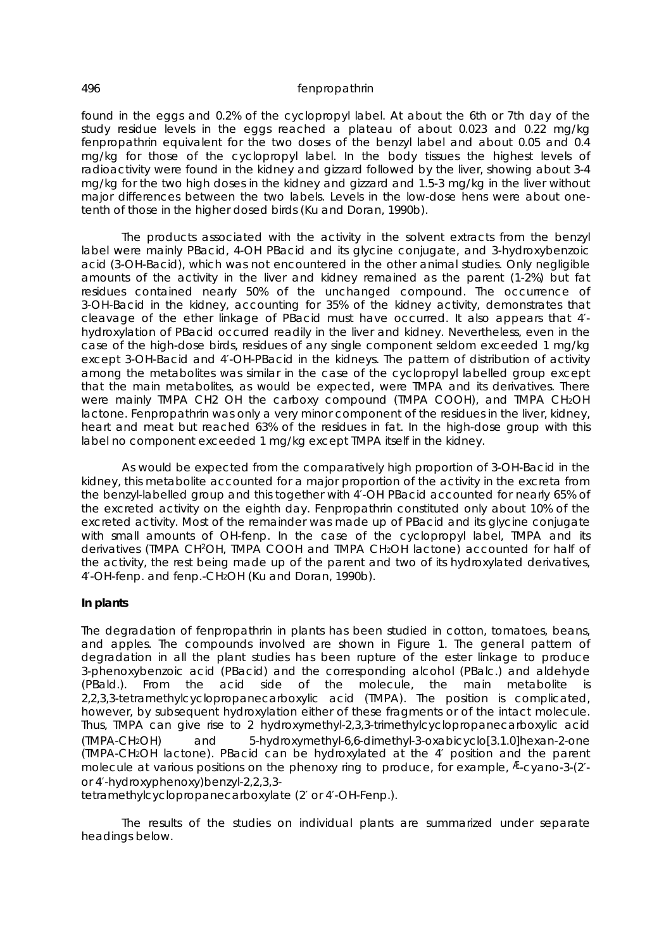found in the eggs and 0.2% of the cyclopropyl label. At about the 6th or 7th day of the study residue levels in the eggs reached a plateau of about 0.023 and 0.22 mg/kg fenpropathrin equivalent for the two doses of the benzyl label and about 0.05 and 0.4 mg/kg for those of the cyclopropyl label. In the body tissues the highest levels of radioactivity were found in the kidney and gizzard followed by the liver, showing about 3-4 mg/kg for the two high doses in the kidney and gizzard and 1.5-3 mg/kg in the liver without major differences between the two labels. Levels in the low-dose hens were about onetenth of those in the higher dosed birds (Ku and Doran, 1990b).

The products associated with the activity in the solvent extracts from the benzyl label were mainly PBacid, 4-OH PBacid and its glycine conjugate, and 3-hydroxybenzoic acid (3-OH-Bacid), which was not encountered in the other animal studies. Only negligible amounts of the activity in the liver and kidney remained as the parent (1-2%) but fat residues contained nearly 50% of the unchanged compound. The occurrence of 3-OH-Bacid in the kidney, accounting for 35% of the kidney activity, demonstrates that cleavage of the ether linkage of PBacid must have occurred. It also appears that 4′ hydroxylation of PBacid occurred readily in the liver and kidney. Nevertheless, even in the case of the high-dose birds, residues of any single component seldom exceeded 1 mg/kg except 3-OH-Bacid and 4′-OH-PBacid in the kidneys. The pattern of distribution of activity among the metabolites was similar in the case of the cyclopropyl labelled group except that the main metabolites, as would be expected, were TMPA and its derivatives. There were mainly TMPA CH2 OH the carboxy compound (TMPA COOH), and TMPA CH2OH lactone. Fenpropathrin was only a very minor component of the residues in the liver, kidney, heart and meat but reached 63% of the residues in fat. In the high-dose group with this label no component exceeded 1 mg/kg except TMPA itself in the kidney.

As would be expected from the comparatively high proportion of 3-OH-Bacid in the kidney, this metabolite accounted for a major proportion of the activity in the excreta from the benzyl-labelled group and this together with 4′-OH PBacid accounted for nearly 65% of the excreted activity on the eighth day. Fenpropathrin constituted only about 10% of the excreted activity. Most of the remainder was made up of PBacid and its glycine conjugate with small amounts of OH-fenp. In the case of the cyclopropyl label, TMPA and its derivatives (TMPA CH<sup>2</sup>OH, TMPA COOH and TMPA CH2OH lactone) accounted for half of the activity, the rest being made up of the parent and two of its hydroxylated derivatives, 4′-OH-fenp. and fenp.-CH2OH (Ku and Doran, 1990b).

### **In plants**

The degradation of fenpropathrin in plants has been studied in cotton, tomatoes, beans, and apples. The compounds involved are shown in Figure 1. The general pattern of degradation in all the plant studies has been rupture of the ester linkage to produce 3-phenoxybenzoic acid (PBacid) and the corresponding alcohol (PBalc.) and aldehyde (PBald.). From the acid side of the molecule, the main metabolite is 2,2,3,3-tetramethylcyclopropanecarboxylic acid (TMPA). The position is complicated, however, by subsequent hydroxylation either of these fragments or of the intact molecule. Thus, TMPA can give rise to 2 hydroxymethyl-2,3,3-trimethylcyclopropanecarboxylic acid (TMPA-CH2OH) and 5-hydroxymethyl-6,6-dimethyl-3-oxabicyclo[3.1.0]hexan-2-one (TMPA-CH2OH lactone). PBacid can be hydroxylated at the 4′ position and the parent molecule at various positions on the phenoxy ring to produce, for example, E-cyano-3-(2'or 4′-hydroxyphenoxy)benzyl-2,2,3,3-

tetramethylcyclopropanecarboxylate (2′ or 4′-OH-Fenp.).

The results of the studies on individual plants are summarized under separate headings below.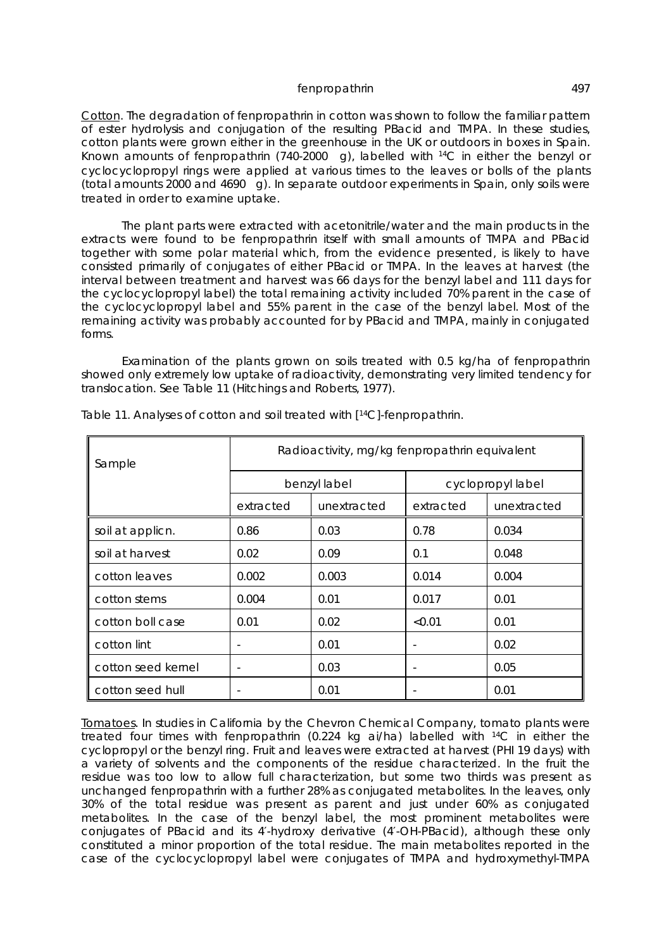Cotton. The degradation of fenpropathrin in cotton was shown to follow the familiar pattern of ester hydrolysis and conjugation of the resulting PBacid and TMPA. In these studies, cotton plants were grown either in the greenhouse in the UK or outdoors in boxes in Spain. Known amounts of fenpropathrin (740-2000  $\hat{I}$  g), labelled with <sup>14</sup>C in either the benzyl or cyclocyclopropyl rings were applied at various times to the leaves or bolls of the plants (total amounts 2000 and 4690  $\hat{I}$  g). In separate outdoor experiments in Spain, only soils were treated in order to examine uptake.

The plant parts were extracted with acetonitrile/water and the main products in the extracts were found to be fenpropathrin itself with small amounts of TMPA and PBacid together with some polar material which, from the evidence presented, is likely to have consisted primarily of conjugates of either PBacid or TMPA. In the leaves at harvest (the interval between treatment and harvest was 66 days for the benzyl label and 111 days for the cyclocyclopropyl label) the total remaining activity included 70% parent in the case of the cyclocyclopropyl label and 55% parent in the case of the benzyl label. Most of the remaining activity was probably accounted for by PBacid and TMPA, mainly in conjugated forms.

Examination of the plants grown on soils treated with 0.5 kg/ha of fenpropathrin showed only extremely low uptake of radioactivity, demonstrating very limited tendency for translocation. See Table 11 (Hitchings and Roberts, 1977).

| Sample             | Radioactivity, mg/kg fenpropathrin equivalent |              |                   |             |  |  |
|--------------------|-----------------------------------------------|--------------|-------------------|-------------|--|--|
|                    |                                               | benzyl label | cyclopropyl label |             |  |  |
|                    | extracted                                     | unextracted  | extracted         | unextracted |  |  |
| soil at applicn.   | 0.86                                          | 0.03         | 0.78              | 0.034       |  |  |
| soil at harvest    | 0.02                                          | 0.09         | 0.1               | 0.048       |  |  |
| cotton leaves      | 0.002                                         | 0.003        | 0.014             | 0.004       |  |  |
| cotton stems       | 0.004                                         | 0.01         | 0.017             | 0.01        |  |  |
| cotton boll case   | 0.01                                          | 0.02         | < 0.01            | 0.01        |  |  |
| cotton lint        |                                               | 0.01         |                   | 0.02        |  |  |
| cotton seed kernel |                                               | 0.03         |                   | 0.05        |  |  |
| cotton seed hull   |                                               | 0.01         |                   | 0.01        |  |  |

Table 11. Analyses of cotton and soil treated with [<sup>14</sup>C]-fenpropathrin.

Tomatoes. In studies in California by the Chevron Chemical Company, tomato plants were treated four times with fenpropathrin (0.224 kg ai/ha) labelled with <sup>14</sup>C in either the cyclopropyl or the benzyl ring. Fruit and leaves were extracted at harvest (PHI 19 days) with a variety of solvents and the components of the residue characterized. In the fruit the residue was too low to allow full characterization, but some two thirds was present as unchanged fenpropathrin with a further 28% as conjugated metabolites. In the leaves, only 30% of the total residue was present as parent and just under 60% as conjugated metabolites. In the case of the benzyl label, the most prominent metabolites were conjugates of PBacid and its 4′-hydroxy derivative (4′-OH-PBacid), although these only constituted a minor proportion of the total residue. The main metabolites reported in the case of the cyclocyclopropyl label were conjugates of TMPA and hydroxymethyl-TMPA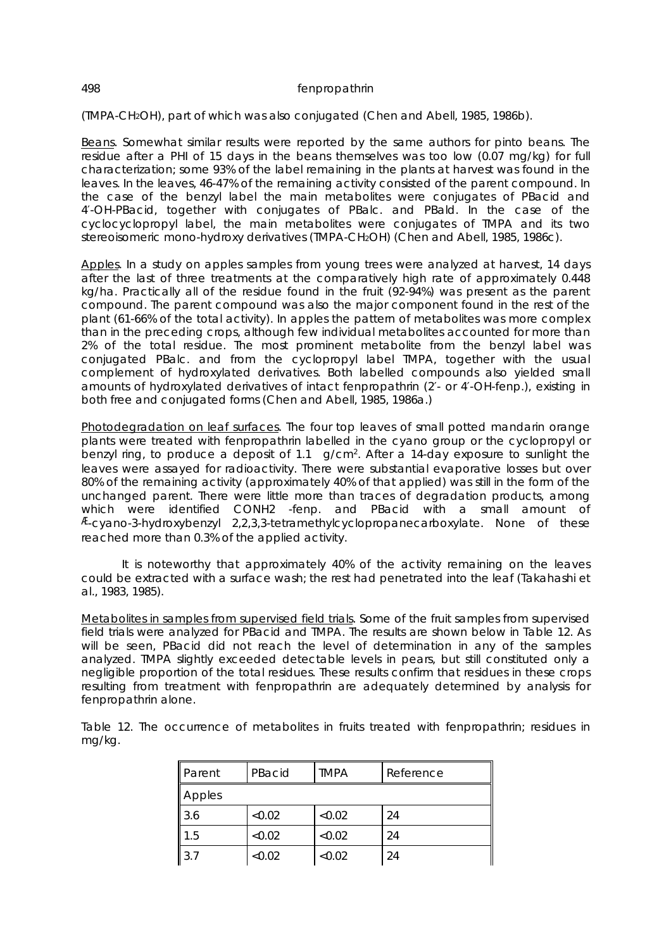(TMPA-CH2OH), part of which was also conjugated (Chen and Abell, 1985, 1986b).

Beans. Somewhat similar results were reported by the same authors for pinto beans. The residue after a PHI of 15 days in the beans themselves was too low (0.07 mg/kg) for full characterization; some 93% of the label remaining in the plants at harvest was found in the leaves. In the leaves, 46-47% of the remaining activity consisted of the parent compound. In the case of the benzyl label the main metabolites were conjugates of PBacid and 4′-OH-PBacid, together with conjugates of PBalc. and PBald. In the case of the cyclocyclopropyl label, the main metabolites were conjugates of TMPA and its two stereoisomeric mono-hydroxy derivatives (TMPA-CH2OH) (Chen and Abell, 1985, 1986c).

Apples. In a study on apples samples from young trees were analyzed at harvest, 14 days after the last of three treatments at the comparatively high rate of approximately 0.448 kg/ha. Practically all of the residue found in the fruit (92-94%) was present as the parent compound. The parent compound was also the major component found in the rest of the plant (61-66% of the total activity). In apples the pattern of metabolites was more complex than in the preceding crops, although few individual metabolites accounted for more than 2% of the total residue. The most prominent metabolite from the benzyl label was conjugated PBalc. and from the cyclopropyl label TMPA, together with the usual complement of hydroxylated derivatives. Both labelled compounds also yielded small amounts of hydroxylated derivatives of intact fenpropathrin (2′- or 4′-OH-fenp.), existing in both free and conjugated forms (Chen and Abell, 1985, 1986a.)

Photodegradation on leaf surfaces. The four top leaves of small potted mandarin orange plants were treated with fenpropathrin labelled in the cyano group or the cyclopropyl or benzyl ring, to produce a deposit of 1.1  $\frac{1}{9}$  g/cm<sup>2</sup>. After a 14-day exposure to sunlight the leaves were assayed for radioactivity. There were substantial evaporative losses but over 80% of the remaining activity (approximately 40% of that applied) was still in the form of the unchanged parent. There were little more than traces of degradation products, among which were identified CONH2 -fenp. and PBacid with a small amount of Æ-cyano-3-hydroxybenzyl 2,2,3,3-tetramethylcyclopropanecarboxylate. None of these reached more than 0.3% of the applied activity.

It is noteworthy that approximately 40% of the activity remaining on the leaves could be extracted with a surface wash; the rest had penetrated into the leaf (Takahashi *et al*., 1983, 1985).

Metabolites in samples from supervised field trials. Some of the fruit samples from supervised field trials were analyzed for PBacid and TMPA. The results are shown below in Table 12. As will be seen, PBacid did not reach the level of determination in any of the samples analyzed. TMPA slightly exceeded detectable levels in pears, but still constituted only a negligible proportion of the total residues. These results confirm that residues in these crops resulting from treatment with fenpropathrin are adequately determined by analysis for fenpropathrin alone.

Table 12. The occurrence of metabolites in fruits treated with fenpropathrin; residues in mg/kg.

| ∥Parent     | PBacid | <b>TMPA</b> | Reference |
|-------------|--------|-------------|-----------|
| Apples      |        |             |           |
| 3.6         | <0.02  | < 0.02      | 24        |
| 1.5         | <0.02  | <0.02       | 24        |
| $\vert$ 3.7 | <0.02  | <0.02       | 24        |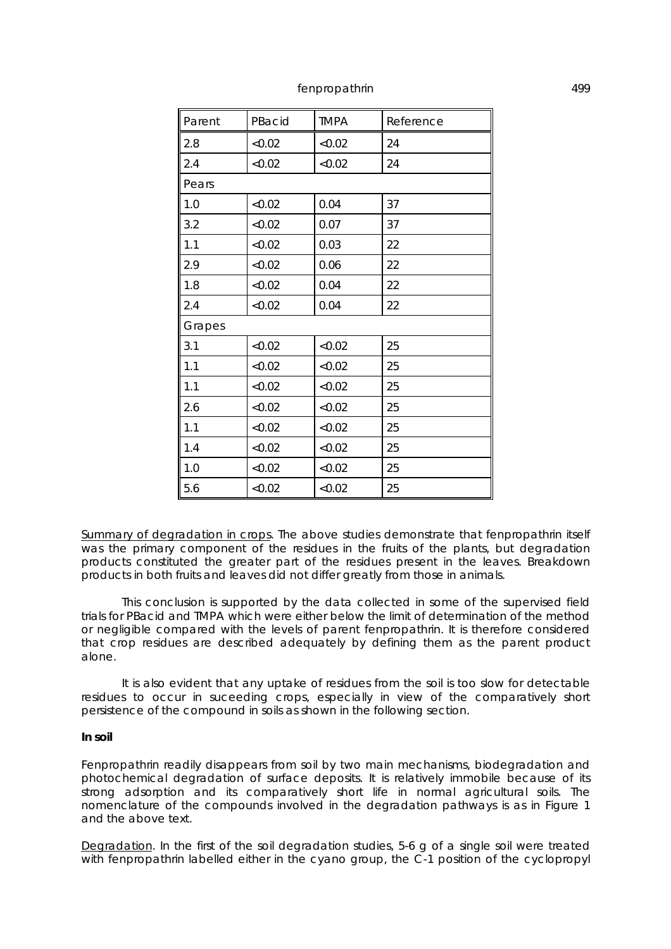| Parent | PBacid | <b>TMPA</b> | Reference |
|--------|--------|-------------|-----------|
| 2.8    | < 0.02 | < 0.02      | 24        |
| 2.4    | < 0.02 | < 0.02      | 24        |
| Pears  |        |             |           |
| 1.0    | <0.02  | 0.04        | 37        |
| 3.2    | <0.02  | 0.07        | 37        |
| 1.1    | <0.02  | 0.03        | 22        |
| 2.9    | < 0.02 | 0.06        | 22        |
| 1.8    | < 0.02 | 0.04        | 22        |
| 2.4    | < 0.02 | 0.04        | 22        |
| Grapes |        |             |           |
| 3.1    | < 0.02 | < 0.02      | 25        |
| 1.1    | < 0.02 | < 0.02      | 25        |
| 1.1    | < 0.02 | < 0.02      | 25        |
| 2.6    | <0.02  | < 0.02      | 25        |
| 1.1    | <0.02  | <0.02       | 25        |
| 1.4    | < 0.02 | <0.02       | 25        |
| 1.0    | < 0.02 | < 0.02      | 25        |
| 5.6    | < 0.02 | < 0.02      | 25        |

Summary of degradation in crops. The above studies demonstrate that fenpropathrin itself was the primary component of the residues in the fruits of the plants, but degradation products constituted the greater part of the residues present in the leaves. Breakdown products in both fruits and leaves did not differ greatly from those in animals.

This conclusion is supported by the data collected in some of the supervised field trials for PBacid and TMPA which were either below the limit of determination of the method or negligible compared with the levels of parent fenpropathrin. It is therefore considered that crop residues are described adequately by defining them as the parent product alone.

It is also evident that any uptake of residues from the soil is too slow for detectable residues to occur in suceeding crops, especially in view of the comparatively short persistence of the compound in soils as shown in the following section.

#### **In soil**

Fenpropathrin readily disappears from soil by two main mechanisms, biodegradation and photochemical degradation of surface deposits. It is relatively immobile because of its strong adsorption and its comparatively short life in normal agricultural soils. The nomenclature of the compounds involved in the degradation pathways is as in Figure 1 and the above text.

Degradation. In the first of the soil degradation studies, 5-6 g of a single soil were treated with fenpropathrin labelled either in the cyano group, the C-1 position of the cyclopropyl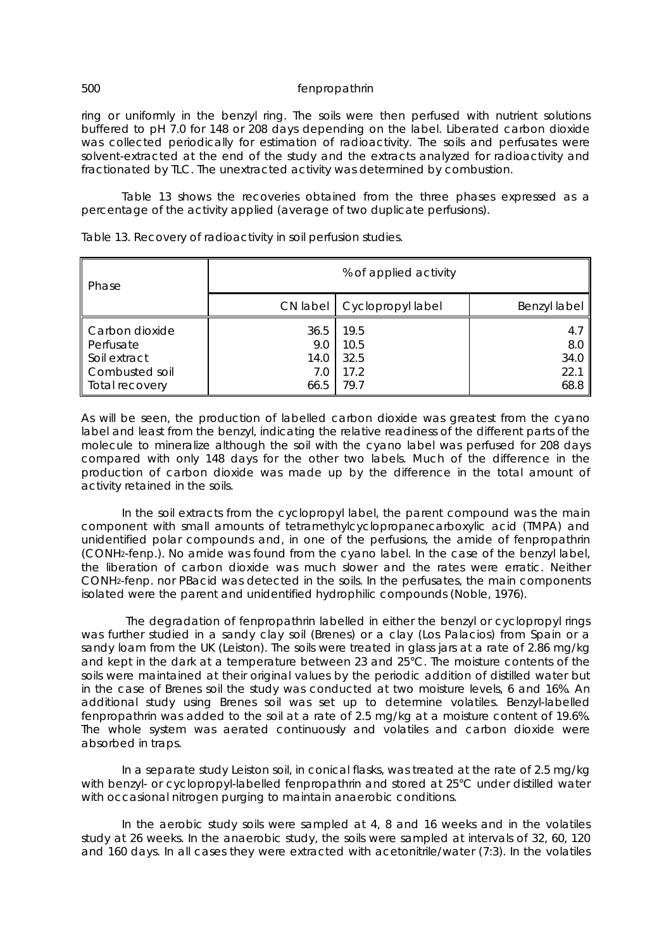ring or uniformly in the benzyl ring. The soils were then perfused with nutrient solutions buffered to pH 7.0 for 148 or 208 days depending on the label. Liberated carbon dioxide was collected periodically for estimation of radioactivity. The soils and perfusates were solvent-extracted at the end of the study and the extracts analyzed for radioactivity and fractionated by TLC. The unextracted activity was determined by combustion.

Table 13 shows the recoveries obtained from the three phases expressed as a percentage of the activity applied (average of two duplicate perfusions).

| Phase                                                                           | % of applied activity              |                                      |                                    |  |  |
|---------------------------------------------------------------------------------|------------------------------------|--------------------------------------|------------------------------------|--|--|
|                                                                                 | CN label                           | Cyclopropyl label                    | Benzyl label                       |  |  |
| Carbon dioxide<br>Perfusate<br>Soil extract<br>Combusted soil<br>Total recovery | 36.5<br>9.0<br>14.0<br>7.0<br>66.5 | 19.5<br>10.5<br>32.5<br>17.2<br>79.7 | 4.7<br>8.0<br>34.0<br>22.1<br>68.8 |  |  |

Table 13. Recovery of radioactivity in soil perfusion studies.

As will be seen, the production of labelled carbon dioxide was greatest from the cyano label and least from the benzyl, indicating the relative readiness of the different parts of the molecule to mineralize although the soil with the cyano label was perfused for 208 days compared with only 148 days for the other two labels. Much of the difference in the production of carbon dioxide was made up by the difference in the total amount of activity retained in the soils.

In the soil extracts from the cyclopropyl label, the parent compound was the main component with small amounts of tetramethylcyclopropanecarboxylic acid (TMPA) and unidentified polar compounds and, in one of the perfusions, the amide of fenpropathrin (CONH2-fenp.). No amide was found from the cyano label. In the case of the benzyl label, the liberation of carbon dioxide was much slower and the rates were erratic. Neither CONH2-fenp. nor PBacid was detected in the soils. In the perfusates, the main components isolated were the parent and unidentified hydrophilic compounds (Noble, 1976).

 The degradation of fenpropathrin labelled in either the benzyl or cyclopropyl rings was further studied in a sandy clay soil (Brenes) or a clay (Los Palacios) from Spain or a sandy loam from the UK (Leiston). The soils were treated in glass jars at a rate of 2.86 mg/kg and kept in the dark at a temperature between 23 and 25°C. The moisture contents of the soils were maintained at their original values by the periodic addition of distilled water but in the case of Brenes soil the study was conducted at two moisture levels, 6 and 16%. An additional study using Brenes soil was set up to determine volatiles. Benzyl-labelled fenpropathrin was added to the soil at a rate of 2.5 mg/kg at a moisture content of 19.6%. The whole system was aerated continuously and volatiles and carbon dioxide were absorbed in traps.

In a separate study Leiston soil, in conical flasks, was treated at the rate of 2.5 mg/kg with benzyl- or cyclopropyl-labelled fenpropathrin and stored at 25°C under distilled water with occasional nitrogen purging to maintain anaerobic conditions.

In the aerobic study soils were sampled at 4, 8 and 16 weeks and in the volatiles study at 26 weeks. In the anaerobic study, the soils were sampled at intervals of 32, 60, 120 and 160 days. In all cases they were extracted with acetonitrile/water (7:3). In the volatiles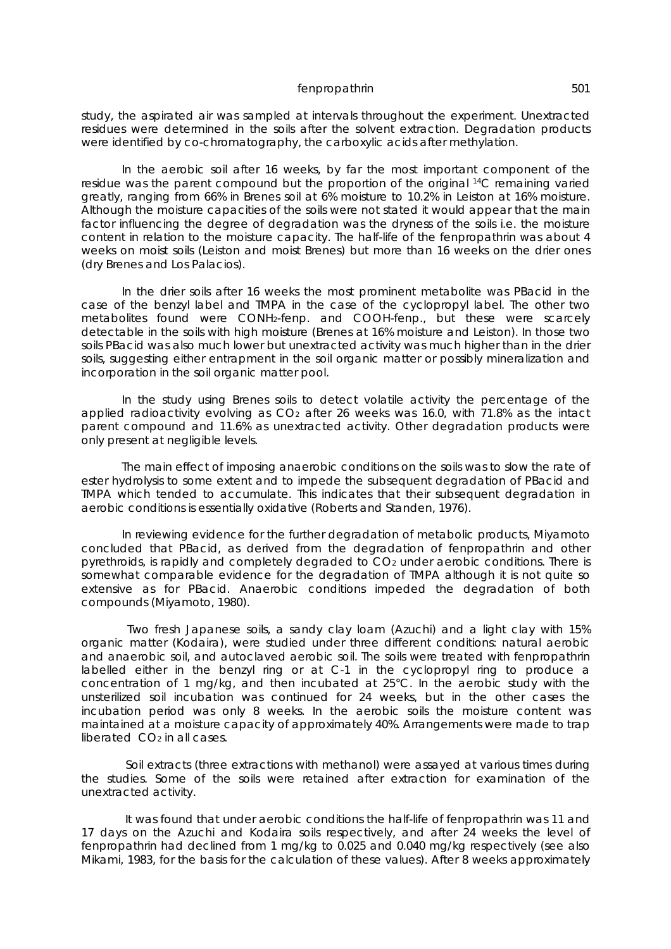study, the aspirated air was sampled at intervals throughout the experiment. Unextracted residues were determined in the soils after the solvent extraction. Degradation products were identified by co-chromatography, the carboxylic acids after methylation.

In the aerobic soil after 16 weeks, by far the most important component of the residue was the parent compound but the proportion of the original <sup>14</sup>C remaining varied greatly, ranging from 66% in Brenes soil at 6% moisture to 10.2% in Leiston at 16% moisture. Although the moisture capacities of the soils were not stated it would appear that the main factor influencing the degree of degradation was the dryness of the soils i.e. the moisture content in relation to the moisture capacity. The half-life of the fenpropathrin was about 4 weeks on moist soils (Leiston and moist Brenes) but more than 16 weeks on the drier ones (dry Brenes and Los Palacios).

In the drier soils after 16 weeks the most prominent metabolite was PBacid in the case of the benzyl label and TMPA in the case of the cyclopropyl label. The other two metabolites found were CONH2-fenp. and COOH-fenp., but these were scarcely detectable in the soils with high moisture (Brenes at 16% moisture and Leiston). In those two soils PBacid was also much lower but unextracted activity was much higher than in the drier soils, suggesting either entrapment in the soil organic matter or possibly mineralization and incorporation in the soil organic matter pool.

In the study using Brenes soils to detect volatile activity the percentage of the applied radioactivity evolving as  $CO<sub>2</sub>$  after 26 weeks was 16.0, with 71.8% as the intact parent compound and 11.6% as unextracted activity. Other degradation products were only present at negligible levels.

The main effect of imposing anaerobic conditions on the soils was to slow the rate of ester hydrolysis to some extent and to impede the subsequent degradation of PBacid and TMPA which tended to accumulate. This indicates that their subsequent degradation in aerobic conditions is essentially oxidative (Roberts and Standen, 1976).

In reviewing evidence for the further degradation of metabolic products, Miyamoto concluded that PBacid, as derived from the degradation of fenpropathrin and other pyrethroids, is rapidly and completely degraded to CO2 under aerobic conditions. There is somewhat comparable evidence for the degradation of TMPA although it is not quite so extensive as for PBacid. Anaerobic conditions impeded the degradation of both compounds (Miyamoto, 1980).

 Two fresh Japanese soils, a sandy clay loam (Azuchi) and a light clay with 15% organic matter (Kodaira), were studied under three different conditions: natural aerobic and anaerobic soil, and autoclaved aerobic soil. The soils were treated with fenpropathrin labelled either in the benzyl ring or at C-1 in the cyclopropyl ring to produce a concentration of 1 mg/kg, and then incubated at 25°C. In the aerobic study with the unsterilized soil incubation was continued for 24 weeks, but in the other cases the incubation period was only 8 weeks. In the aerobic soils the moisture content was maintained at a moisture capacity of approximately 40%. Arrangements were made to trap liberated CO2 in all cases.

 Soil extracts (three extractions with methanol) were assayed at various times during the studies. Some of the soils were retained after extraction for examination of the unextracted activity.

 It was found that under aerobic conditions the half-life of fenpropathrin was 11 and 17 days on the Azuchi and Kodaira soils respectively, and after 24 weeks the level of fenpropathrin had declined from 1 mg/kg to 0.025 and 0.040 mg/kg respectively (*see also* Mikami, 1983, for the basis for the calculation of these values). After 8 weeks approximately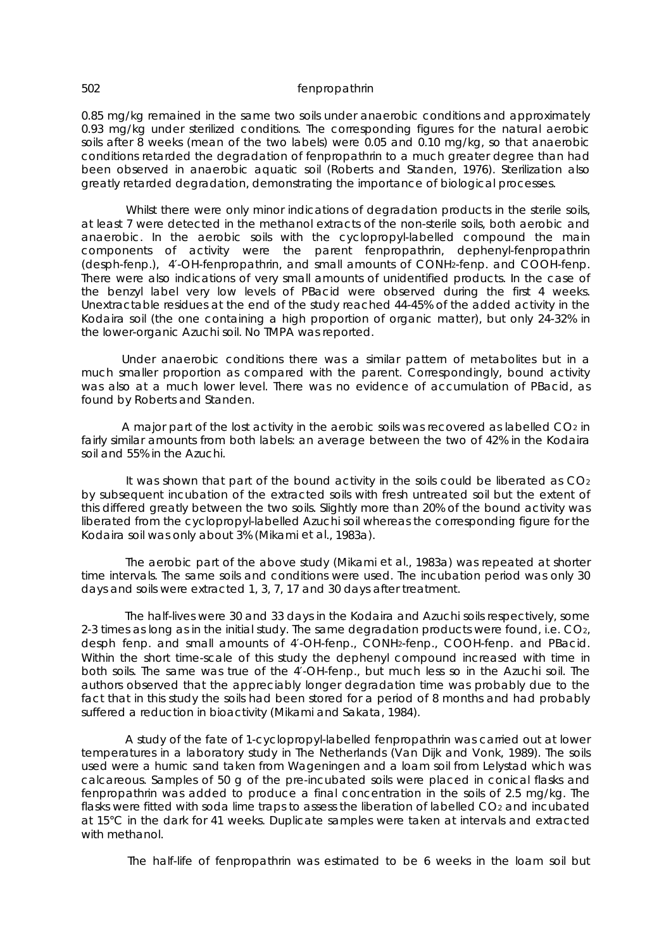0.85 mg/kg remained in the same two soils under anaerobic conditions and approximately 0.93 mg/kg under sterilized conditions. The corresponding figures for the natural aerobic soils after 8 weeks (mean of the two labels) were 0.05 and 0.10 mg/kg, so that anaerobic conditions retarded the degradation of fenpropathrin to a much greater degree than had been observed in anaerobic aquatic soil (Roberts and Standen, 1976). Sterilization also greatly retarded degradation, demonstrating the importance of biological processes.

 Whilst there were only minor indications of degradation products in the sterile soils, at least 7 were detected in the methanol extracts of the non-sterile soils, both aerobic and anaerobic. In the aerobic soils with the cyclopropyl-labelled compound the main components of activity were the parent fenpropathrin, dephenyl-fenpropathrin (desph-fenp.), 4′-OH-fenpropathrin, and small amounts of CONH2-fenp. and COOH-fenp. There were also indications of very small amounts of unidentified products. In the case of the benzyl label very low levels of PBacid were observed during the first 4 weeks. Unextractable residues at the end of the study reached 44-45% of the added activity in the Kodaira soil (the one containing a high proportion of organic matter), but only 24-32% in the lower-organic Azuchi soil. No TMPA was reported.

Under anaerobic conditions there was a similar pattern of metabolites but in a much smaller proportion as compared with the parent. Correspondingly, bound activity was also at a much lower level. There was no evidence of accumulation of PBacid, as found by Roberts and Standen.

A major part of the lost activity in the aerobic soils was recovered as labelled CO2 in fairly similar amounts from both labels: an average between the two of 42% in the Kodaira soil and 55% in the Azuchi.

It was shown that part of the bound activity in the soils could be liberated as  $CO<sub>2</sub>$ by subsequent incubation of the extracted soils with fresh untreated soil but the extent of this differed greatly between the two soils. Slightly more than 20% of the bound activity was liberated from the cyclopropyl-labelled Azuchi soil whereas the corresponding figure for the Kodaira soil was only about 3% (Mikami *et al*., 1983a).

 The aerobic part of the above study (Mikami *et al*., 1983a) was repeated at shorter time intervals. The same soils and conditions were used. The incubation period was only 30 days and soils were extracted 1, 3, 7, 17 and 30 days after treatment.

 The half-lives were 30 and 33 days in the Kodaira and Azuchi soils respectively, some 2-3 times as long as in the initial study. The same degradation products were found, i.e.  $CO<sub>2</sub>$ , desph fenp. and small amounts of 4′-OH-fenp., CONH2-fenp., COOH-fenp. and PBacid. Within the short time-scale of this study the dephenyl compound increased with time in both soils. The same was true of the 4′-OH-fenp., but much less so in the Azuchi soil. The authors observed that the appreciably longer degradation time was probably due to the fact that in this study the soils had been stored for a period of 8 months and had probably suffered a reduction in bioactivity (Mikami and Sakata, 1984).

 A study of the fate of 1-cyclopropyl-labelled fenpropathrin was carried out at lower temperatures in a laboratory study in The Netherlands (Van Dijk and Vonk, 1989). The soils used were a humic sand taken from Wageningen and a loam soil from Lelystad which was calcareous. Samples of 50 g of the pre-incubated soils were placed in conical flasks and fenpropathrin was added to produce a final concentration in the soils of 2.5 mg/kg. The flasks were fitted with soda lime traps to assess the liberation of labelled CO<sub>2</sub> and incubated at 15°C in the dark for 41 weeks. Duplicate samples were taken at intervals and extracted with methanol.

The half-life of fenpropathrin was estimated to be 6 weeks in the loam soil but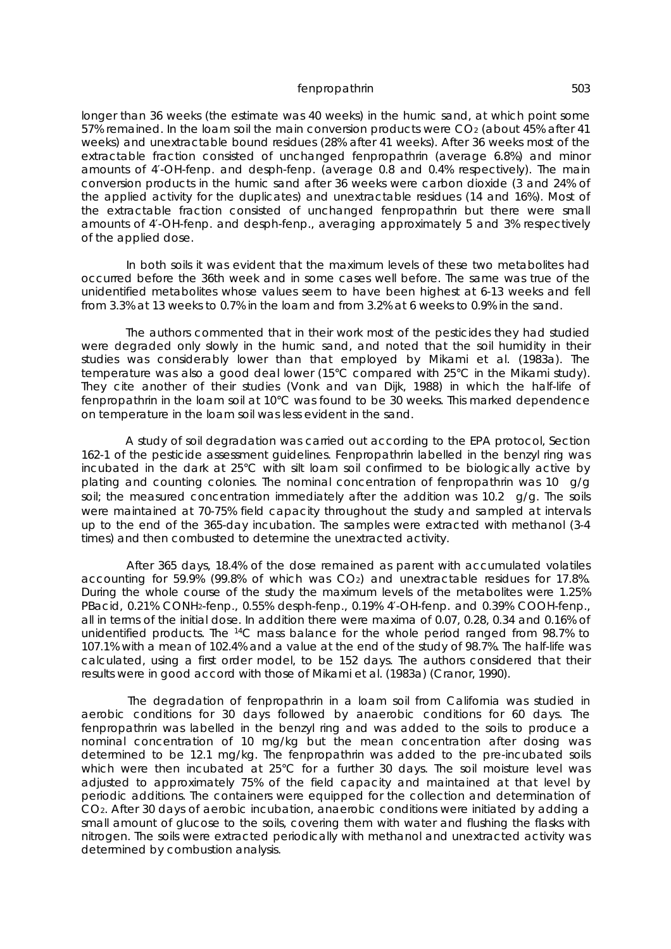longer than 36 weeks (the estimate was 40 weeks) in the humic sand, at which point some 57% remained. In the loam soil the main conversion products were CO2 (about 45% after 41 weeks) and unextractable bound residues (28% after 41 weeks). After 36 weeks most of the extractable fraction consisted of unchanged fenpropathrin (average 6.8%) and minor amounts of 4′-OH-fenp. and desph-fenp. (average 0.8 and 0.4% respectively). The main conversion products in the humic sand after 36 weeks were carbon dioxide (3 and 24% of the applied activity for the duplicates) and unextractable residues (14 and 16%). Most of the extractable fraction consisted of unchanged fenpropathrin but there were small amounts of 4′-OH-fenp. and desph-fenp., averaging approximately 5 and 3% respectively of the applied dose.

 In both soils it was evident that the maximum levels of these two metabolites had occurred before the 36th week and in some cases well before. The same was true of the unidentified metabolites whose values seem to have been highest at 6-13 weeks and fell from 3.3% at 13 weeks to 0.7% in the loam and from 3.2% at 6 weeks to 0.9% in the sand.

 The authors commented that in their work most of the pesticides they had studied were degraded only slowly in the humic sand, and noted that the soil humidity in their studies was considerably lower than that employed by Mikami *et al*. (1983a). The temperature was also a good deal lower (15°C compared with 25°C in the Mikami study). They cite another of their studies (Vonk and van Dijk, 1988) in which the half-life of fenpropathrin in the loam soil at 10°C was found to be 30 weeks. This marked dependence on temperature in the loam soil was less evident in the sand.

 A study of soil degradation was carried out according to the EPA protocol, Section 162-1 of the pesticide assessment guidelines. Fenpropathrin labelled in the benzyl ring was incubated in the dark at 25°C with silt loam soil confirmed to be biologically active by plating and counting colonies. The nominal concentration of fenpropathrin was 10  $\frac{1}{9}q$ soil; the measured concentration immediately after the addition was 10.2  $\dot{I}$  g/g. The soils were maintained at 70-75% field capacity throughout the study and sampled at intervals up to the end of the 365-day incubation. The samples were extracted with methanol (3-4 times) and then combusted to determine the unextracted activity.

 After 365 days, 18.4% of the dose remained as parent with accumulated volatiles accounting for 59.9% (99.8% of which was CO2) and unextractable residues for 17.8%. During the whole course of the study the maximum levels of the metabolites were 1.25% PBacid, 0.21% CONH2-fenp., 0.55% desph-fenp., 0.19% 4′-OH-fenp. and 0.39% COOH-fenp., all in terms of the initial dose. In addition there were maxima of 0.07, 0.28, 0.34 and 0.16% of unidentified products. The <sup>14</sup>C mass balance for the whole period ranged from 98.7% to 107.1% with a mean of 102.4% and a value at the end of the study of 98.7%. The half-life was calculated, using a first order model, to be 152 days. The authors considered that their results were in good accord with those of Mikami *et al*. (1983a) (Cranor, 1990).

 The degradation of fenpropathrin in a loam soil from California was studied in aerobic conditions for 30 days followed by anaerobic conditions for 60 days. The fenpropathrin was labelled in the benzyl ring and was added to the soils to produce a nominal concentration of 10 mg/kg but the mean concentration after dosing was determined to be 12.1 mg/kg. The fenpropathrin was added to the pre-incubated soils which were then incubated at 25°C for a further 30 days. The soil moisture level was adjusted to approximately 75% of the field capacity and maintained at that level by periodic additions. The containers were equipped for the collection and determination of CO2. After 30 days of aerobic incubation, anaerobic conditions were initiated by adding a small amount of glucose to the soils, covering them with water and flushing the flasks with nitrogen. The soils were extracted periodically with methanol and unextracted activity was determined by combustion analysis.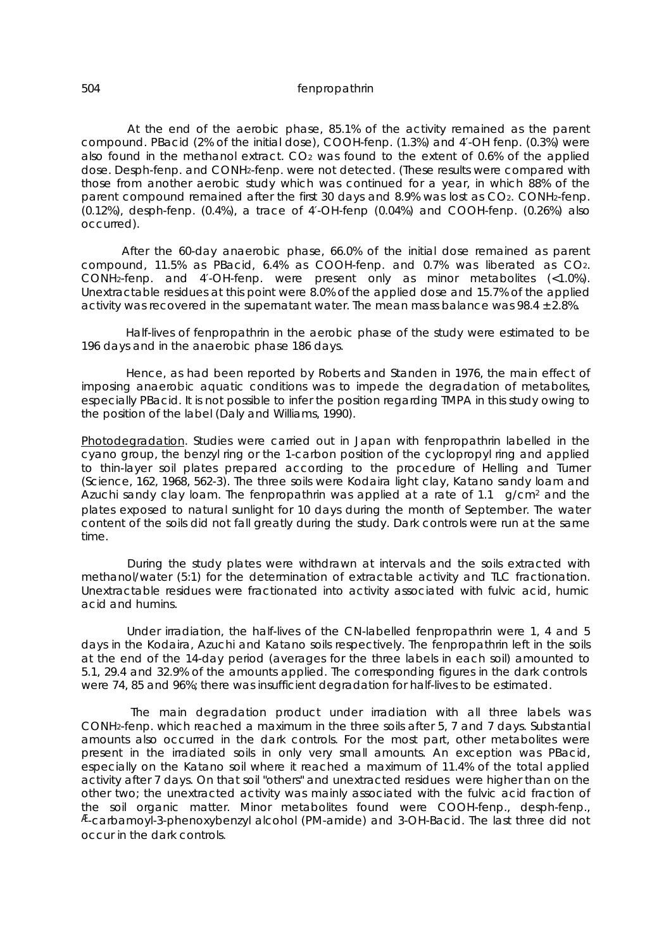At the end of the aerobic phase, 85.1% of the activity remained as the parent compound. PBacid (2% of the initial dose), COOH-fenp. (1.3%) and 4′-OH fenp. (0.3%) were also found in the methanol extract. CO2 was found to the extent of 0.6% of the applied dose. Desph-fenp. and CONH2-fenp. were not detected. (These results were compared with those from another aerobic study which was continued for a year, in which 88% of the parent compound remained after the first 30 days and 8.9% was lost as CO2. CONH2-fenp. (0.12%), desph-fenp. (0.4%), a trace of 4′-OH-fenp (0.04%) and COOH-fenp. (0.26%) also occurred).

After the 60-day anaerobic phase, 66.0% of the initial dose remained as parent compound, 11.5% as PBacid, 6.4% as COOH-fenp. and 0.7% was liberated as CO2. CONH2-fenp. and 4′-OH-fenp. were present only as minor metabolites (<1.0%). Unextractable residues at this point were 8.0% of the applied dose and 15.7% of the applied activity was recovered in the supernatant water. The mean mass balance was  $98.4 \pm 2.8\%$ .

 Half-lives of fenpropathrin in the aerobic phase of the study were estimated to be 196 days and in the anaerobic phase 186 days.

 Hence, as had been reported by Roberts and Standen in 1976, the main effect of imposing anaerobic aquatic conditions was to impede the degradation of metabolites, especially PBacid. It is not possible to infer the position regarding TMPA in this study owing to the position of the label (Daly and Williams, 1990).

Photodegradation. Studies were carried out in Japan with fenpropathrin labelled in the cyano group, the benzyl ring or the 1-carbon position of the cyclopropyl ring and applied to thin-layer soil plates prepared according to the procedure of Helling and Turner (Science, 162, 1968, 562-3). The three soils were Kodaira light clay, Katano sandy loam and Azuchi sandy clay loam. The fenpropathrin was applied at a rate of 1.1  $\frac{1}{9}$  g/cm<sup>2</sup> and the plates exposed to natural sunlight for 10 days during the month of September. The water content of the soils did not fall greatly during the study. Dark controls were run at the same time.

 During the study plates were withdrawn at intervals and the soils extracted with methanol/water (5:1) for the determination of extractable activity and TLC fractionation. Unextractable residues were fractionated into activity associated with fulvic acid, humic acid and humins.

 Under irradiation, the half-lives of the CN-labelled fenpropathrin were 1, 4 and 5 days in the Kodaira, Azuchi and Katano soils respectively. The fenpropathrin left in the soils at the end of the 14-day period (averages for the three labels in each soil) amounted to 5.1, 29.4 and 32.9% of the amounts applied. The corresponding figures in the dark controls were 74, 85 and 96%; there was insufficient degradation for half-lives to be estimated.

 The main degradation product under irradiation with all three labels was CONH2-fenp. which reached a maximum in the three soils after 5, 7 and 7 days. Substantial amounts also occurred in the dark controls. For the most part, other metabolites were present in the irradiated soils in only very small amounts. An exception was PBacid, especially on the Katano soil where it reached a maximum of 11.4% of the total applied activity after 7 days. On that soil "others" and unextracted residues were higher than on the other two; the unextracted activity was mainly associated with the fulvic acid fraction of the soil organic matter. Minor metabolites found were COOH-fenp., desph-fenp., Æ-carbamoyl-3-phenoxybenzyl alcohol (PM-amide) and 3-OH-Bacid. The last three did not occur in the dark controls.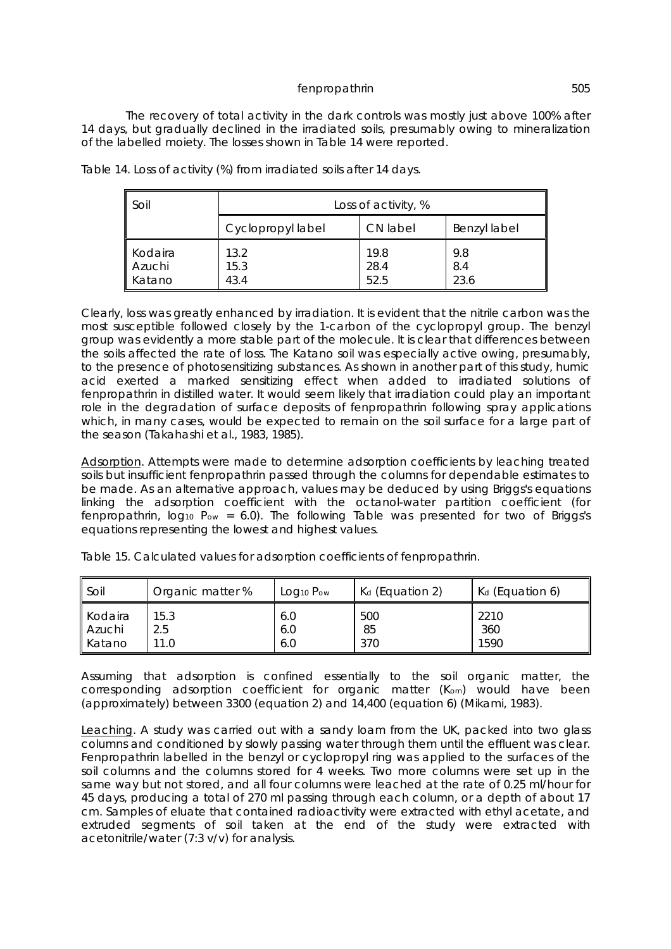The recovery of total activity in the dark controls was mostly just above 100% after 14 days, but gradually declined in the irradiated soils, presumably owing to mineralization of the labelled moiety. The losses shown in Table 14 were reported.

| Soil                        | Loss of activity, %  |                      |                    |  |
|-----------------------------|----------------------|----------------------|--------------------|--|
|                             | Cyclopropyl label    | CN label             | Benzyl label       |  |
| Kodaira<br>Azuchi<br>Katano | 13.2<br>15.3<br>43.4 | 19.8<br>28.4<br>52.5 | 9.8<br>8.4<br>23.6 |  |

Table 14. Loss of activity (%) from irradiated soils after 14 days.

Clearly, loss was greatly enhanced by irradiation. It is evident that the nitrile carbon was the most susceptible followed closely by the 1-carbon of the cyclopropyl group. The benzyl group was evidently a more stable part of the molecule. It is clear that differences between the soils affected the rate of loss. The Katano soil was especially active owing, presumably, to the presence of photosensitizing substances. As shown in another part of this study, humic acid exerted a marked sensitizing effect when added to irradiated solutions of fenpropathrin in distilled water. It would seem likely that irradiation could play an important role in the degradation of surface deposits of fenpropathrin following spray applications which, in many cases, would be expected to remain on the soil surface for a large part of the season (Takahashi *et al*., 1983, 1985).

Adsorption. Attempts were made to determine adsorption coefficients by leaching treated soils but insufficient fenpropathrin passed through the columns for dependable estimates to be made. As an alternative approach, values may be deduced by using Briggs's equations linking the adsorption coefficient with the octanol-water partition coefficient (for fenpropathrin,  $log_{10} P_{ow} = 6.0$ . The following Table was presented for two of Briggs's equations representing the lowest and highest values.

| ll Soil | Organic matter % | Log <sub>10</sub> Pow | K <sub>d</sub> (Equation 2) | K <sub>d</sub> (Equation 6) |
|---------|------------------|-----------------------|-----------------------------|-----------------------------|
| Kodaira | 15.3             | 6.0                   | 500                         | 2210                        |
| Azuchi  | 2.5              | 6.0                   | 85                          | 360                         |
| Katano  | 11.0             | 6.0                   | 370                         | 1590                        |

Table 15. Calculated values for adsorption coefficients of fenpropathrin.

Assuming that adsorption is confined essentially to the soil organic matter, the corresponding adsorption coefficient for organic matter (Kom) would have been (approximately) between 3300 (equation 2) and 14,400 (equation 6) (Mikami, 1983).

Leaching. A study was carried out with a sandy loam from the UK, packed into two glass columns and conditioned by slowly passing water through them until the effluent was clear. Fenpropathrin labelled in the benzyl or cyclopropyl ring was applied to the surfaces of the soil columns and the columns stored for 4 weeks. Two more columns were set up in the same way but not stored, and all four columns were leached at the rate of 0.25 ml/hour for 45 days, producing a total of 270 ml passing through each column, or a depth of about 17 cm. Samples of eluate that contained radioactivity were extracted with ethyl acetate, and extruded segments of soil taken at the end of the study were extracted with acetonitrile/water (7:3 v/v) for analysis.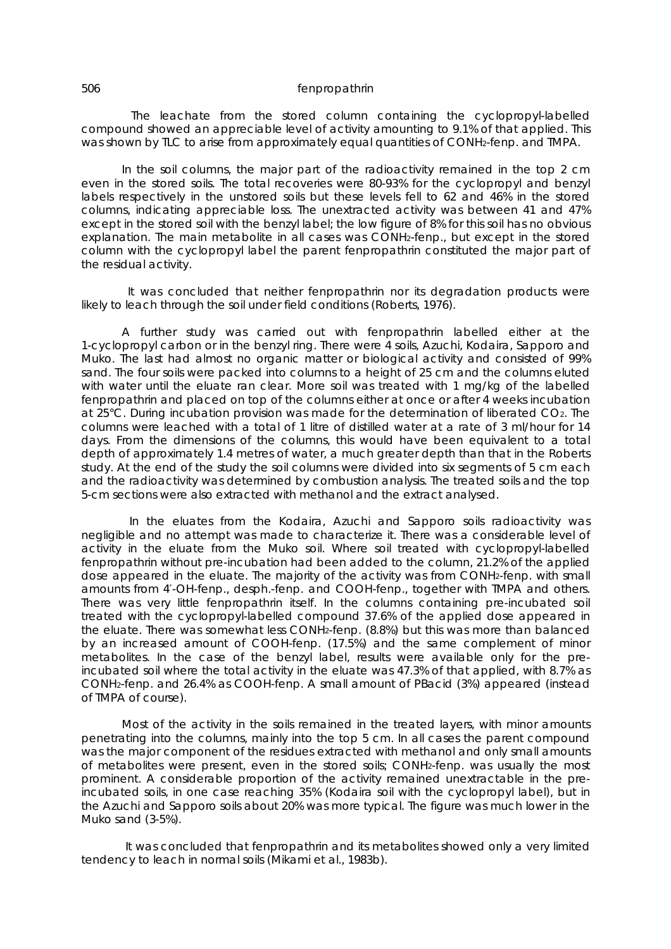The leachate from the stored column containing the cyclopropyl-labelled compound showed an appreciable level of activity amounting to 9.1% of that applied. This was shown by TLC to arise from approximately equal quantities of CONH2-fenp. and TMPA.

In the soil columns, the major part of the radioactivity remained in the top 2 cm even in the stored soils. The total recoveries were 80-93% for the cyclopropyl and benzyl labels respectively in the unstored soils but these levels fell to 62 and 46% in the stored columns, indicating appreciable loss. The unextracted activity was between 41 and 47% except in the stored soil with the benzyl label; the low figure of 8% for this soil has no obvious explanation. The main metabolite in all cases was CONH2-fenp., but except in the stored column with the cyclopropyl label the parent fenpropathrin constituted the major part of the residual activity.

 It was concluded that neither fenpropathrin nor its degradation products were likely to leach through the soil under field conditions (Roberts, 1976).

A further study was carried out with fenpropathrin labelled either at the 1-cyclopropyl carbon or in the benzyl ring. There were 4 soils, Azuchi, Kodaira, Sapporo and Muko. The last had almost no organic matter or biological activity and consisted of 99% sand. The four soils were packed into columns to a height of 25 cm and the columns eluted with water until the eluate ran clear. More soil was treated with 1 mg/kg of the labelled fenpropathrin and placed on top of the columns either at once or after 4 weeks incubation at 25°C. During incubation provision was made for the determination of liberated CO2. The columns were leached with a total of 1 litre of distilled water at a rate of 3 ml/hour for 14 days. From the dimensions of the columns, this would have been equivalent to a total depth of approximately 1.4 metres of water, a much greater depth than that in the Roberts study. At the end of the study the soil columns were divided into six segments of 5 cm each and the radioactivity was determined by combustion analysis. The treated soils and the top 5-cm sections were also extracted with methanol and the extract analysed.

 In the eluates from the Kodaira, Azuchi and Sapporo soils radioactivity was negligible and no attempt was made to characterize it. There was a considerable level of activity in the eluate from the Muko soil. Where soil treated with cyclopropyl-labelled fenpropathrin without pre-incubation had been added to the column, 21.2% of the applied dose appeared in the eluate. The majority of the activity was from CONH2-fenp. with small amounts from 4′-OH-fenp., desph.-fenp. and COOH-fenp., together with TMPA and others. There was very little fenpropathrin itself. In the columns containing pre-incubated soil treated with the cyclopropyl-labelled compound 37.6% of the applied dose appeared in the eluate. There was somewhat less CONH2-fenp. (8.8%) but this was more than balanced by an increased amount of COOH-fenp. (17.5%) and the same complement of minor metabolites. In the case of the benzyl label, results were available only for the preincubated soil where the total activity in the eluate was 47.3% of that applied, with 8.7% as CONH2-fenp. and 26.4% as COOH-fenp. A small amount of PBacid (3%) appeared (instead of TMPA of course).

Most of the activity in the soils remained in the treated layers, with minor amounts penetrating into the columns, mainly into the top 5 cm. In all cases the parent compound was the major component of the residues extracted with methanol and only small amounts of metabolites were present, even in the stored soils; CONH2-fenp. was usually the most prominent. A considerable proportion of the activity remained unextractable in the preincubated soils, in one case reaching 35% (Kodaira soil with the cyclopropyl label), but in the Azuchi and Sapporo soils about 20% was more typical. The figure was much lower in the Muko sand (3-5%).

 It was concluded that fenpropathrin and its metabolites showed only a very limited tendency to leach in normal soils (Mikami *et al*., 1983b).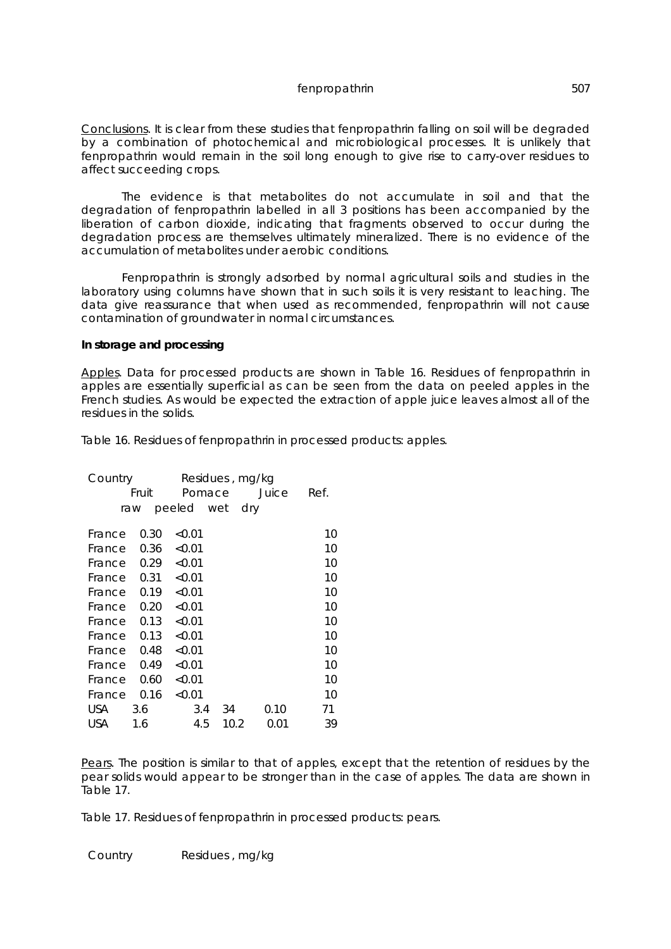Conclusions. It is clear from these studies that fenpropathrin falling on soil will be degraded by a combination of photochemical and microbiological processes. It is unlikely that fenpropathrin would remain in the soil long enough to give rise to carry-over residues to affect succeeding crops.

The evidence is that metabolites do not accumulate in soil and that the degradation of fenpropathrin labelled in all 3 positions has been accompanied by the liberation of carbon dioxide, indicating that fragments observed to occur during the degradation process are themselves ultimately mineralized. There is no evidence of the accumulation of metabolites under aerobic conditions.

Fenpropathrin is strongly adsorbed by normal agricultural soils and studies in the laboratory using columns have shown that in such soils it is very resistant to leaching. The data give reassurance that when used as recommended, fenpropathrin will not cause contamination of groundwater in normal circumstances.

### **In storage and processing**

Apples. Data for processed products are shown in Table 16. Residues of fenpropathrin in apples are essentially superficial as can be seen from the data on peeled apples in the French studies. As would be expected the extraction of apple juice leaves almost all of the residues in the solids.

Table 16. Residues of fenpropathrin in processed products: apples.

| Country    |       |                | Residues, mg/kg |       |      |  |
|------------|-------|----------------|-----------------|-------|------|--|
|            | Fruit | Pomace         |                 | Juice | Ref. |  |
| raw        |       | peeled wet dry |                 |       |      |  |
| France     | 0.30  | < 0.01         |                 |       | 10   |  |
|            |       |                |                 |       |      |  |
| France     | 0.36  | < 0.01         |                 |       | 10   |  |
| France     | 0.29  | < 0.01         |                 |       | 10   |  |
| France     | 0.31  | < 0.01         |                 |       | 10   |  |
| France     | 0.19  | < 0.01         |                 |       | 10   |  |
| France     | 0.20  | < 0.01         |                 |       | 10   |  |
| France     | 0.13  | < 0.01         |                 |       | 10   |  |
| France     | 0.13  | < 0.01         |                 |       | 10   |  |
| France     | 0.48  | < 0.01         |                 |       | 10   |  |
| France     | 0.49  | < 0.01         |                 |       | 10   |  |
| France     | 0.60  | < 0.01         |                 |       | 10   |  |
| France     | 0.16  | < 0.01         |                 |       | 10   |  |
| USA.       | 3.6   | 3.4            | 34              | 0.10  | 71   |  |
| <b>USA</b> | 1.6   | 4.5            | 10.2            | 0.01  | 39   |  |

Pears. The position is similar to that of apples, except that the retention of residues by the pear solids would appear to be stronger than in the case of apples. The data are shown in Table 17.

Table 17. Residues of fenpropathrin in processed products: pears.

Country Residues , mg/kg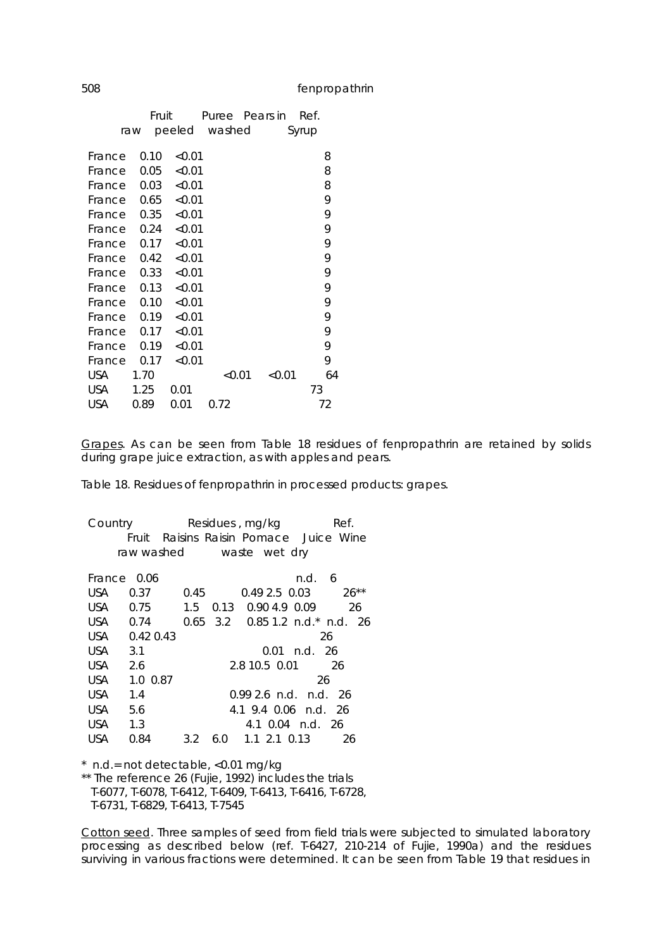|            | Fruit |        |        | Puree Pears in | Ref.  |    |  |
|------------|-------|--------|--------|----------------|-------|----|--|
|            | raw   | peeled | washed |                | Syrup |    |  |
|            |       |        |        |                |       |    |  |
| France     | 0.10  | < 0.01 |        |                |       | 8  |  |
| France     | 0.05  | < 0.01 |        |                |       | 8  |  |
| France     | 0.03  | < 0.01 |        |                |       | 8  |  |
| France     | 0.65  | < 0.01 |        |                |       | 9  |  |
| France     | 0.35  | < 0.01 |        |                |       | 9  |  |
| France     | 0.24  | < 0.01 |        |                |       | 9  |  |
| France     | 0.17  | < 0.01 |        |                |       | 9  |  |
| France     | 0.42  | < 0.01 |        |                |       | 9  |  |
| France     | 0.33  | < 0.01 |        |                |       | 9  |  |
| France     | 0.13  | < 0.01 |        |                |       | 9  |  |
| France     | 0.10  | < 0.01 |        |                |       | 9  |  |
| France     | 0.19  | < 0.01 |        |                |       | 9  |  |
| France     | 0.17  | < 0.01 |        |                |       | 9  |  |
| France     | 0.19  | < 0.01 |        |                |       | 9  |  |
| France     | 0.17  | < 0.01 |        |                |       | 9  |  |
| USA        | 1.70  |        | < 0.01 | < 0.01         |       | 64 |  |
| USA        | 1.25  | 0.01   |        |                |       | 73 |  |
| <b>USA</b> | 0.89  | 0.01   | 0.72   |                |       | 72 |  |

Grapes. As can be seen from Table 18 residues of fenpropathrin are retained by solids during grape juice extraction, as with apples and pears.

Table 18. Residues of fenpropathrin in processed products: grapes.

Country Residues, mg/kg Ref. Fruit Raisins Raisin Pomace Juice Wine raw washed waste wet dry  $\overline{\phantom{a}}$ France 0.06 n.d. 6 USA 0.37 0.45 0.49 2.5 0.03 26\*\* USA 0.75 1.5 0.13 0.90 4.9 0.09 26 USA 0.74 0.65 3.2 0.85 1.2 n.d.\* n.d. 26 USA 0.42 0.43 26 USA 3.1 0.01 n.d. 26 USA 2.6 2.8 10.5 0.01 26 USA 1.0 0.87 26 USA 1.4 0.99 2.6 n.d. n.d. 26 USA 5.6 4.1 9.4 0.06 n.d. 26 USA 1.3 4.1 0.04 n.d. 26 USA 0.84 3.2 6.0 1.1 2.1 0.13 26

\* n.d.= not detectable, <0.01 mg/kg

\*\* The reference 26 (Fujie, 1992) includes the trials T-6077, T-6078, T-6412, T-6409, T-6413, T-6416, T-6728, T-6731, T-6829, T-6413, T-7545

Cotton seed. Three samples of seed from field trials were subjected to simulated laboratory processing as described below (ref. T-6427, 210-214 of Fujie, 1990a) and the residues surviving in various fractions were determined. It can be seen from Table 19 that residues in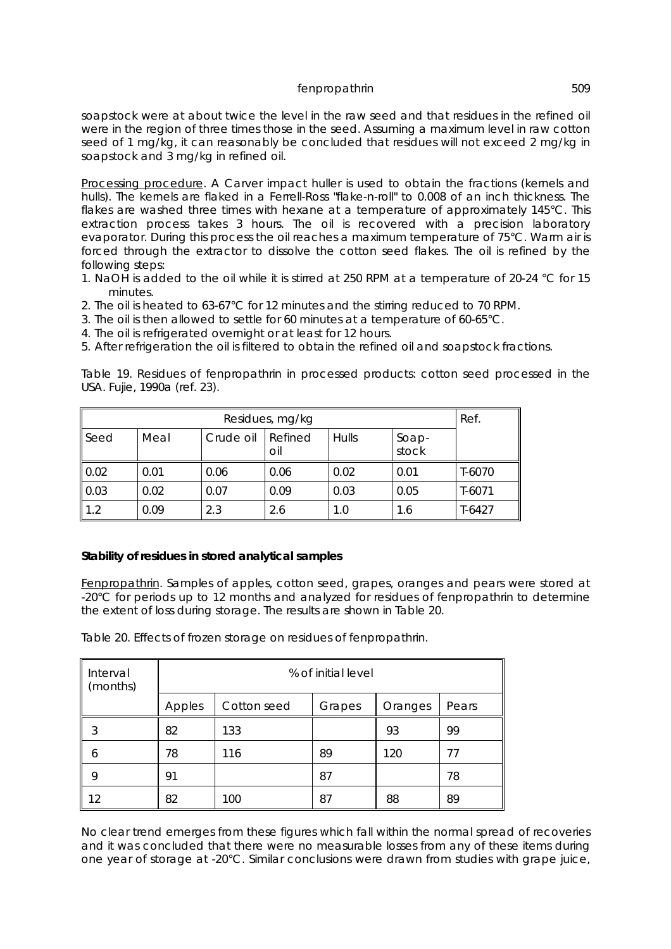soapstock were at about twice the level in the raw seed and that residues in the refined oil were in the region of three times those in the seed. Assuming a maximum level in raw cotton seed of 1 mg/kg, it can reasonably be concluded that residues will not exceed 2 mg/kg in soapstock and 3 mg/kg in refined oil.

Processing procedure. A Carver impact huller is used to obtain the fractions (kernels and hulls). The kernels are flaked in a Ferrell-Ross "flake-n-roll" to 0.008 of an inch thickness. The flakes are washed three times with hexane at a temperature of approximately 145°C. This extraction process takes 3 hours. The oil is recovered with a precision laboratory evaporator. During this process the oil reaches a maximum temperature of 75°C. Warm air is forced through the extractor to dissolve the cotton seed flakes. The oil is refined by the following steps:

- 1. NaOH is added to the oil while it is stirred at 250 RPM at a temperature of 20-24 °C for 15 minutes.
- 2. The oil is heated to 63-67°C for 12 minutes and the stirring reduced to 70 RPM.
- 3. The oil is then allowed to settle for 60 minutes at a temperature of 60-65°C.
- 4. The oil is refrigerated overnight or at least for 12 hours.
- 5. After refrigeration the oil is filtered to obtain the refined oil and soapstock fractions.

Table 19. Residues of fenpropathrin in processed products: cotton seed processed in the USA. Fujie, 1990a (ref. 23).

| Residues, mg/kg |      |           |                  |       |                | Ref.     |
|-----------------|------|-----------|------------------|-------|----------------|----------|
| Seed            | Meal | Crude oil | I Refined<br>oil | Hulls | Soap-<br>stock |          |
| 0.02            | 0.01 | 0.06      | 0.06             | 0.02  | 0.01           | T-6070   |
| 0.03            | 0.02 | 0.07      | 0.09             | 0.03  | 0.05           | $T-6071$ |
| 1.2             | 0.09 | 2.3       | 2.6              | 1.0   | 1.6            | $T-6427$ |

## **Stability of residues in stored analytical samples**

Fenpropathrin. Samples of apples, cotton seed, grapes, oranges and pears were stored at -20°C for periods up to 12 months and analyzed for residues of fenpropathrin to determine the extent of loss during storage. The results are shown in Table 20.

Table 20. Effects of frozen storage on residues of fenpropathrin.

| Interval<br>(months) | % of initial level                                  |     |    |     |    |
|----------------------|-----------------------------------------------------|-----|----|-----|----|
|                      | Cotton seed<br>Apples<br>Pears<br>Grapes<br>Oranges |     |    |     |    |
| 3                    | 82                                                  | 133 |    | 93  | 99 |
| 6                    | 78                                                  | 116 | 89 | 120 | 77 |
| 9                    | 91                                                  |     | 87 |     | 78 |
| 12                   | 82                                                  | 100 | 87 | 88  | 89 |

No clear trend emerges from these figures which fall within the normal spread of recoveries and it was concluded that there were no measurable losses from any of these items during one year of storage at -20°C. Similar conclusions were drawn from studies with grape juice,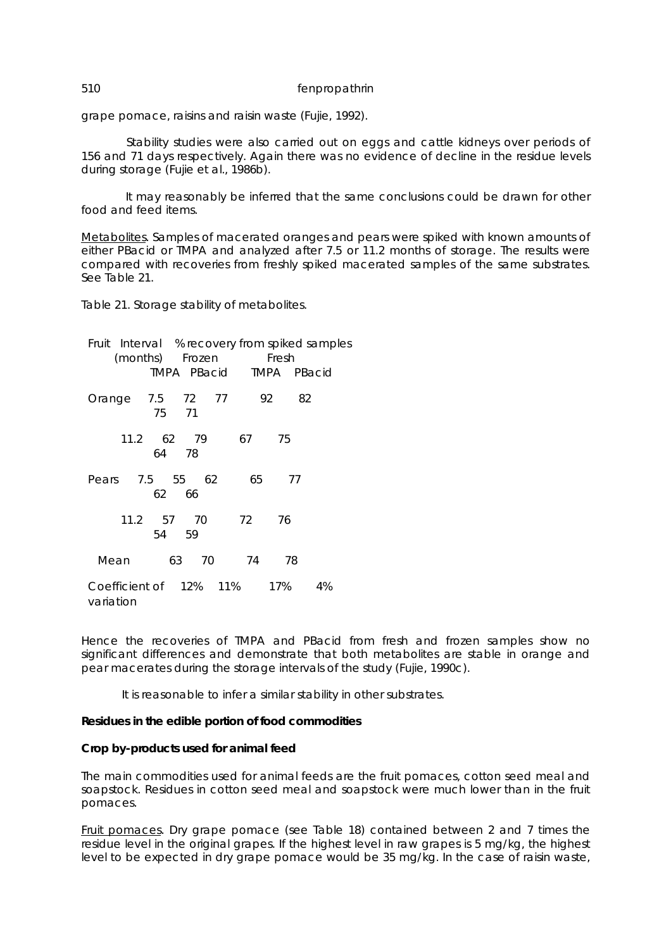grape pomace, raisins and raisin waste (Fujie, 1992).

Stability studies were also carried out on eggs and cattle kidneys over periods of 156 and 71 days respectively. Again there was no evidence of decline in the residue levels during storage (Fujie *et al*., 1986b).

 It may reasonably be inferred that the same conclusions could be drawn for other food and feed items.

Metabolites. Samples of macerated oranges and pears were spiked with known amounts of either PBacid or TMPA and analyzed after 7.5 or 11.2 months of storage. The results were compared with recoveries from freshly spiked macerated samples of the same substrates. See Table 21.

Table 21. Storage stability of metabolites.

Fruit Interval % recovery from spiked samples (months) Frozen Fresh TMPA PBacid TMPA PBacid Orange 7.5 72 77 92 82 75 71 11.2 62 79 67 75 64 78 Pears 7.5 55 62 65 77 62 66 11.2 57 70 72 76 54 59 Mean 63 70 74 78 Coefficient of 12% 11% 17% 4% variation

Hence the recoveries of TMPA and PBacid from fresh and frozen samples show no significant differences and demonstrate that both metabolites are stable in orange and pear macerates during the storage intervals of the study (Fujie, 1990c).

It is reasonable to infer a similar stability in other substrates.

### **Residues in the edible portion of food commodities**

#### **Crop by-products used for animal feed**

The main commodities used for animal feeds are the fruit pomaces, cotton seed meal and soapstock. Residues in cotton seed meal and soapstock were much lower than in the fruit pomaces.

Fruit pomaces. Dry grape pomace (see Table 18) contained between 2 and 7 times the residue level in the original grapes. If the highest level in raw grapes is 5 mg/kg, the highest level to be expected in dry grape pomace would be 35 mg/kg. In the case of raisin waste,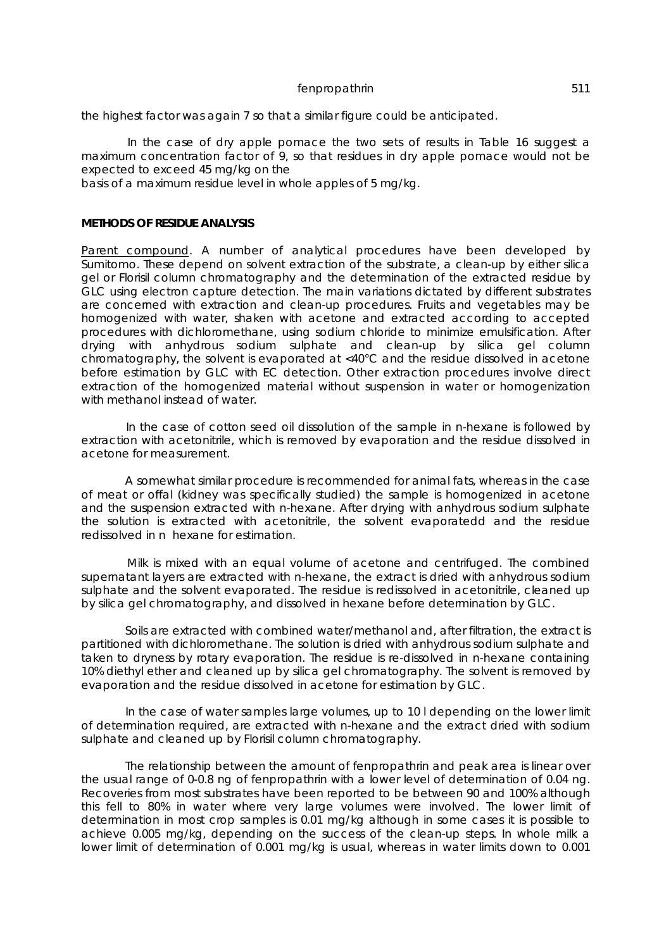the highest factor was again 7 so that a similar figure could be anticipated.

 In the case of dry apple pomace the two sets of results in Table 16 suggest a maximum concentration factor of 9, so that residues in dry apple pomace would not be expected to exceed 45 mg/kg on the

basis of a maximum residue level in whole apples of 5 mg/kg.

### **METHODS OF RESIDUE ANALYSIS**

Parent compound. A number of analytical procedures have been developed by Sumitomo. These depend on solvent extraction of the substrate, a clean-up by either silica gel or Florisil column chromatography and the determination of the extracted residue by GLC using electron capture detection. The main variations dictated by different substrates are concerned with extraction and clean-up procedures. Fruits and vegetables may be homogenized with water, shaken with acetone and extracted according to accepted procedures with dichloromethane, using sodium chloride to minimize emulsification. After drying with anhydrous sodium sulphate and clean-up by silica gel column chromatography, the solvent is evaporated at <40°C and the residue dissolved in acetone before estimation by GLC with EC detection. Other extraction procedures involve direct extraction of the homogenized material without suspension in water or homogenization with methanol instead of water.

 In the case of cotton seed oil dissolution of the sample in n-hexane is followed by extraction with acetonitrile, which is removed by evaporation and the residue dissolved in acetone for measurement.

 A somewhat similar procedure is recommended for animal fats, whereas in the case of meat or offal (kidney was specifically studied) the sample is homogenized in acetone and the suspension extracted with n-hexane. After drying with anhydrous sodium sulphate the solution is extracted with acetonitrile, the solvent evaporatedd and the residue redissolved in n hexane for estimation.

 Milk is mixed with an equal volume of acetone and centrifuged. The combined supernatant layers are extracted with n-hexane, the extract is dried with anhydrous sodium sulphate and the solvent evaporated. The residue is redissolved in acetonitrile, cleaned up by silica gel chromatography, and dissolved in hexane before determination by GLC.

 Soils are extracted with combined water/methanol and, after filtration, the extract is partitioned with dichloromethane. The solution is dried with anhydrous sodium sulphate and taken to dryness by rotary evaporation. The residue is re-dissolved in n-hexane containing 10% diethyl ether and cleaned up by silica gel chromatography. The solvent is removed by evaporation and the residue dissolved in acetone for estimation by GLC.

 In the case of water samples large volumes, up to 10 l depending on the lower limit of determination required, are extracted with n-hexane and the extract dried with sodium sulphate and cleaned up by Florisil column chromatography.

 The relationship between the amount of fenpropathrin and peak area is linear over the usual range of 0-0.8 ng of fenpropathrin with a lower level of determination of 0.04 ng. Recoveries from most substrates have been reported to be between 90 and 100% although this fell to 80% in water where very large volumes were involved. The lower limit of determination in most crop samples is 0.01 mg/kg although in some cases it is possible to achieve 0.005 mg/kg, depending on the success of the clean-up steps. In whole milk a lower limit of determination of 0.001 mg/kg is usual, whereas in water limits down to 0.001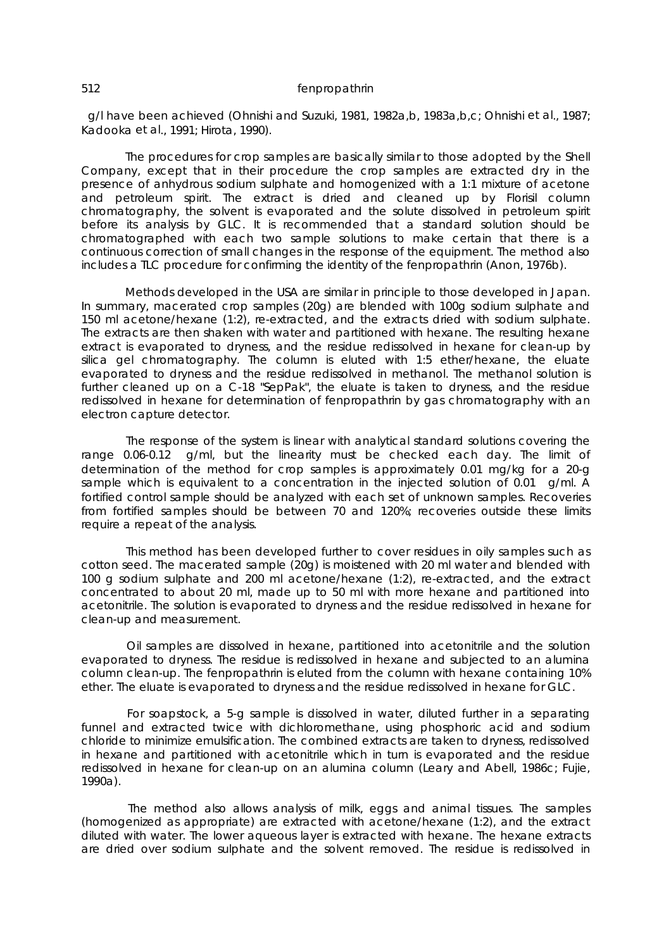g/l have been achieved (Ohnishi and Suzuki, 1981, 1982a,b, 1983a,b,c; Ohnishi *et al*., 1987; Kadooka *et al*., 1991; Hirota, 1990).

 The procedures for crop samples are basically similar to those adopted by the Shell Company, except that in their procedure the crop samples are extracted dry in the presence of anhydrous sodium sulphate and homogenized with a 1:1 mixture of acetone and petroleum spirit. The extract is dried and cleaned up by Florisil column chromatography, the solvent is evaporated and the solute dissolved in petroleum spirit before its analysis by GLC. It is recommended that a standard solution should be chromatographed with each two sample solutions to make certain that there is a continuous correction of small changes in the response of the equipment. The method also includes a TLC procedure for confirming the identity of the fenpropathrin (Anon, 1976b).

 Methods developed in the USA are similar in principle to those developed in Japan. In summary, macerated crop samples (20g) are blended with 100g sodium sulphate and 150 ml acetone/hexane (1:2), re-extracted, and the extracts dried with sodium sulphate. The extracts are then shaken with water and partitioned with hexane. The resulting hexane extract is evaporated to dryness, and the residue redissolved in hexane for clean-up by silica gel chromatography. The column is eluted with 1:5 ether/hexane, the eluate evaporated to dryness and the residue redissolved in methanol. The methanol solution is further cleaned up on a C-18 "SepPak", the eluate is taken to dryness, and the residue redissolved in hexane for determination of fenpropathrin by gas chromatography with an electron capture detector.

 The response of the system is linear with analytical standard solutions covering the range 0.06-0.12  $\dot{I}$  g/ml, but the linearity must be checked each day. The limit of determination of the method for crop samples is approximately 0.01 mg/kg for a 20-g sample which is equivalent to a concentration in the injected solution of 0.01  $\frac{1}{9}$  ml. A fortified control sample should be analyzed with each set of unknown samples. Recoveries from fortified samples should be between 70 and 120%; recoveries outside these limits require a repeat of the analysis.

 This method has been developed further to cover residues in oily samples such as cotton seed. The macerated sample (20g) is moistened with 20 ml water and blended with 100 g sodium sulphate and 200 ml acetone/hexane (1:2), re-extracted, and the extract concentrated to about 20 ml, made up to 50 ml with more hexane and partitioned into acetonitrile. The solution is evaporated to dryness and the residue redissolved in hexane for clean-up and measurement.

 Oil samples are dissolved in hexane, partitioned into acetonitrile and the solution evaporated to dryness. The residue is redissolved in hexane and subjected to an alumina column clean-up. The fenpropathrin is eluted from the column with hexane containing 10% ether. The eluate is evaporated to dryness and the residue redissolved in hexane for GLC.

 For soapstock, a 5-g sample is dissolved in water, diluted further in a separating funnel and extracted twice with dichloromethane, using phosphoric acid and sodium chloride to minimize emulsification. The combined extracts are taken to dryness, redissolved in hexane and partitioned with acetonitrile which in turn is evaporated and the residue redissolved in hexane for clean-up on an alumina column (Leary and Abell, 1986c; Fujie, 1990a).

 The method also allows analysis of milk, eggs and animal tissues. The samples (homogenized as appropriate) are extracted with acetone/hexane (1:2), and the extract diluted with water. The lower aqueous layer is extracted with hexane. The hexane extracts are dried over sodium sulphate and the solvent removed. The residue is redissolved in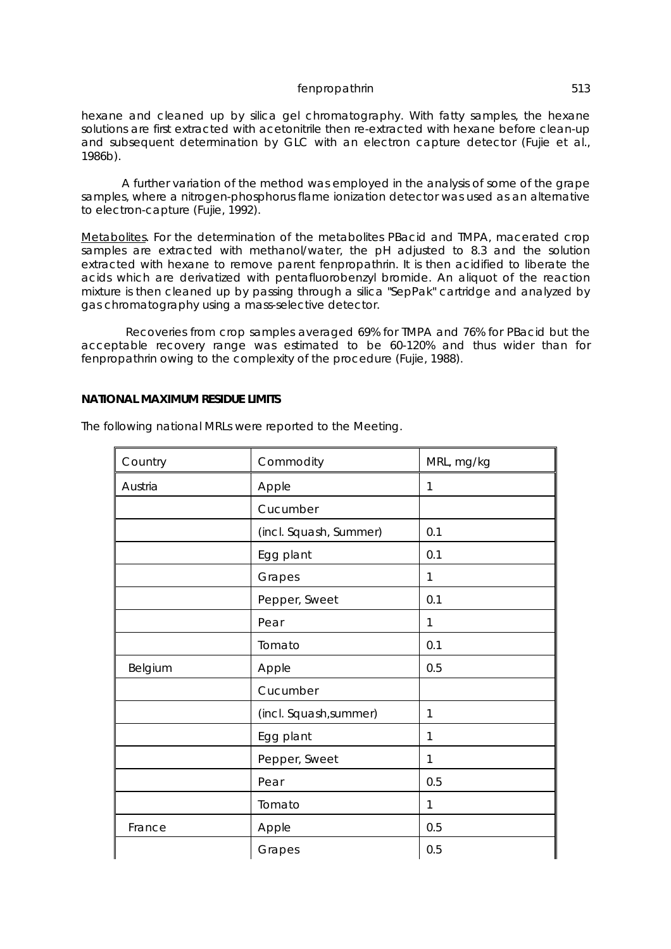hexane and cleaned up by silica gel chromatography. With fatty samples, the hexane solutions are first extracted with acetonitrile then re-extracted with hexane before clean-up and subsequent determination by GLC with an electron capture detector (Fujie *et al.*, 1986b).

A further variation of the method was employed in the analysis of some of the grape samples, where a nitrogen-phosphorus flame ionization detector was used as an alternative to electron-capture (Fujie, 1992).

Metabolites. For the determination of the metabolites PBacid and TMPA, macerated crop samples are extracted with methanol/water, the pH adjusted to 8.3 and the solution extracted with hexane to remove parent fenpropathrin. It is then acidified to liberate the acids which are derivatized with pentafluorobenzyl bromide. An aliquot of the reaction mixture is then cleaned up by passing through a silica "SepPak" cartridge and analyzed by gas chromatography using a mass-selective detector.

 Recoveries from crop samples averaged 69% for TMPA and 76% for PBacid but the acceptable recovery range was estimated to be 60-120% and thus wider than for fenpropathrin owing to the complexity of the procedure (Fujie, 1988).

### **NATIONAL MAXIMUM RESIDUE LIMITS**

| Country | Commodity              | MRL, mg/kg |
|---------|------------------------|------------|
| Austria | Apple                  | 1          |
|         | Cucumber               |            |
|         | (incl. Squash, Summer) | 0.1        |
|         | Egg plant              | 0.1        |
|         | Grapes                 | 1          |
|         | Pepper, Sweet          | 0.1        |
|         | Pear                   | 1          |
|         | Tomato                 | 0.1        |
| Belgium | Apple                  | 0.5        |
|         | Cucumber               |            |
|         | (incl. Squash, summer) | 1          |
|         | Egg plant              | 1          |
|         | Pepper, Sweet          | 1          |
|         | Pear                   | 0.5        |
|         | Tomato                 | 1          |
| France  | Apple                  | 0.5        |
|         | Grapes                 | 0.5        |

The following national MRLs were reported to the Meeting.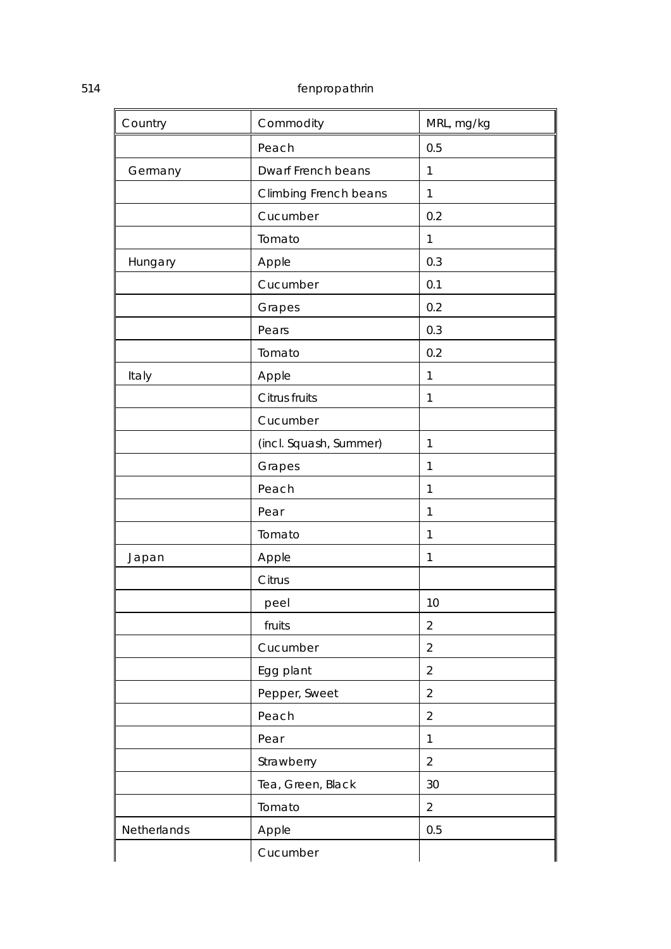| Country     | Commodity              | MRL, mg/kg     |
|-------------|------------------------|----------------|
|             | Peach                  | 0.5            |
| Germany     | Dwarf French beans     | 1              |
|             | Climbing French beans  | 1              |
|             | Cucumber               | 0.2            |
|             | Tomato                 | 1              |
| Hungary     | Apple                  | 0.3            |
|             | Cucumber               | 0.1            |
|             | Grapes                 | 0.2            |
|             | Pears                  | 0.3            |
|             | Tomato                 | 0.2            |
| Italy       | Apple                  | 1              |
|             | Citrus fruits          | 1              |
|             | Cucumber               |                |
|             | (incl. Squash, Summer) | 1              |
|             | Grapes                 | 1              |
|             | Peach                  | 1              |
|             | Pear                   | 1              |
|             | Tomato                 | 1              |
| Japan       | Apple                  | $\mathbf{1}$   |
|             | Citrus                 |                |
|             | peel                   | 10             |
|             | fruits                 | $\overline{2}$ |
|             | Cucumber               | $\overline{2}$ |
|             | Egg plant              | $\overline{2}$ |
|             | Pepper, Sweet          | $\overline{2}$ |
|             | Peach                  | $\overline{2}$ |
|             | Pear                   | 1              |
|             | Strawberry             | $\overline{2}$ |
|             | Tea, Green, Black      | 30             |
|             | Tomato                 | $\overline{2}$ |
| Netherlands | Apple                  | 0.5            |
|             | Cucumber               |                |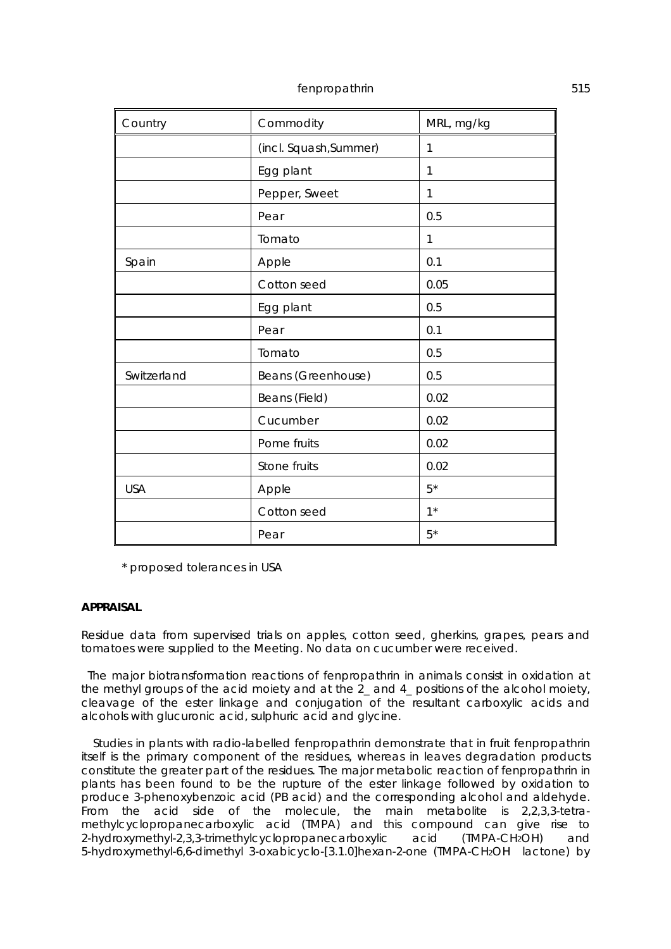| Country     | Commodity              | MRL, mg/kg   |
|-------------|------------------------|--------------|
|             | (incl. Squash, Summer) | 1            |
|             | Egg plant              | $\mathbf{1}$ |
|             | Pepper, Sweet          | 1            |
|             | Pear                   | 0.5          |
|             | Tomato                 | 1            |
| Spain       | Apple                  | 0.1          |
|             | Cotton seed            | 0.05         |
|             | Egg plant              | 0.5          |
|             | Pear                   | 0.1          |
|             | Tomato                 | 0.5          |
| Switzerland | Beans (Greenhouse)     | 0.5          |
|             | Beans (Field)          | 0.02         |
|             | Cucumber               | 0.02         |
|             | Pome fruits            | 0.02         |
|             | Stone fruits           | 0.02         |
| <b>USA</b>  | Apple                  | $5*$         |
|             | Cotton seed            | $1^*$        |
|             | Pear                   | $5*$         |

\* proposed tolerances in USA

### **APPRAISAL**

Residue data from supervised trials on apples, cotton seed, gherkins, grapes, pears and tomatoes were supplied to the Meeting. No data on cucumber were received.

 The major biotransformation reactions of fenpropathrin in animals consist in oxidation at the methyl groups of the acid moiety and at the 2\_ and 4\_ positions of the alcohol moiety, cleavage of the ester linkage and conjugation of the resultant carboxylic acids and alcohols with glucuronic acid, sulphuric acid and glycine.

 Studies in plants with radio-labelled fenpropathrin demonstrate that in fruit fenpropathrin itself is the primary component of the residues, whereas in leaves degradation products constitute the greater part of the residues. The major metabolic reaction of fenpropathrin in plants has been found to be the rupture of the ester linkage followed by oxidation to produce 3-phenoxybenzoic acid (PB acid) and the corresponding alcohol and aldehyde. From the acid side of the molecule, the main metabolite is 2,2,3,3-tetramethylcyclopropanecarboxylic acid (TMPA) and this compound can give rise to 2-hydroxymethyl-2,3,3-trimethylcyclopropanecarboxylic acid (TMPA-CH2OH) and 5-hydroxymethyl-6,6-dimethyl 3-oxabicyclo-[3.1.0]hexan-2-one (TMPA-CH2OH lactone) by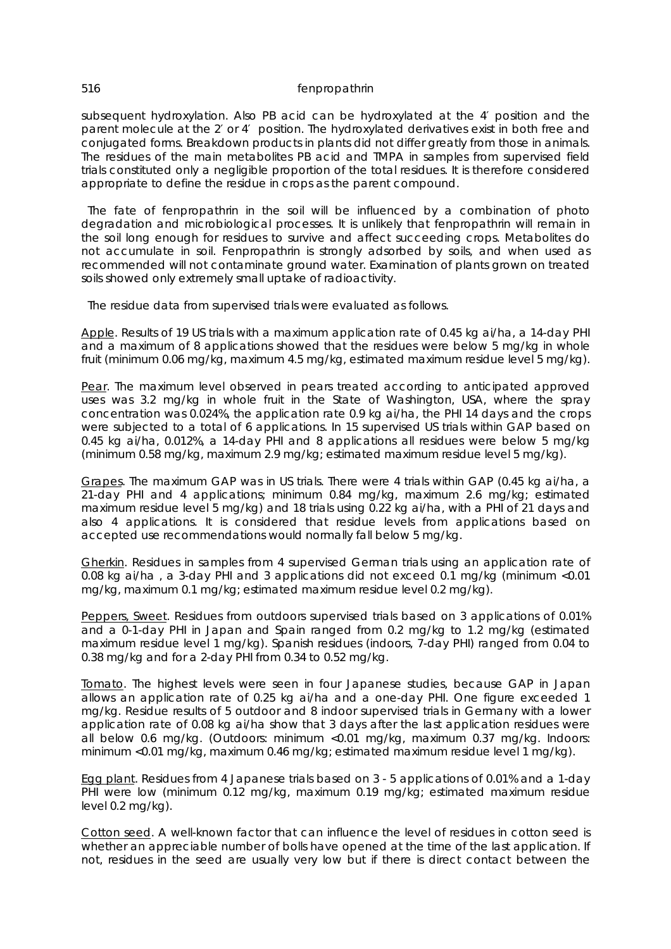subsequent hydroxylation. Also PB acid can be hydroxylated at the 4′ position and the parent molecule at the 2′ or 4′ position. The hydroxylated derivatives exist in both free and conjugated forms. Breakdown products in plants did not differ greatly from those in animals. The residues of the main metabolites PB acid and TMPA in samples from supervised field trials constituted only a negligible proportion of the total residues. It is therefore considered appropriate to define the residue in crops as the parent compound.

 The fate of fenpropathrin in the soil will be influenced by a combination of photo degradation and microbiological processes. It is unlikely that fenpropathrin will remain in the soil long enough for residues to survive and affect succeeding crops. Metabolites do not accumulate in soil. Fenpropathrin is strongly adsorbed by soils, and when used as recommended will not contaminate ground water. Examination of plants grown on treated soils showed only extremely small uptake of radioactivity.

The residue data from supervised trials were evaluated as follows.

Apple. Results of 19 US trials with a maximum application rate of 0.45 kg ai/ha, a 14-day PHI and a maximum of 8 applications showed that the residues were below 5 mg/kg in whole fruit (minimum 0.06 mg/kg, maximum 4.5 mg/kg, estimated maximum residue level 5 mg/kg).

Pear. The maximum level observed in pears treated according to anticipated approved uses was 3.2 mg/kg in whole fruit in the State of Washington, USA, where the spray concentration was 0.024%, the application rate 0.9 kg ai/ha, the PHI 14 days and the crops were subjected to a total of 6 applications. In 15 supervised US trials within GAP based on 0.45 kg ai/ha, 0.012%, a 14-day PHI and 8 applications all residues were below 5 mg/kg (minimum 0.58 mg/kg, maximum 2.9 mg/kg; estimated maximum residue level 5 mg/kg).

Grapes. The maximum GAP was in US trials. There were 4 trials within GAP (0.45 kg ai/ha, a 21-day PHI and 4 applications; minimum 0.84 mg/kg, maximum 2.6 mg/kg; estimated maximum residue level 5 mg/kg) and 18 trials using 0.22 kg ai/ha, with a PHI of 21 days and also 4 applications. It is considered that residue levels from applications based on accepted use recommendations would normally fall below 5 mg/kg.

Gherkin. Residues in samples from 4 supervised German trials using an application rate of 0.08 kg ai/ha , a 3-day PHI and 3 applications did not exceed 0.1 mg/kg (minimum <0.01 mg/kg, maximum 0.1 mg/kg; estimated maximum residue level 0.2 mg/kg).

Peppers, Sweet. Residues from outdoors supervised trials based on 3 applications of 0.01% and a 0-1-day PHI in Japan and Spain ranged from 0.2 mg/kg to 1.2 mg/kg (estimated maximum residue level 1 mg/kg). Spanish residues (indoors, 7-day PHI) ranged from 0.04 to 0.38 mg/kg and for a 2-day PHI from 0.34 to 0.52 mg/kg.

Tomato. The highest levels were seen in four Japanese studies, because GAP in Japan allows an application rate of 0.25 kg ai/ha and a one-day PHI. One figure exceeded 1 mg/kg. Residue results of 5 outdoor and 8 indoor supervised trials in Germany with a lower application rate of 0.08 kg ai/ha show that 3 days after the last application residues were all below 0.6 mg/kg. (Outdoors: minimum <0.01 mg/kg, maximum 0.37 mg/kg. Indoors: minimum <0.01 mg/kg, maximum 0.46 mg/kg; estimated maximum residue level 1 mg/kg).

Egg plant. Residues from 4 Japanese trials based on 3 - 5 applications of 0.01% and a 1-day PHI were low (minimum 0.12 mg/kg, maximum 0.19 mg/kg; estimated maximum residue level 0.2 mg/kg).

Cotton seed. A well-known factor that can influence the level of residues in cotton seed is whether an appreciable number of bolls have opened at the time of the last application. If not, residues in the seed are usually very low but if there is direct contact between the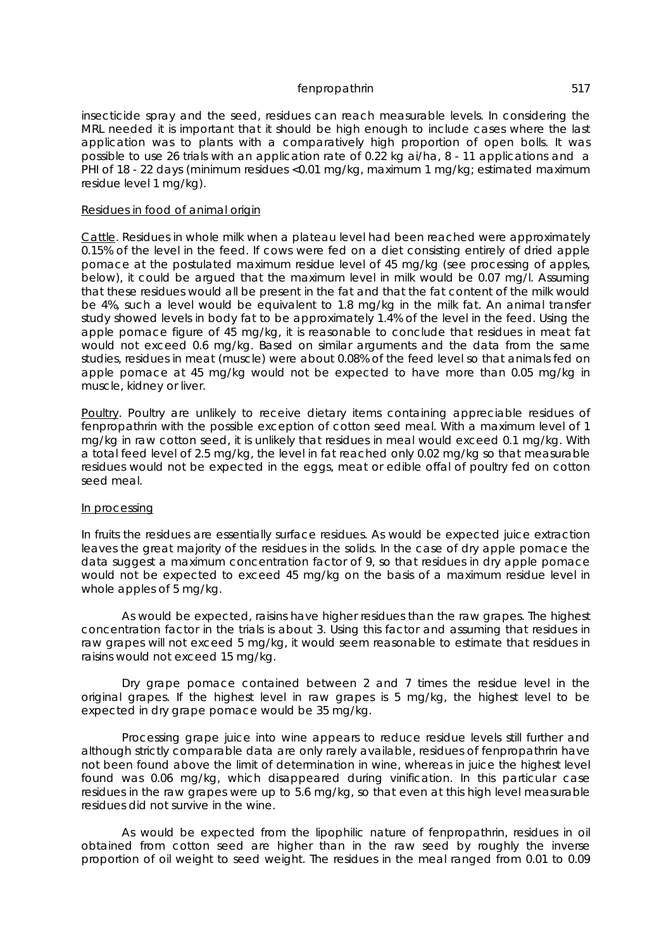insecticide spray and the seed, residues can reach measurable levels. In considering the MRL needed it is important that it should be high enough to include cases where the last application was to plants with a comparatively high proportion of open bolls. It was possible to use 26 trials with an application rate of 0.22 kg ai/ha, 8 - 11 applications and a PHI of 18 - 22 days (minimum residues <0.01 mg/kg, maximum 1 mg/kg; estimated maximum residue level 1 mg/kg).

#### Residues in food of animal origin

Cattle. Residues in whole milk when a plateau level had been reached were approximately 0.15% of the level in the feed. If cows were fed on a diet consisting entirely of dried apple pomace at the postulated maximum residue level of 45 mg/kg (see processing of apples, below), it could be argued that the maximum level in milk would be 0.07 mg/l. Assuming that these residues would all be present in the fat and that the fat content of the milk would be 4%, such a level would be equivalent to 1.8 mg/kg in the milk fat. An animal transfer study showed levels in body fat to be approximately 1.4% of the level in the feed. Using the apple pomace figure of 45 mg/kg, it is reasonable to conclude that residues in meat fat would not exceed 0.6 mg/kg. Based on similar arguments and the data from the same studies, residues in meat (muscle) were about 0.08% of the feed level so that animals fed on apple pomace at 45 mg/kg would not be expected to have more than 0.05 mg/kg in muscle, kidney or liver.

Poultry. Poultry are unlikely to receive dietary items containing appreciable residues of fenpropathrin with the possible exception of cotton seed meal. With a maximum level of 1 mg/kg in raw cotton seed, it is unlikely that residues in meal would exceed 0.1 mg/kg. With a total feed level of 2.5 mg/kg, the level in fat reached only 0.02 mg/kg so that measurable residues would not be expected in the eggs, meat or edible offal of poultry fed on cotton seed meal.

#### In processing

In fruits the residues are essentially surface residues. As would be expected juice extraction leaves the great majority of the residues in the solids. In the case of dry apple pomace the data suggest a maximum concentration factor of 9, so that residues in dry apple pomace would not be expected to exceed 45 mg/kg on the basis of a maximum residue level in whole apples of 5 mg/kg.

As would be expected, raisins have higher residues than the raw grapes. The highest concentration factor in the trials is about 3. Using this factor and assuming that residues in raw grapes will not exceed 5 mg/kg, it would seem reasonable to estimate that residues in raisins would not exceed 15 mg/kg.

Dry grape pomace contained between 2 and 7 times the residue level in the original grapes. If the highest level in raw grapes is 5 mg/kg, the highest level to be expected in dry grape pomace would be 35 mg/kg.

Processing grape juice into wine appears to reduce residue levels still further and although strictly comparable data are only rarely available, residues of fenpropathrin have not been found above the limit of determination in wine, whereas in juice the highest level found was 0.06 mg/kg, which disappeared during vinification. In this particular case residues in the raw grapes were up to 5.6 mg/kg, so that even at this high level measurable residues did not survive in the wine.

As would be expected from the lipophilic nature of fenpropathrin, residues in oil obtained from cotton seed are higher than in the raw seed by roughly the inverse proportion of oil weight to seed weight. The residues in the meal ranged from 0.01 to 0.09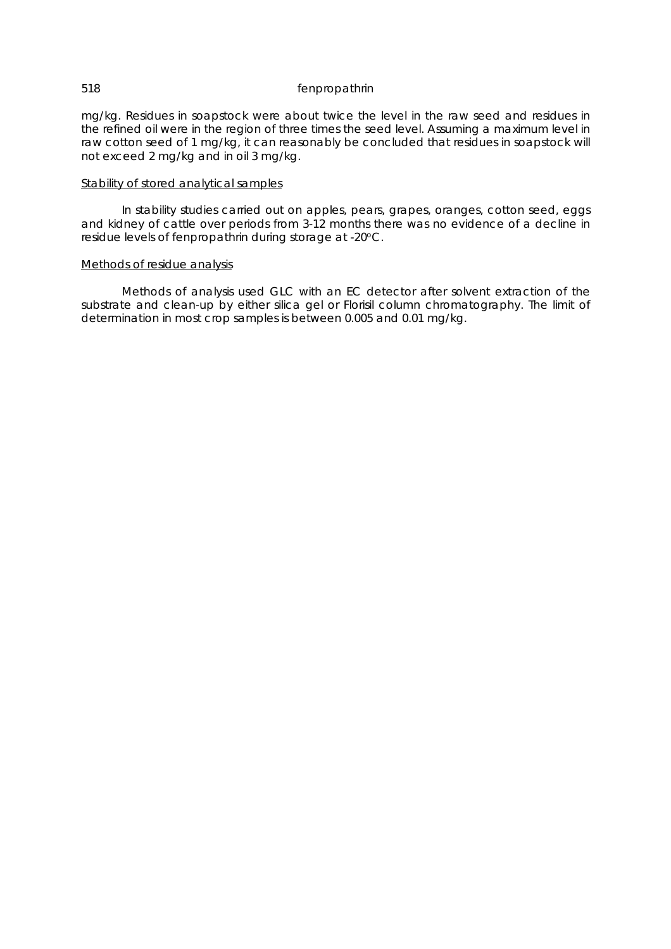mg/kg. Residues in soapstock were about twice the level in the raw seed and residues in the refined oil were in the region of three times the seed level. Assuming a maximum level in raw cotton seed of 1 mg/kg, it can reasonably be concluded that residues in soapstock will not exceed 2 mg/kg and in oil 3 mg/kg.

### Stability of stored analytical samples

In stability studies carried out on apples, pears, grapes, oranges, cotton seed, eggs and kidney of cattle over periods from 3-12 months there was no evidence of a decline in residue levels of fenpropathrin during storage at -20°C.

#### Methods of residue analysis

Methods of analysis used GLC with an EC detector after solvent extraction of the substrate and clean-up by either silica gel or Florisil column chromatography. The limit of determination in most crop samples is between 0.005 and 0.01 mg/kg.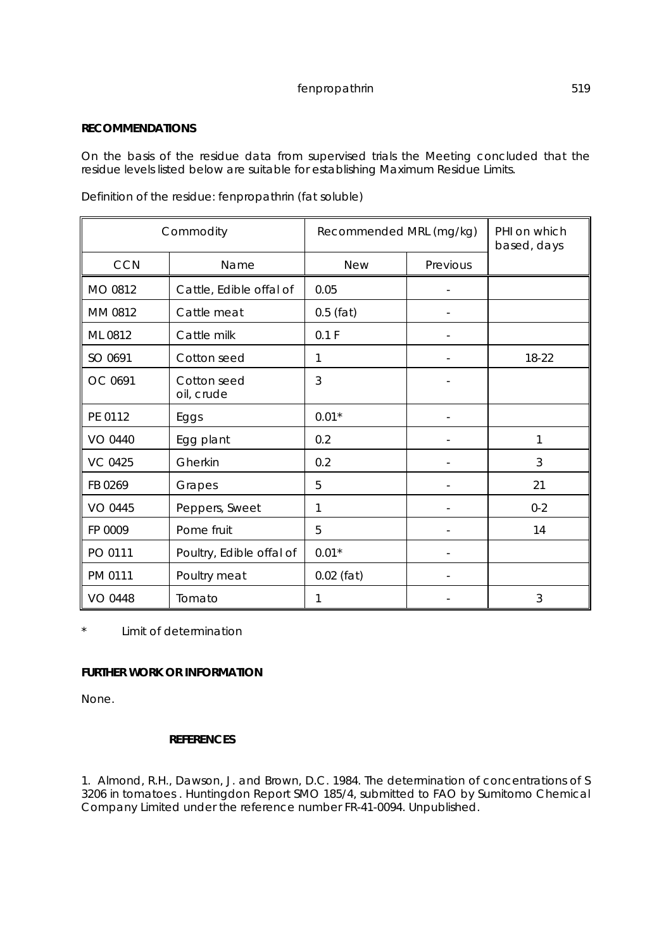## **RECOMMENDATIONS**

On the basis of the residue data from supervised trials the Meeting concluded that the residue levels listed below are suitable for establishing Maximum Residue Limits.

Definition of the residue: fenpropathrin (fat soluble)

| Commodity      |                           | Recommended MRL (mg/kg) |          | PHI on which<br>based, days |
|----------------|---------------------------|-------------------------|----------|-----------------------------|
| <b>CCN</b>     | Name                      | <b>New</b>              | Previous |                             |
| MO 0812        | Cattle, Edible offal of   | 0.05                    |          |                             |
| MM 0812        | Cattle meat               | $0.5$ (fat)             |          |                             |
| ML 0812        | Cattle milk               | 0.1 F                   |          |                             |
| SO 0691        | Cotton seed               | 1                       |          | 18-22                       |
| OC 0691        | Cotton seed<br>oil, crude | 3                       |          |                             |
| PE 0112        | Eggs                      | $0.01*$                 |          |                             |
| VO 0440        | Egg plant                 | 0.2                     |          | 1                           |
| <b>VC 0425</b> | Gherkin                   | 0.2                     |          | 3                           |
| FB 0269        | Grapes                    | 5                       |          | 21                          |
| VO 0445        | Peppers, Sweet            | 1                       |          | $0 - 2$                     |
| FP 0009        | Pome fruit                | 5                       |          | 14                          |
| PO 0111        | Poultry, Edible offal of  | $0.01*$                 |          |                             |
| PM 0111        | Poultry meat              | $0.02$ (fat)            |          |                             |
| <b>VO 0448</b> | Tomato                    | 1                       |          | 3                           |

\* Limit of determination

## **FURTHER WORK OR INFORMATION**

None.

## **REFERENCES**

1. Almond, R.H., Dawson, J. and Brown, D.C. 1984. The determination of concentrations of S 3206 in tomatoes . Huntingdon Report SMO 185/4, submitted to FAO by Sumitomo Chemical Company Limited under the reference number FR-41-0094. Unpublished.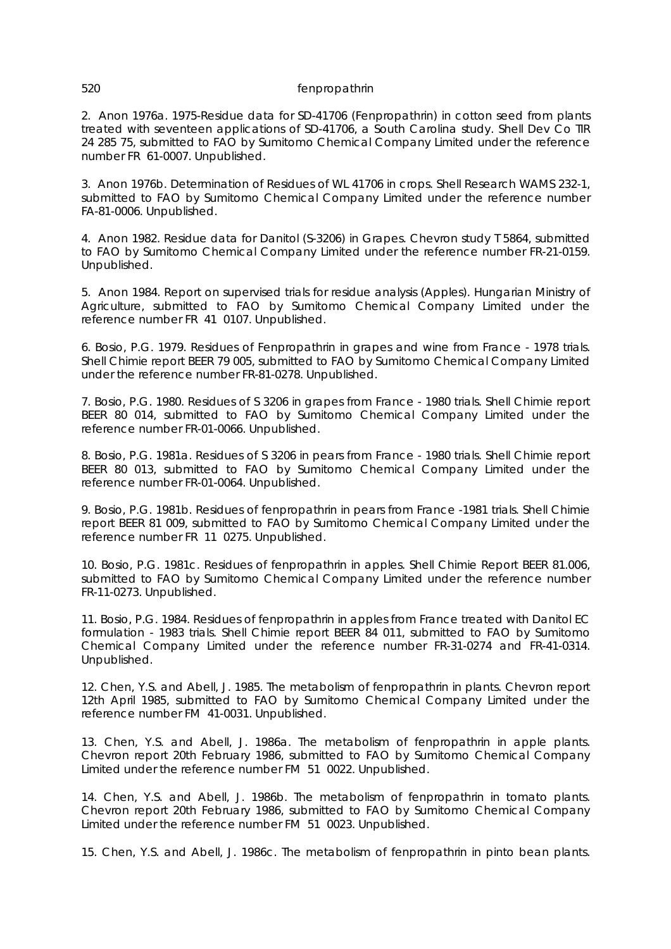2. Anon 1976a. 1975-Residue data for SD-41706 (Fenpropathrin) in cotton seed from plants treated with seventeen applications of SD-41706, a South Carolina study. Shell Dev Co TIR 24 285 75, submitted to FAO by Sumitomo Chemical Company Limited under the reference number FR 61-0007. Unpublished.

3. Anon 1976b. Determination of Residues of WL 41706 in crops. Shell Research WAMS 232-1, submitted to FAO by Sumitomo Chemical Company Limited under the reference number FA-81-0006. Unpublished.

4. Anon 1982. Residue data for Danitol (S-3206) in Grapes. Chevron study T 5864, submitted to FAO by Sumitomo Chemical Company Limited under the reference number FR-21-0159. Unpublished.

5. Anon 1984. Report on supervised trials for residue analysis (Apples). Hungarian Ministry of Agriculture, submitted to FAO by Sumitomo Chemical Company Limited under the reference number FR 41 0107. Unpublished.

6. Bosio, P.G. 1979. Residues of Fenpropathrin in grapes and wine from France - 1978 trials. Shell Chimie report BEER 79 005, submitted to FAO by Sumitomo Chemical Company Limited under the reference number FR-81-0278. Unpublished.

7. Bosio, P.G. 1980. Residues of S 3206 in grapes from France - 1980 trials. Shell Chimie report BEER 80 014, submitted to FAO by Sumitomo Chemical Company Limited under the reference number FR-01-0066. Unpublished.

8. Bosio, P.G. 1981a. Residues of S 3206 in pears from France - 1980 trials. Shell Chimie report BEER 80 013, submitted to FAO by Sumitomo Chemical Company Limited under the reference number FR-01-0064. Unpublished.

9. Bosio, P.G. 1981b. Residues of fenpropathrin in pears from France -1981 trials. Shell Chimie report BEER 81 009, submitted to FAO by Sumitomo Chemical Company Limited under the reference number FR 11 0275. Unpublished.

10. Bosio, P.G. 1981c. Residues of fenpropathrin in apples. Shell Chimie Report BEER 81.006, submitted to FAO by Sumitomo Chemical Company Limited under the reference number FR-11-0273. Unpublished.

11. Bosio, P.G. 1984. Residues of fenpropathrin in apples from France treated with Danitol EC formulation - 1983 trials. Shell Chimie report BEER 84 011, submitted to FAO by Sumitomo Chemical Company Limited under the reference number FR-31-0274 and FR-41-0314. Unpublished.

12. Chen, Y.S. and Abell, J. 1985. The metabolism of fenpropathrin in plants. Chevron report 12th April 1985, submitted to FAO by Sumitomo Chemical Company Limited under the reference number FM 41-0031. Unpublished.

13. Chen, Y.S. and Abell, J. 1986a. The metabolism of fenpropathrin in apple plants. Chevron report 20th February 1986, submitted to FAO by Sumitomo Chemical Company Limited under the reference number FM 51 0022. Unpublished.

14. Chen, Y.S. and Abell, J. 1986b. The metabolism of fenpropathrin in tomato plants. Chevron report 20th February 1986, submitted to FAO by Sumitomo Chemical Company Limited under the reference number FM 51 0023. Unpublished.

15. Chen, Y.S. and Abell, J. 1986c. The metabolism of fenpropathrin in pinto bean plants.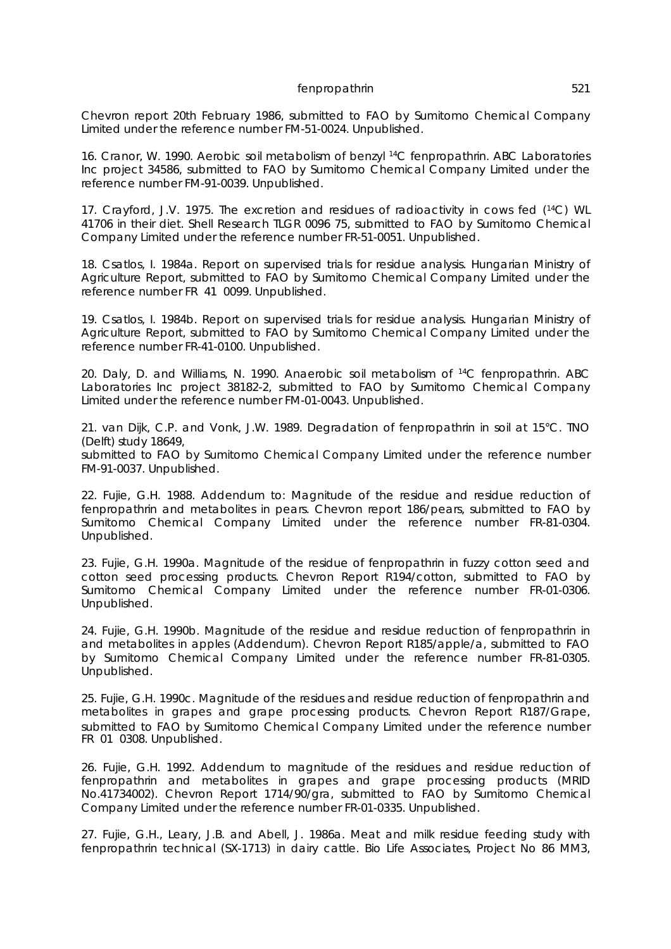Chevron report 20th February 1986, submitted to FAO by Sumitomo Chemical Company Limited under the reference number FM-51-0024. Unpublished.

16. Cranor, W. 1990. Aerobic soil metabolism of benzyl <sup>14</sup>C fenpropathrin. ABC Laboratories Inc project 34586, submitted to FAO by Sumitomo Chemical Company Limited under the reference number FM-91-0039. Unpublished.

17. Crayford, J.V. 1975. The excretion and residues of radioactivity in cows fed (<sup>14</sup>C) WL 41706 in their diet. Shell Research TLGR 0096 75, submitted to FAO by Sumitomo Chemical Company Limited under the reference number FR-51-0051. Unpublished.

18. Csatlos, I. 1984a. Report on supervised trials for residue analysis. Hungarian Ministry of Agriculture Report, submitted to FAO by Sumitomo Chemical Company Limited under the reference number FR 41 0099. Unpublished.

19. Csatlos, I. 1984b. Report on supervised trials for residue analysis. Hungarian Ministry of Agriculture Report, submitted to FAO by Sumitomo Chemical Company Limited under the reference number FR-41-0100. Unpublished.

20. Daly, D. and Williams, N. 1990. Anaerobic soil metabolism of <sup>14</sup>C fenpropathrin. ABC Laboratories Inc project 38182-2, submitted to FAO by Sumitomo Chemical Company Limited under the reference number FM-01-0043. Unpublished.

21. van Dijk, C.P. and Vonk, J.W. 1989. Degradation of fenpropathrin in soil at 15°C. TNO (Delft) study 18649,

submitted to FAO by Sumitomo Chemical Company Limited under the reference number FM-91-0037. Unpublished.

22. Fujie, G.H. 1988. Addendum to: Magnitude of the residue and residue reduction of fenpropathrin and metabolites in pears. Chevron report 186/pears, submitted to FAO by Sumitomo Chemical Company Limited under the reference number FR-81-0304. Unpublished.

23. Fujie, G.H. 1990a. Magnitude of the residue of fenpropathrin in fuzzy cotton seed and cotton seed processing products. Chevron Report R194/cotton, submitted to FAO by Sumitomo Chemical Company Limited under the reference number FR-01-0306. Unpublished.

24. Fujie, G.H. 1990b. Magnitude of the residue and residue reduction of fenpropathrin in and metabolites in apples (Addendum). Chevron Report R185/apple/a, submitted to FAO by Sumitomo Chemical Company Limited under the reference number FR-81-0305. Unpublished.

25. Fujie, G.H. 1990c. Magnitude of the residues and residue reduction of fenpropathrin and metabolites in grapes and grape processing products. Chevron Report R187/Grape, submitted to FAO by Sumitomo Chemical Company Limited under the reference number FR 01 0308. Unpublished.

26. Fujie, G.H. 1992. Addendum to magnitude of the residues and residue reduction of fenpropathrin and metabolites in grapes and grape processing products (MRID No.41734002). Chevron Report 1714/90/gra, submitted to FAO by Sumitomo Chemical Company Limited under the reference number FR-01-0335. Unpublished.

27. Fujie, G.H., Leary, J.B. and Abell, J. 1986a. Meat and milk residue feeding study with fenpropathrin technical (SX-1713) in dairy cattle. Bio Life Associates, Project No 86 MM3,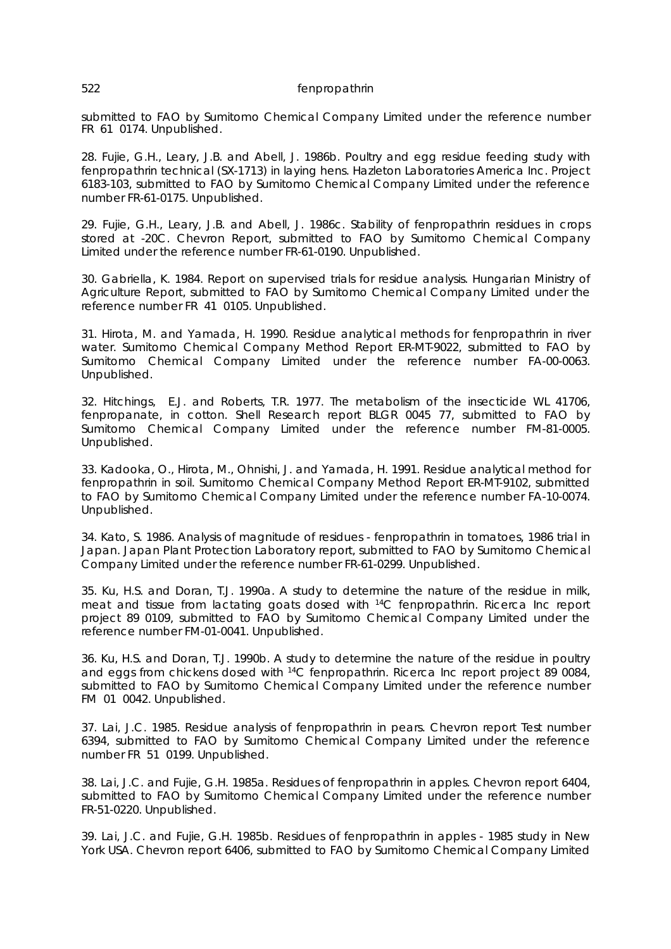submitted to FAO by Sumitomo Chemical Company Limited under the reference number FR 61 0174. Unpublished.

28. Fujie, G.H., Leary, J.B. and Abell, J. 1986b. Poultry and egg residue feeding study with fenpropathrin technical (SX-1713) in laying hens. Hazleton Laboratories America Inc. Project 6183-103, submitted to FAO by Sumitomo Chemical Company Limited under the reference number FR-61-0175. Unpublished.

29. Fujie, G.H., Leary, J.B. and Abell, J. 1986c. Stability of fenpropathrin residues in crops stored at -20C. Chevron Report, submitted to FAO by Sumitomo Chemical Company Limited under the reference number FR-61-0190. Unpublished.

30. Gabriella, K. 1984. Report on supervised trials for residue analysis. Hungarian Ministry of Agriculture Report, submitted to FAO by Sumitomo Chemical Company Limited under the reference number FR 41 0105. Unpublished.

31. Hirota, M. and Yamada, H. 1990. Residue analytical methods for fenpropathrin in river water. Sumitomo Chemical Company Method Report ER-MT-9022, submitted to FAO by Sumitomo Chemical Company Limited under the reference number FA-00-0063. Unpublished.

32. Hitchings, E.J. and Roberts, T.R. 1977. The metabolism of the insecticide WL 41706, fenpropanate, in cotton. Shell Research report BLGR 0045 77, submitted to FAO by Sumitomo Chemical Company Limited under the reference number FM-81-0005. Unpublished.

33. Kadooka, O., Hirota, M., Ohnishi, J. and Yamada, H. 1991. Residue analytical method for fenpropathrin in soil. Sumitomo Chemical Company Method Report ER-MT-9102, submitted to FAO by Sumitomo Chemical Company Limited under the reference number FA-10-0074. Unpublished.

34. Kato, S. 1986. Analysis of magnitude of residues - fenpropathrin in tomatoes, 1986 trial in Japan. Japan Plant Protection Laboratory report, submitted to FAO by Sumitomo Chemical Company Limited under the reference number FR-61-0299. Unpublished.

35. Ku, H.S. and Doran, T.J. 1990a. A study to determine the nature of the residue in milk, meat and tissue from lactating goats dosed with <sup>14</sup>C fenpropathrin. Ricerca Inc report project 89 0109, submitted to FAO by Sumitomo Chemical Company Limited under the reference number FM-01-0041. Unpublished.

36. Ku, H.S. and Doran, T.J. 1990b. A study to determine the nature of the residue in poultry and eggs from chickens dosed with <sup>14</sup>C fenpropathrin. Ricerca Inc report project 89 0084, submitted to FAO by Sumitomo Chemical Company Limited under the reference number FM 01 0042. Unpublished.

37. Lai, J.C. 1985. Residue analysis of fenpropathrin in pears. Chevron report Test number 6394, submitted to FAO by Sumitomo Chemical Company Limited under the reference number FR 51 0199. Unpublished.

38. Lai, J.C. and Fujie, G.H. 1985a. Residues of fenpropathrin in apples. Chevron report 6404, submitted to FAO by Sumitomo Chemical Company Limited under the reference number FR-51-0220. Unpublished.

39. Lai, J.C. and Fujie, G.H. 1985b. Residues of fenpropathrin in apples - 1985 study in New York USA. Chevron report 6406, submitted to FAO by Sumitomo Chemical Company Limited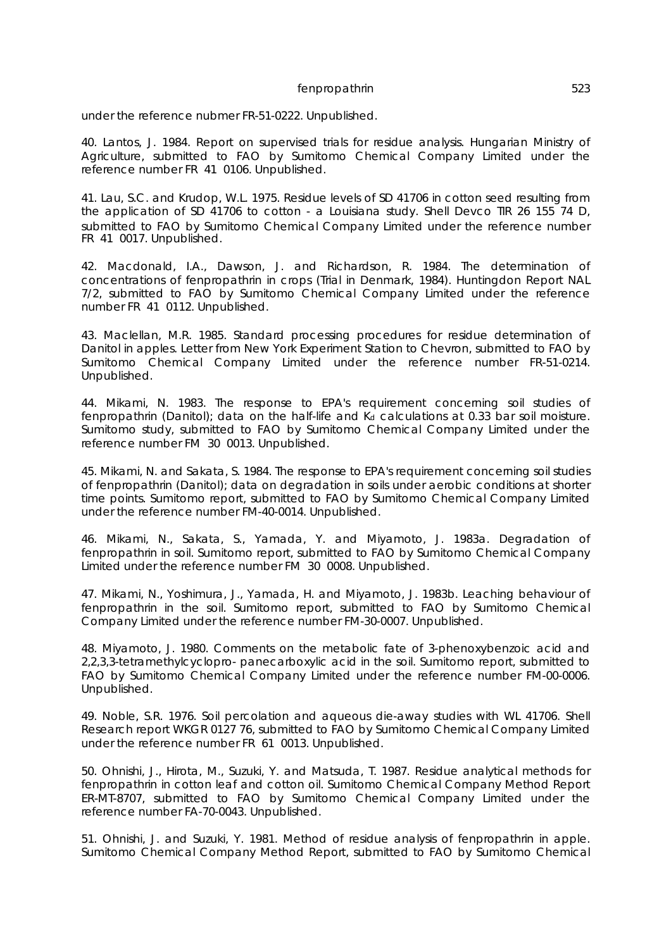under the reference nubmer FR-51-0222. Unpublished.

40. Lantos, J. 1984. Report on supervised trials for residue analysis. Hungarian Ministry of Agriculture, submitted to FAO by Sumitomo Chemical Company Limited under the reference number FR 41 0106. Unpublished.

41. Lau, S.C. and Krudop, W.L. 1975. Residue levels of SD 41706 in cotton seed resulting from the application of SD 41706 to cotton - a Louisiana study. Shell Devco TIR 26 155 74 D, submitted to FAO by Sumitomo Chemical Company Limited under the reference number FR 41 0017. Unpublished.

42. Macdonald, I.A., Dawson, J. and Richardson, R. 1984. The determination of concentrations of fenpropathrin in crops (Trial in Denmark, 1984). Huntingdon Report NAL 7/2, submitted to FAO by Sumitomo Chemical Company Limited under the reference number FR 41 0112. Unpublished.

43. Maclellan, M.R. 1985. Standard processing procedures for residue determination of Danitol in apples. Letter from New York Experiment Station to Chevron, submitted to FAO by Sumitomo Chemical Company Limited under the reference number FR-51-0214. Unpublished.

44. Mikami, N. 1983. The response to EPA's requirement concerning soil studies of fenpropathrin (Danitol); data on the half-life and  $Ka$  calculations at 0.33 bar soil moisture. Sumitomo study, submitted to FAO by Sumitomo Chemical Company Limited under the reference number FM 30 0013. Unpublished.

45. Mikami, N. and Sakata, S. 1984. The response to EPA's requirement concerning soil studies of fenpropathrin (Danitol); data on degradation in soils under aerobic conditions at shorter time points. Sumitomo report, submitted to FAO by Sumitomo Chemical Company Limited under the reference number FM-40-0014. Unpublished.

46. Mikami, N., Sakata, S., Yamada, Y. and Miyamoto, J. 1983a. Degradation of fenpropathrin in soil. Sumitomo report, submitted to FAO by Sumitomo Chemical Company Limited under the reference number FM 30 0008. Unpublished.

47. Mikami, N., Yoshimura, J., Yamada, H. and Miyamoto, J. 1983b. Leaching behaviour of fenpropathrin in the soil. Sumitomo report, submitted to FAO by Sumitomo Chemical Company Limited under the reference number FM-30-0007. Unpublished.

48. Miyamoto, J. 1980. Comments on the metabolic fate of 3-phenoxybenzoic acid and 2,2,3,3-tetramethylcyclopro- panecarboxylic acid in the soil. Sumitomo report, submitted to FAO by Sumitomo Chemical Company Limited under the reference number FM-00-0006. Unpublished.

49. Noble, S.R. 1976. Soil percolation and aqueous die-away studies with WL 41706. Shell Research report WKGR 0127 76, submitted to FAO by Sumitomo Chemical Company Limited under the reference number FR 61 0013. Unpublished.

50. Ohnishi, J., Hirota, M., Suzuki, Y. and Matsuda, T. 1987. Residue analytical methods for fenpropathrin in cotton leaf and cotton oil. Sumitomo Chemical Company Method Report ER-MT-8707, submitted to FAO by Sumitomo Chemical Company Limited under the reference number FA-70-0043. Unpublished.

51. Ohnishi, J. and Suzuki, Y. 1981. Method of residue analysis of fenpropathrin in apple. Sumitomo Chemical Company Method Report, submitted to FAO by Sumitomo Chemical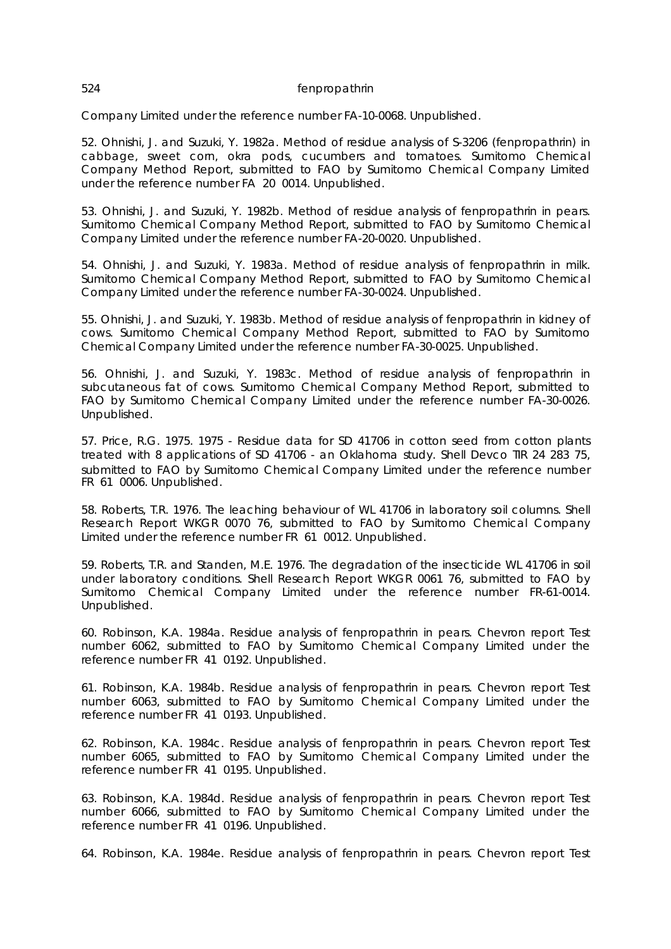Company Limited under the reference number FA-10-0068. Unpublished.

52. Ohnishi, J. and Suzuki, Y. 1982a. Method of residue analysis of S-3206 (fenpropathrin) in cabbage, sweet corn, okra pods, cucumbers and tomatoes. Sumitomo Chemical Company Method Report, submitted to FAO by Sumitomo Chemical Company Limited under the reference number FA 20 0014. Unpublished.

53. Ohnishi, J. and Suzuki, Y. 1982b. Method of residue analysis of fenpropathrin in pears. Sumitomo Chemical Company Method Report, submitted to FAO by Sumitomo Chemical Company Limited under the reference number FA-20-0020. Unpublished.

54. Ohnishi, J. and Suzuki, Y. 1983a. Method of residue analysis of fenpropathrin in milk. Sumitomo Chemical Company Method Report, submitted to FAO by Sumitomo Chemical Company Limited under the reference number FA-30-0024. Unpublished.

55. Ohnishi, J. and Suzuki, Y. 1983b. Method of residue analysis of fenpropathrin in kidney of cows. Sumitomo Chemical Company Method Report, submitted to FAO by Sumitomo Chemical Company Limited under the reference number FA-30-0025. Unpublished.

56. Ohnishi, J. and Suzuki, Y. 1983c. Method of residue analysis of fenpropathrin in subcutaneous fat of cows. Sumitomo Chemical Company Method Report, submitted to FAO by Sumitomo Chemical Company Limited under the reference number FA-30-0026. Unpublished.

57. Price, R.G. 1975. 1975 - Residue data for SD 41706 in cotton seed from cotton plants treated with 8 applications of SD 41706 - an Oklahoma study. Shell Devco TIR 24 283 75, submitted to FAO by Sumitomo Chemical Company Limited under the reference number FR 61 0006. Unpublished.

58. Roberts, T.R. 1976. The leaching behaviour of WL 41706 in laboratory soil columns. Shell Research Report WKGR 0070 76, submitted to FAO by Sumitomo Chemical Company Limited under the reference number FR 61 0012. Unpublished.

59. Roberts, T.R. and Standen, M.E. 1976. The degradation of the insecticide WL 41706 in soil under laboratory conditions. Shell Research Report WKGR 0061 76, submitted to FAO by Sumitomo Chemical Company Limited under the reference number FR-61-0014. Unpublished.

60. Robinson, K.A. 1984a. Residue analysis of fenpropathrin in pears. Chevron report Test number 6062, submitted to FAO by Sumitomo Chemical Company Limited under the reference number FR 41 0192. Unpublished.

61. Robinson, K.A. 1984b. Residue analysis of fenpropathrin in pears. Chevron report Test number 6063, submitted to FAO by Sumitomo Chemical Company Limited under the reference number FR 41 0193. Unpublished.

62. Robinson, K.A. 1984c. Residue analysis of fenpropathrin in pears. Chevron report Test number 6065, submitted to FAO by Sumitomo Chemical Company Limited under the reference number FR 41 0195. Unpublished.

63. Robinson, K.A. 1984d. Residue analysis of fenpropathrin in pears. Chevron report Test number 6066, submitted to FAO by Sumitomo Chemical Company Limited under the reference number FR 41 0196. Unpublished.

64. Robinson, K.A. 1984e. Residue analysis of fenpropathrin in pears. Chevron report Test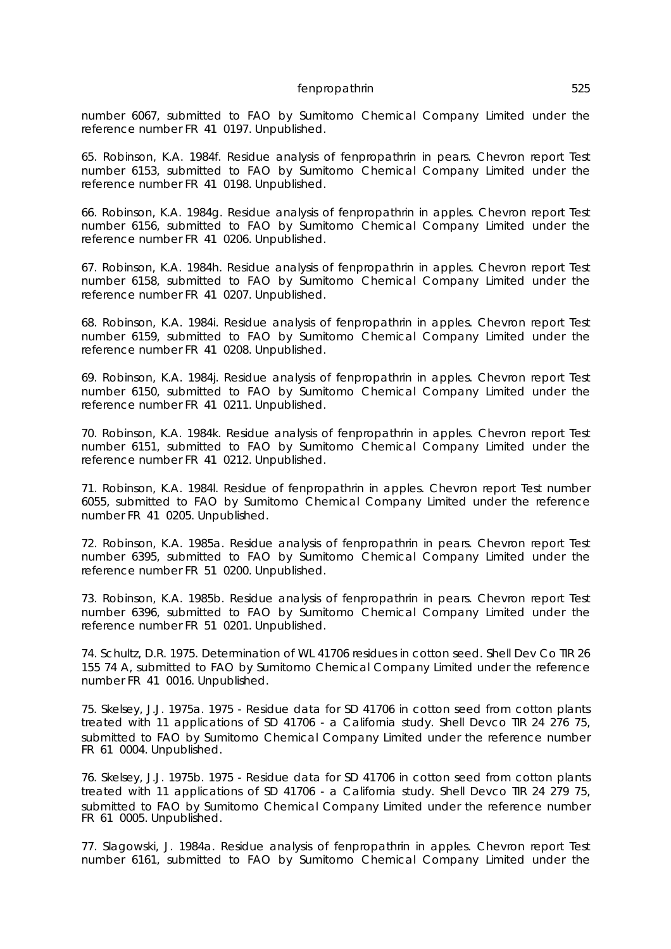number 6067, submitted to FAO by Sumitomo Chemical Company Limited under the reference number FR 41 0197. Unpublished.

65. Robinson, K.A. 1984f. Residue analysis of fenpropathrin in pears. Chevron report Test number 6153, submitted to FAO by Sumitomo Chemical Company Limited under the reference number FR 41 0198. Unpublished.

66. Robinson, K.A. 1984g. Residue analysis of fenpropathrin in apples. Chevron report Test number 6156, submitted to FAO by Sumitomo Chemical Company Limited under the reference number FR 41 0206. Unpublished.

67. Robinson, K.A. 1984h. Residue analysis of fenpropathrin in apples. Chevron report Test number 6158, submitted to FAO by Sumitomo Chemical Company Limited under the reference number FR 41 0207. Unpublished.

68. Robinson, K.A. 1984i. Residue analysis of fenpropathrin in apples. Chevron report Test number 6159, submitted to FAO by Sumitomo Chemical Company Limited under the reference number FR 41 0208. Unpublished.

69. Robinson, K.A. 1984j. Residue analysis of fenpropathrin in apples. Chevron report Test number 6150, submitted to FAO by Sumitomo Chemical Company Limited under the reference number FR 41 0211. Unpublished.

70. Robinson, K.A. 1984k. Residue analysis of fenpropathrin in apples. Chevron report Test number 6151, submitted to FAO by Sumitomo Chemical Company Limited under the reference number FR 41 0212. Unpublished.

71. Robinson, K.A. 1984l. Residue of fenpropathrin in apples. Chevron report Test number 6055, submitted to FAO by Sumitomo Chemical Company Limited under the reference number FR 41 0205. Unpublished.

72. Robinson, K.A. 1985a. Residue analysis of fenpropathrin in pears. Chevron report Test number 6395, submitted to FAO by Sumitomo Chemical Company Limited under the reference number FR 51 0200. Unpublished.

73. Robinson, K.A. 1985b. Residue analysis of fenpropathrin in pears. Chevron report Test number 6396, submitted to FAO by Sumitomo Chemical Company Limited under the reference number FR 51 0201. Unpublished.

74. Schultz, D.R. 1975. Determination of WL 41706 residues in cotton seed. Shell Dev Co TIR 26 155 74 A, submitted to FAO by Sumitomo Chemical Company Limited under the reference number FR 41 0016. Unpublished.

75. Skelsey, J.J. 1975a. 1975 - Residue data for SD 41706 in cotton seed from cotton plants treated with 11 applications of SD 41706 - a California study. Shell Devco TIR 24 276 75, submitted to FAO by Sumitomo Chemical Company Limited under the reference number FR 61 0004. Unpublished.

76. Skelsey, J.J. 1975b. 1975 - Residue data for SD 41706 in cotton seed from cotton plants treated with 11 applications of SD 41706 - a California study. Shell Devco TIR 24 279 75, submitted to FAO by Sumitomo Chemical Company Limited under the reference number FR 61 0005. Unpublished.

77. Slagowski, J. 1984a. Residue analysis of fenpropathrin in apples. Chevron report Test number 6161, submitted to FAO by Sumitomo Chemical Company Limited under the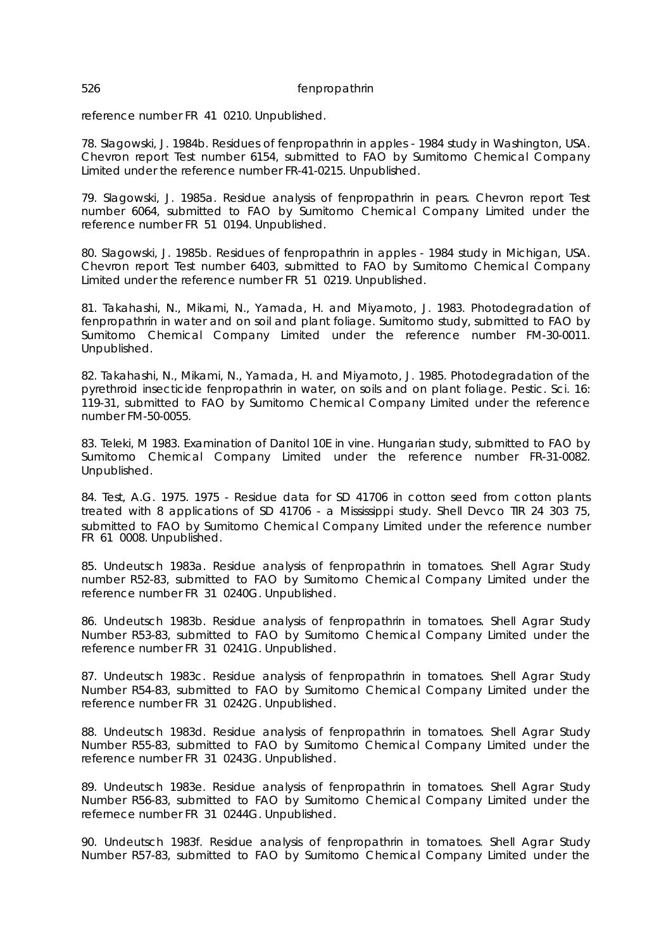reference number FR 41 0210. Unpublished.

78. Slagowski, J. 1984b. Residues of fenpropathrin in apples - 1984 study in Washington, USA. Chevron report Test number 6154, submitted to FAO by Sumitomo Chemical Company Limited under the reference number FR-41-0215. Unpublished.

79. Slagowski, J. 1985a. Residue analysis of fenpropathrin in pears. Chevron report Test number 6064, submitted to FAO by Sumitomo Chemical Company Limited under the reference number FR 51 0194. Unpublished.

80. Slagowski, J. 1985b. Residues of fenpropathrin in apples - 1984 study in Michigan, USA. Chevron report Test number 6403, submitted to FAO by Sumitomo Chemical Company Limited under the reference number FR 51 0219. Unpublished.

81. Takahashi, N., Mikami, N., Yamada, H. and Miyamoto, J. 1983. Photodegradation of fenpropathrin in water and on soil and plant foliage. Sumitomo study, submitted to FAO by Sumitomo Chemical Company Limited under the reference number FM-30-0011. Unpublished.

82. Takahashi, N., Mikami, N., Yamada, H. and Miyamoto, J. 1985. Photodegradation of the pyrethroid insecticide fenpropathrin in water, on soils and on plant foliage. Pestic. Sci. 16: 119-31, submitted to FAO by Sumitomo Chemical Company Limited under the reference number FM-50-0055.

83. Teleki, M 1983. Examination of Danitol 10E in vine. Hungarian study, submitted to FAO by Sumitomo Chemical Company Limited under the reference number FR-31-0082. Unpublished.

84. Test, A.G. 1975. 1975 - Residue data for SD 41706 in cotton seed from cotton plants treated with 8 applications of SD 41706 - a Mississippi study. Shell Devco TIR 24 303 75, submitted to FAO by Sumitomo Chemical Company Limited under the reference number FR 61 0008. Unpublished.

85. Undeutsch 1983a. Residue analysis of fenpropathrin in tomatoes. Shell Agrar Study number R52-83, submitted to FAO by Sumitomo Chemical Company Limited under the reference number FR 31 0240G. Unpublished.

86. Undeutsch 1983b. Residue analysis of fenpropathrin in tomatoes. Shell Agrar Study Number R53-83, submitted to FAO by Sumitomo Chemical Company Limited under the reference number FR 31 0241G. Unpublished.

87. Undeutsch 1983c. Residue analysis of fenpropathrin in tomatoes. Shell Agrar Study Number R54-83, submitted to FAO by Sumitomo Chemical Company Limited under the reference number FR 31 0242G. Unpublished.

88. Undeutsch 1983d. Residue analysis of fenpropathrin in tomatoes. Shell Agrar Study Number R55-83, submitted to FAO by Sumitomo Chemical Company Limited under the reference number FR 31 0243G. Unpublished.

89. Undeutsch 1983e. Residue analysis of fenpropathrin in tomatoes. Shell Agrar Study Number R56-83, submitted to FAO by Sumitomo Chemical Company Limited under the refernece number FR 31 0244G. Unpublished.

90. Undeutsch 1983f. Residue analysis of fenpropathrin in tomatoes. Shell Agrar Study Number R57-83, submitted to FAO by Sumitomo Chemical Company Limited under the